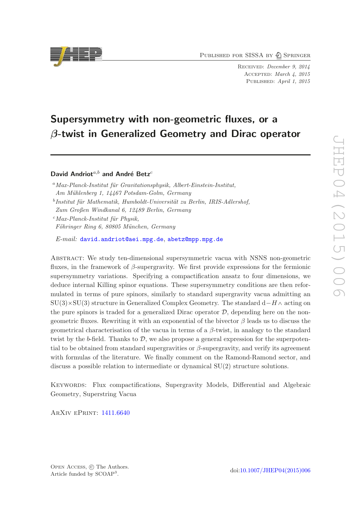PUBLISHED FOR SISSA BY 2 SPRINGER

Received: December 9, 2014 Accepted: March 4, 2015 PUBLISHED: April 1, 2015

# Supersymmetry with non-geometric fluxes, or a β-twist in Generalized Geometry and Dirac operator

David Andriot $a,b$  and André Betz<sup>c</sup>

 $^{a}$ Max-Planck-Institut für Gravitationsphysik, Albert-Einstein-Institut, Am Mühlenberg 1, 14467 Potsdam-Golm, Germany  $^{b}$ Institut für Mathematik, Humboldt-Universität zu Berlin, IRIS-Adlershof, Zum Großen Windkanal 6, 12489 Berlin, Germany  $c$ Max-Planck-Institut für Physik, Föhringer Ring 6, 80805 München, Germany

E-mail: [david.andriot@aei.mpg.de](mailto:david.andriot@aei.mpg.de), [abetz@mpp.mpg.de](mailto:abetz@mpp.mpg.de)

Abstract: We study ten-dimensional supersymmetric vacua with NSNS non-geometric fluxes, in the framework of  $\beta$ -supergravity. We first provide expressions for the fermionic supersymmetry variations. Specifying a compactification ansatz to four dimensions, we deduce internal Killing spinor equations. These supersymmetry conditions are then reformulated in terms of pure spinors, similarly to standard supergravity vacua admitting an  $SU(3)\times SU(3)$  structure in Generalized Complex Geometry. The standard  $d-H\wedge$  acting on the pure spinors is traded for a generalized Dirac operator  $D$ , depending here on the nongeometric fluxes. Rewriting it with an exponential of the bivector β leads us to discuss the geometrical characterisation of the vacua in terms of a β-twist, in analogy to the standard twist by the b-field. Thanks to  $D$ , we also propose a general expression for the superpotential to be obtained from standard supergravities or  $\beta$ -supergravity, and verify its agreement with formulas of the literature. We finally comment on the Ramond-Ramond sector, and discuss a possible relation to intermediate or dynamical SU(2) structure solutions.

Keywords: Flux compactifications, Supergravity Models, Differential and Algebraic Geometry, Superstring Vacua

ArXiv ePrint: [1411.6640](http://arxiv.org/abs/1411.6640)

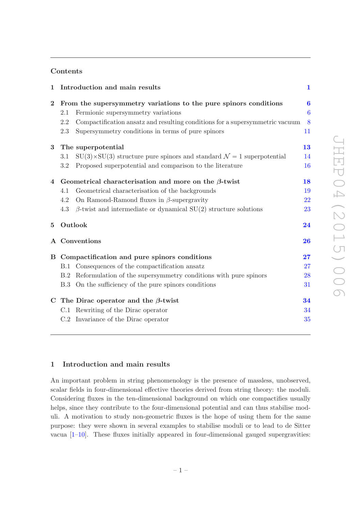# Contents

| $\mathbf{1}$ |                                                               | Introduction and main results                                                          | $\mathbf{1}$     |
|--------------|---------------------------------------------------------------|----------------------------------------------------------------------------------------|------------------|
| $\bf{2}$     |                                                               | From the supersymmetry variations to the pure spinors conditions                       | $\boldsymbol{6}$ |
|              | 2.1                                                           | Fermionic supersymmetry variations                                                     | $\boldsymbol{6}$ |
|              | 2.2                                                           | Compactification ansatz and resulting conditions for a supersymmetric vacuum           | 8                |
|              | 2.3                                                           | Supersymmetry conditions in terms of pure spinors                                      | 11               |
| $\bf{3}$     | The superpotential                                            |                                                                                        | 13               |
|              | 3.1                                                           | $SU(3)\times SU(3)$ structure pure spinors and standard $\mathcal{N}=1$ superpotential | 14               |
|              | $\!3.2$                                                       | Proposed superpotential and comparison to the literature                               | 16               |
|              | 4 Geometrical characterisation and more on the $\beta$ -twist |                                                                                        | 18               |
|              | 4.1                                                           | Geometrical characterisation of the backgrounds                                        | 19               |
|              | 4.2                                                           | On Ramond-Ramond fluxes in $\beta$ -supergravity                                       | 22               |
|              | 4.3                                                           | $\beta$ -twist and intermediate or dynamical SU(2) structure solutions                 | 23               |
| $\bf{5}$     | Outlook                                                       |                                                                                        | 24               |
|              |                                                               | A Conventions                                                                          | 26               |
|              | B Compactification and pure spinors conditions                |                                                                                        | 27               |
|              | <b>B.1</b>                                                    | Consequences of the compactification ansatz                                            | 27               |
|              | B.2                                                           | Reformulation of the supersymmetry conditions with pure spinors                        | 28               |
|              |                                                               | B.3 On the sufficiency of the pure spinors conditions                                  | 31               |
|              |                                                               | C The Dirac operator and the $\beta$ -twist                                            | 34               |
|              |                                                               | C.1 Rewriting of the Dirac operator                                                    | 34               |
|              |                                                               | C.2 Invariance of the Dirac operator                                                   | 35               |

# <span id="page-1-0"></span>1 Introduction and main results

An important problem in string phenomenology is the presence of massless, unobserved, scalar fields in four-dimensional effective theories derived from string theory: the moduli. Considering fluxes in the ten-dimensional background on which one compactifies usually helps, since they contribute to the four-dimensional potential and can thus stabilise moduli. A motivation to study non-geometric fluxes is the hope of using them for the same purpose: they were shown in several examples to stabilise moduli or to lead to de Sitter vacua  $[1-10]$ . These fluxes initially appeared in four-dimensional gauged supergravities: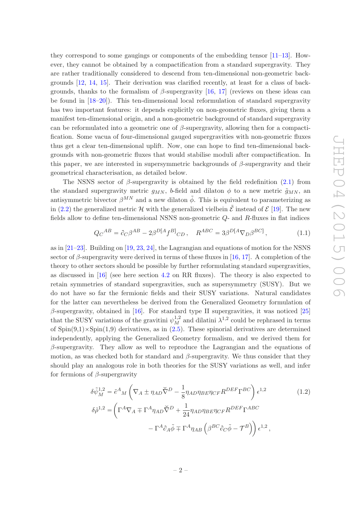they correspond to some gaugings or components of the embedding tensor  $[11-13]$ . However, they cannot be obtained by a compactification from a standard supergravity. They are rather traditionally considered to descend from ten-dimensional non-geometric backgrounds [\[12](#page-36-4), [14,](#page-36-5) [15\]](#page-37-0). Their derivation was clarified recently, at least for a class of backgrounds, thanks to the formalism of  $\beta$ -supergravity [\[16](#page-37-1), [17\]](#page-37-2) (reviews on these ideas can be found in [\[18](#page-37-3)[–20](#page-37-4)]). This ten-dimensional local reformulation of standard supergravity has two important features: it depends explicitly on non-geometric fluxes, giving them a manifest ten-dimensional origin, and a non-geometric background of standard supergravity can be reformulated into a geometric one of  $\beta$ -supergravity, allowing then for a compactification. Some vacua of four-dimensional gauged supergravities with non-geometric fluxes thus get a clear ten-dimensional uplift. Now, one can hope to find ten-dimensional backgrounds with non-geometric fluxes that would stabilise moduli after compactification. In this paper, we are interested in supersymmetric backgrounds of  $\beta$ -supergravity and their geometrical characterisation, as detailed below.

The NSNS sector of  $\beta$ -supergravity is obtained by the field redefinition [\(2.1\)](#page-6-2) from the standard supergravity metric  $g_{MN}$ , b-field and dilaton  $\phi$  to a new metric  $\tilde{g}_{MN}$ , and antisymmetric bivector  $\beta^{MN}$  and a new dilaton  $\tilde{\phi}$ . This is equivalent to parameterizing as in [\(2.2\)](#page-6-3) the generalized metric H with the generalized vielbein  $\tilde{\mathcal{E}}$  instead of  $\mathcal{E}$  [\[19\]](#page-37-5). The new fields allow to define ten-dimensional NSNS non-geometric Q- and R-fluxes in flat indices

$$
Q_C{}^{AB} = \partial_C \beta^{AB} - 2\beta^{D[A} f^{B]}{}_{CD} \,, \quad R^{ABC} = 3\beta^{D[A} \nabla_D \beta^{BC]}, \tag{1.1}
$$

as in [\[21](#page-37-6)[–23\]](#page-37-7). Building on [\[19](#page-37-5), [23,](#page-37-7) [24](#page-37-8)], the Lagrangian and equations of motion for the NSNS sector of  $\beta$ -supergravity were derived in terms of these fluxes in [\[16,](#page-37-1) [17](#page-37-2)]. A completion of the theory to other sectors should be possible by further reformulating standard supergravities, as discussed in [\[16\]](#page-37-1) (see here section [4.2](#page-22-0) on RR fluxes). The theory is also expected to retain symmetries of standard supergravities, such as supersymmetry (SUSY). But we do not have so far the fermionic fields and their SUSY variations. Natural candidates for the latter can nevertheless be derived from the Generalized Geometry formulation of  $\beta$ -supergravity, obtained in [\[16](#page-37-1)]. For standard type II supergravities, it was noticed [\[25\]](#page-37-9) that the SUSY variations of the gravitini  $\psi_M^{1,2}$  and dilatini  $\lambda^{1,2}$  could be rephrased in terms of  $Spin(9,1)\times Spin(1,9)$  derivatives, as in  $(2.5)$ . These spinorial derivatives are determined independently, applying the Generalized Geometry formalism, and we derived them for  $\beta$ -supergravity. They allow as well to reproduce the Lagrangian and the equations of motion, as was checked both for standard and  $\beta$ -supergravity. We thus consider that they should play an analogous role in both theories for the SUSY variations as well, and infer for fermions of  $\beta$ -supergravity

<span id="page-2-0"></span>
$$
\delta \tilde{\psi}_M^{1,2} = \tilde{e}^A{}_M \left( \nabla_A \pm \eta_{AD} \tilde{\nabla}^D - \frac{1}{8} \eta_{AD} \eta_{BE} \eta_{CF} R^{DEF} \Gamma^{BC} \right) \epsilon^{1,2}
$$
\n
$$
\delta \tilde{\rho}^{1,2} = \left( \Gamma^A \nabla_A \mp \Gamma^A \eta_{AD} \tilde{\nabla}^D + \frac{1}{24} \eta_{AD} \eta_{BE} \eta_{CF} R^{DEF} \Gamma^{ABC} \right)
$$
\n
$$
- \Gamma^A \partial_A \tilde{\phi} \mp \Gamma^A \eta_{AB} \left( \beta^{BC} \partial_C \tilde{\phi} - \mathcal{T}^B \right) \right) \epsilon^{1,2},
$$
\n(1.2)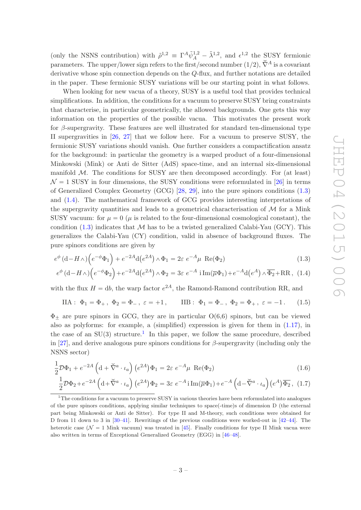(only the NSNS contribution) with  $\tilde{\rho}^{1,2} = \Gamma^A \tilde{\psi}_A^{1,2} - \tilde{\lambda}^{1,2}$ , and  $\epsilon^{1,2}$  the SUSY fermionic parameters. The upper/lower sign refers to the first/second number (1/2),  $\check{\nabla}^A$  is a covariant derivative whose spin connection depends on the Q-flux, and further notations are detailed in the paper. These fermionic SUSY variations will be our starting point in what follows.

When looking for new vacua of a theory, SUSY is a useful tool that provides technical simplifications. In addition, the conditions for a vacuum to preserve SUSY bring constraints that characterise, in particular geometrically, the allowed backgrounds. One gets this way information on the properties of the possible vacua. This motivates the present work for  $\beta$ -supergravity. These features are well illustrated for standard ten-dimensional type II supergravities in [\[26](#page-37-10), [27](#page-37-11)] that we follow here. For a vacuum to preserve SUSY, the fermionic SUSY variations should vanish. One further considers a compactification ansatz for the background: in particular the geometry is a warped product of a four-dimensional Minkowski (Mink) or Anti de Sitter (AdS) space-time, and an internal six-dimensional manifold  $M$ . The conditions for SUSY are then decomposed accordingly. For (at least)  $\mathcal{N} = 1$  SUSY in four dimensions, the SUSY conditions were reformulated in [\[26](#page-37-10)] in terms of Generalized Complex Geometry (GCG) [\[28,](#page-37-12) [29](#page-37-13)], into the pure spinors conditions [\(1.3\)](#page-3-0) and [\(1.4\)](#page-3-1). The mathematical framework of GCG provides interesting interpretations of the supergravity quantities and leads to a geometrical characterisation of  $\mathcal M$  for a Mink SUSY vacuum: for  $\mu = 0$  ( $\mu$  is related to the four-dimensional cosmological constant), the condition  $(1.3)$  indicates that M has to be a twisted generalized Calabi-Yau (GCY). This generalizes the Calabi-Yau (CY) condition, valid in absence of background fluxes. The pure spinors conditions are given by

$$
e^{\phi} \left( d - H \wedge \right) \left( e^{-\phi} \Phi_1 \right) + e^{-2A} d\left( e^{2A} \right) \wedge \Phi_1 = 2\varepsilon \ e^{-A} \mu \ \text{Re}(\Phi_2) \tag{1.3}
$$

$$
e^{\phi} (d - H_{\Lambda}) \Big( e^{-\phi} \Phi_2 \Big) + e^{-2A} d(e^{2A}) \wedge \Phi_2 = 3\varepsilon \ e^{-A} i \operatorname{Im}(\overline{\mu} \Phi_1) + e^{-A} d(e^A) \wedge \overline{\Phi_2} + \operatorname{RR}, \tag{1.4}
$$

with the flux  $H = db$ , the warp factor  $e^{2A}$ , the Ramond-Ramond contribution RR, and

<span id="page-3-5"></span><span id="page-3-1"></span><span id="page-3-0"></span>
$$
\text{IIA}: \ \Phi_1 = \Phi_+, \ \Phi_2 = \Phi_-, \ \varepsilon = +1 \,, \qquad \text{IIB}: \ \Phi_1 = \Phi_-, \ \Phi_2 = \Phi_+, \ \varepsilon = -1 \,. \tag{1.5}
$$

 $\Phi_{+}$  are pure spinors in GCG, they are in particular  $O(6,6)$  spinors, but can be viewed also as polyforms: for example, a (simplified) expression is given for them in [\(1.17\)](#page-5-0), in the case of an  $SU(3)$  structure.<sup>[1](#page-3-2)</sup> In this paper, we follow the same procedure, described in [\[27](#page-37-11)], and derive analogous pure spinors conditions for  $\beta$ -supergravity (including only the NSNS sector)

$$
\frac{1}{2}\mathcal{D}\Phi_1 + e^{-2A} \left(\mathrm{d} + \breve{\nabla}^a \cdot \iota_a\right) \left(e^{2A}\right) \Phi_1 = 2\varepsilon \ e^{-A} \mu \ \text{Re}(\Phi_2) \tag{1.6}
$$
\n
$$
\frac{1}{2}\mathcal{D}\Phi_2 + e^{-2A} \left(\mathrm{d} + \breve{\nabla}^a \cdot \iota_a\right) \left(e^{2A}\right) \Phi_2 = 3\varepsilon \ e^{-A} \text{i} \text{Im}(\overline{\mu}\Phi_1) + e^{-A} \left(\mathrm{d} - \breve{\nabla}^a \cdot \iota_a\right) \left(e^A\right) \overline{\Phi_2} \tag{1.7}
$$

<span id="page-3-4"></span><span id="page-3-3"></span>
$$
\frac{1}{2}\mathcal{D}\Phi_2 + e^{-2A} \left(\mathrm{d} + \check{\nabla}^a \cdot \iota_a\right) \left(e^{2A}\right) \Phi_2 = 3\varepsilon \ e^{-A} \mathrm{i} \operatorname{Im}(\overline{\mu}\Phi_1) + e^{-A} \left(\mathrm{d} - \check{\nabla}^a \cdot \iota_a\right) \left(e^A\right) \overline{\Phi_2}, \tag{1.7}
$$

<span id="page-3-2"></span><sup>&</sup>lt;sup>1</sup>The conditions for a vacuum to preserve SUSY in various theories have been reformulated into analogues of the pure spinors conditions, applying similar techniques to space(-time)s of dimension D (the external part being Minkowski or Anti de Sitter). For type II and M-theory, such conditions were obtained for D from 11 down to 3 in [\[30](#page-37-14)[–41\]](#page-38-0). Rewritings of the previous conditions were worked-out in [\[42](#page-38-1)[–44](#page-38-2)]. The heterotic case ( $\mathcal{N} = 1$  Mink vacuum) was treated in [\[45](#page-38-3)]. Finally conditions for type II Mink vacua were also written in terms of Exceptional Generalized Geometry (EGG) in [\[46](#page-38-4)[–48](#page-38-5)].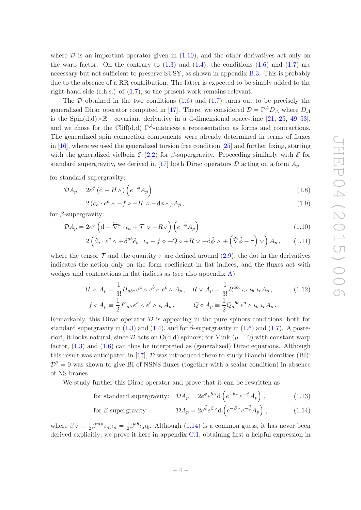where  $D$  is an important operator given in  $(1.10)$ , and the other derivatives act only on the warp factor. On the contrary to  $(1.3)$  and  $(1.4)$ , the conditions  $(1.6)$  and  $(1.7)$  are necessary but not sufficient to preserve SUSY, as shown in appendix [B.3.](#page-31-0) This is probably due to the absence of a RR contribution. The latter is expected to be simply added to the right-hand side (r.h.s.) of [\(1.7\)](#page-3-4), so the present work remains relevant.

The  $\mathcal D$  obtained in the two conditions [\(1.6\)](#page-3-3) and [\(1.7\)](#page-3-4) turns out to be precisely the generalized Dirac operator computed in [\[17\]](#page-37-2). There, we considered  $\mathcal{D} = \Gamma^A D_A$  where  $D_A$ is the Spin $(d,d)\times\mathbb{R}^+$  covariant derivative in a d-dimensional space-time [\[21](#page-37-6), [25,](#page-37-9) [49](#page-38-6)[–53\]](#page-38-7), and we chose for the Cliff(d,d)  $\Gamma^{\mathcal{A}}$ -matrices a representation as forms and contractions. The generalized spin connection components were already determined in terms of fluxes in [\[16](#page-37-1)], where we used the generalized torsion free condition [\[25\]](#page-37-9) and further fixing, starting with the generalized vielbein  $\tilde{\mathcal{E}}$  [\(2.2\)](#page-6-3) for  $\beta$ -supergravity. Proceeding similarly with  $\mathcal{E}$  for standard supergravity, we derived in [\[17\]](#page-37-2) both Dirac operators  $\mathcal D$  acting on a form  $A_p$ 

for standard supergravity:

$$
\mathcal{D}A_p = 2e^{\phi} \left( \mathbf{d} - H \wedge \right) \left( e^{-\phi} A_p \right) \tag{1.8}
$$

<span id="page-4-5"></span><span id="page-4-3"></span><span id="page-4-0"></span>
$$
=2\left(\partial_a\cdot e^a\wedge -f\circ -H\wedge -d\phi\wedge\right)A_p,\tag{1.9}
$$

for  $\beta$ -supergravity:

$$
\mathcal{D}A_p = 2e^{\tilde{\phi}} \left( \mathbf{d} - \tilde{\nabla}^a \cdot \iota_a + \mathcal{T} \vee + R \vee \right) \left( e^{-\tilde{\phi}} A_p \right) \tag{1.10}
$$

$$
=2\left(\partial_a\cdot\tilde{e}^a\wedge\alpha\beta^{ab}\partial_b\cdot\iota_a-f\circ-Q\circ+R\vee-d\tilde{\phi}\wedge+\left(\tilde{\nabla}\tilde{\phi}-\tau\right)\vee\right)A_p,\qquad(1.11)
$$

where the tensor  $\mathcal T$  and the quantity  $\tau$  are defined around [\(2.9\)](#page-8-1), the dot in the derivatives indicates the action only on the form coefficient in flat indices, and the fluxes act with wedges and contractions in flat indices as (see also appendix [A\)](#page-26-0)

<span id="page-4-4"></span>
$$
H \wedge A_p = \frac{1}{3!} H_{abc} e^a \wedge e^b \wedge e^c \wedge A_p, \quad R \vee A_p = \frac{1}{3!} R^{abc} \iota_a \iota_b \iota_c A_p, \qquad (1.12)
$$
  

$$
f \diamond A_p = \frac{1}{2} f^c{}_{ab} \tilde{e}^a \wedge \tilde{e}^b \wedge \iota_c A_p, \qquad Q \diamond A_p = \frac{1}{2} Q_a{}^{bc} \tilde{e}^a \wedge \iota_b \iota_c A_p.
$$

Remarkably, this Dirac operator  $\mathcal D$  is appearing in the pure spinors conditions, both for standard supergravity in  $(1.3)$  and  $(1.4)$ , and for  $\beta$ -supergravity in  $(1.6)$  and  $(1.7)$ . A posteriori, it looks natural, since  $\mathcal D$  acts on  $O(d,d)$  spinors; for Mink  $(\mu = 0)$  with constant warp factor, [\(1.3\)](#page-3-0) and [\(1.6\)](#page-3-3) can thus be interpreted as (generalized) Dirac equations. Although this result was anticipated in [\[17](#page-37-2)],  $\mathcal D$  was introduced there to study Bianchi identities (BI):  $\mathcal{D}^2 = 0$  was shown to give BI of NSNS fluxes (together with a scalar condition) in absence of NS-branes.

We study further this Dirac operator and prove that it can be rewritten as

for standard supergravity: 
$$
\mathcal{D}A_p = 2e^{\phi}e^{b\wedge}d\left(e^{-b\wedge}e^{-\phi}A_p\right)
$$
, (1.13)

<span id="page-4-2"></span><span id="page-4-1"></span>for 
$$
\beta
$$
-supergravity:  $\mathcal{D}A_p = 2e^{\tilde{\phi}}e^{\beta \vee}d\left(e^{-\beta \vee}e^{-\tilde{\phi}}A_p\right)$ , (1.14)

where  $\beta \vee \equiv \frac{1}{2} \beta^{mn} \iota_m \iota_n = \frac{1}{2}$  $\frac{1}{2}\beta^{ab}\iota_a\iota_b$ . Although [\(1.14\)](#page-4-1) is a common guess, it has never been derived explicitly; we prove it here in appendix [C.1,](#page-34-1) obtaining first a helpful expression in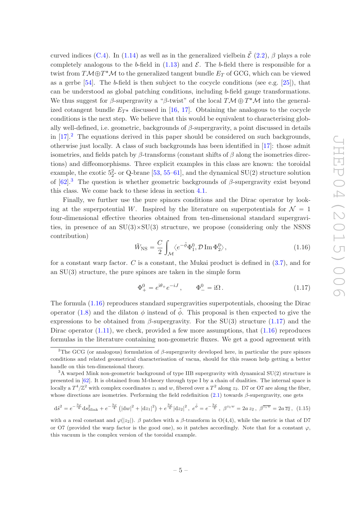curved indices [\(C.4\)](#page-34-2). In [\(1.14\)](#page-4-1) as well as in the generalized vielbein  $\tilde{\mathcal{E}}$  [\(2.2\)](#page-6-3),  $\beta$  plays a role completely analogous to the b-field in  $(1.13)$  and  $\mathcal{E}$ . The b-field there is responsible for a twist from  $T\mathcal{M} \oplus T^*\mathcal{M}$  to the generalized tangent bundle  $E_T$  of GCG, which can be viewed as a gerbe [\[54](#page-38-8)]. The b-field is then subject to the cocycle conditions (see e.g. [\[25](#page-37-9)]), that can be understood as global patching conditions, including b-field gauge transformations. We thus suggest for  $\beta$ -supergravity a " $\beta$ -twist" of the local  $T\mathcal{M} \oplus T^*\mathcal{M}$  into the generalized cotangent bundle  $E_{T*}$  discussed in [\[16](#page-37-1), [17](#page-37-2)]. Obtaining the analogous to the cocycle conditions is the next step. We believe that this would be equivalent to characterising globally well-defined, i.e. geometric, backgrounds of  $\beta$ -supergravity, a point discussed in details in  $[17]$ <sup>[2](#page-5-1)</sup>. The equations derived in this paper should be considered on such backgrounds, otherwise just locally. A class of such backgrounds has been identified in [\[17](#page-37-2)]: those admit isometries, and fields patch by  $\beta$ -transforms (constant shifts of  $\beta$  along the isometries directions) and diffeomorphisms. Three explicit examples in this class are known: the toroidal example, the exotic  $5^2$ - or Q-brane [\[53,](#page-38-7) [55](#page-39-0)[–61\]](#page-39-1), and the dynamical SU(2) structure solution of  $[62]$ <sup>[3](#page-5-2)</sup>. The question is whether geometric backgrounds of  $\beta$ -supergravity exist beyond this class. We come back to these ideas in section [4.1.](#page-19-0)

Finally, we further use the pure spinors conditions and the Dirac operator by looking at the superpotential W. Inspired by the literature on superpotentials for  $\mathcal{N} = 1$ four-dimensional effective theories obtained from ten-dimensional standard supergravities, in presence of an  $SU(3) \times SU(3)$  structure, we propose (considering only the NSNS contribution)

<span id="page-5-3"></span>
$$
\tilde{W}_{\rm NS} = \frac{C}{2} \int_{\mathcal{M}} \langle e^{-\tilde{\phi}} \Phi_1^0, \mathcal{D} \operatorname{Im} \Phi_2^0 \rangle, \qquad (1.16)
$$

for a constant warp factor. C is a constant, the Mukai product is defined in  $(3.7)$ , and for an SU(3) structure, the pure spinors are taken in the simple form

<span id="page-5-0"></span>
$$
\Phi_{+}^{0} = e^{i\theta_{+}} e^{-iJ}, \qquad \Phi_{-}^{0} = i\Omega. \qquad (1.17)
$$

The formula [\(1.16\)](#page-5-3) reproduces standard supergravities superpotentials, choosing the Dirac operator [\(1.8\)](#page-4-3) and the dilaton  $\phi$  instead of  $\phi$ . This proposal is then expected to give the expressions to be obtained from  $\beta$ -supergravity. For the SU(3) structure [\(1.17\)](#page-5-0) and the Dirac operator  $(1.11)$ , we check, provided a few more assumptions, that  $(1.16)$  reproduces formulas in the literature containing non-geometric fluxes. We get a good agreement with

$$
d\tilde{s}^2 = e^{-\frac{3\varphi}{4}} ds_{\text{Mink}}^2 + e^{-\frac{3\varphi}{4}} \left( |dw|^2 + |dz_1|^2 \right) + e^{\frac{3\varphi}{4}} |dz_2|^2, \ e^{\tilde{\phi}} = e^{-\frac{3\varphi}{2}}, \ \beta^{z_1 w} = 2a \, z_2, \ \beta^{\overline{z_1 w}} = 2a \, \overline{z_2}, \ (1.15)
$$

<span id="page-5-1"></span><sup>&</sup>lt;sup>2</sup>The GCG (or analogous) formulation of  $\beta$ -supergravity developed here, in particular the pure spinors conditions and related geometrical characterisation of vacua, should for this reason help getting a better handle on this ten-dimensional theory.

<span id="page-5-2"></span> $3A$  warped Mink non-geometric background of type IIB supergravity with dynamical SU(2) structure is presented in [\[62\]](#page-39-2). It is obtained from M-theory through type I by a chain of dualities. The internal space is locally a  $T^4/\mathbb{Z}^2$  with complex coordinates  $z_1$  and w, fibered over a  $T^2$  along  $z_2$ . D7 or O7 are along the fiber, whose directions are isometries. Performing the field redefinition  $(2.1)$  towards  $\beta$ -supergravity, one gets

with a a real constant and  $\varphi(|z_2|)$ . β patches with a β-transform in O(4,4), while the metric is that of D7 or O7 (provided the warp factor is the good one), so it patches accordingly. Note that for a constant  $\varphi$ , this vacuum is the complex version of the toroidal example.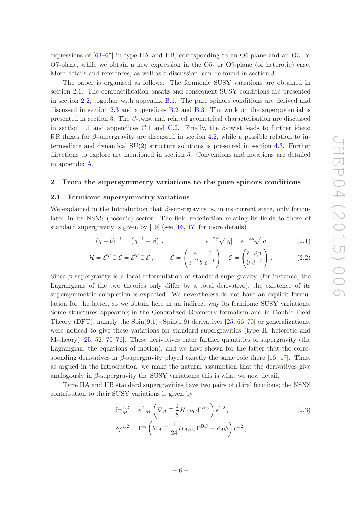expressions of [\[63](#page-39-3)[–65](#page-39-4)] in type IIA and IIB, corresponding to an O6-plane and an O3- or O7-plane, while we obtain a new expression in the O5- or O9-plane (or heterotic) case. More details and references, as well as a discussion, can be found in section [3.](#page-13-0)

The paper is organised as follows. The fermionic SUSY variations are obtained in section [2.1.](#page-6-1) The compactification ansatz and consequent SUSY conditions are presented in section [2.2,](#page-8-0) together with appendix [B.1.](#page-27-1) The pure spinors conditions are derived and discussed in section [2.3](#page-11-0) and appendices [B.2](#page-28-0) and [B.3.](#page-31-0) The work on the superpotential is presented in section [3.](#page-13-0) The  $\beta$ -twist and related geometrical characterisation are discussed in section [4.1](#page-19-0) and appendices [C.1](#page-34-1) and [C.2.](#page-35-0) Finally, the  $\beta$ -twist leads to further ideas: RR fluxes for β-supergravity are discussed in section [4.2,](#page-22-0) while a possible relation to intermediate and dynamical  $SU(2)$  structure solutions is presented in section [4.3.](#page-23-0) Further directions to explore are mentioned in section [5.](#page-24-0) Conventions and notations are detailed in appendix [A.](#page-26-0)

## <span id="page-6-1"></span><span id="page-6-0"></span>2 From the supersymmetry variations to the pure spinors conditions

#### 2.1 Fermionic supersymmetry variations

We explained in the Introduction that  $\beta$ -supergravity is, in its current state, only formulated in its NSNS (bosonic) sector. The field redefinition relating its fields to those of standard supergravity is given by [\[19](#page-37-5)] (see [\[16,](#page-37-1) [17](#page-37-2)] for more details)

<span id="page-6-3"></span><span id="page-6-2"></span>
$$
(g+b)^{-1} = (\tilde{g}^{-1} + \beta) , \qquad e^{-2\tilde{\phi}} \sqrt{|\tilde{g}|} = e^{-2\phi} \sqrt{|g|} , \qquad (2.1)
$$

$$
\mathcal{H} = \mathcal{E}^T \mathbb{I} \mathcal{E} = \tilde{\mathcal{E}}^T \mathbb{I} \tilde{\mathcal{E}}, \qquad \mathcal{E} = \begin{pmatrix} e & 0 \\ e^{-T}b & e^{-T} \end{pmatrix}, \ \tilde{\mathcal{E}} = \begin{pmatrix} \tilde{e} & \tilde{e}\beta \\ 0 & \tilde{e}^{-T} \end{pmatrix}. \tag{2.2}
$$

Since  $\beta$ -supergravity is a local reformulation of standard supergravity (for instance, the Lagrangians of the two theories only differ by a total derivative), the existence of its supersymmetric completion is expected. We nevertheless do not have an explicit formulation for the latter, so we obtain here in an indirect way its fermionic SUSY variations. Some structures appearing in the Generalized Geometry formalism and in Double Field Theory (DFT), namely the  $Spin(9,1)\times Spin(1,9)$  derivatives [\[25](#page-37-9), [66](#page-39-5)[–70](#page-39-6)] or generalizations, were noticed to give these variations for standard supergravities (type II, heterotic and M-theory) [\[25,](#page-37-9) [52,](#page-38-9) [70](#page-39-6)[–76](#page-40-0)]. These derivatives enter further quantities of supergravity (the Lagrangian, the equations of motion), and we have shown for the latter that the corre-sponding derivatives in β-supergravity played exactly the same role there [\[16,](#page-37-1) [17\]](#page-37-2). Thus, as argued in the Introduction, we make the natural assumption that the derivatives give analogously in  $\beta$ -supergravity the SUSY variations; this is what we now detail.

Type IIA and IIB standard supergravities have two pairs of chiral fermions; the NSNS contribution to their SUSY variations is given by

$$
\delta \psi_M^{1,2} = e^A{}_M \left( \nabla_A \mp \frac{1}{8} H_{ABC} \Gamma^{BC} \right) \epsilon^{1,2},
$$
\n
$$
\delta \rho^{1,2} = \Gamma^A \left( \nabla_A \mp \frac{1}{24} H_{ABC} \Gamma^{BC} - \partial_A \phi \right) \epsilon^{1,2},
$$
\n(2.3)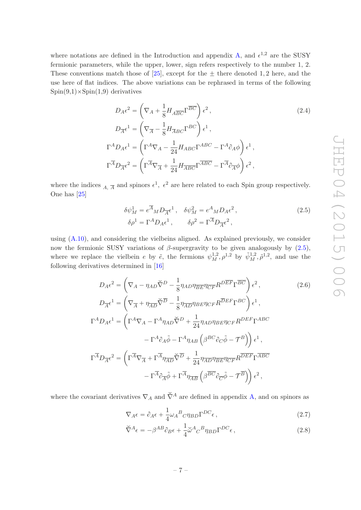where notations are defined in the Introduction and appendix [A,](#page-26-0) and  $\epsilon^{1,2}$  are the SUSY fermionic parameters, while the upper, lower, sign refers respectively to the number 1, 2. These conventions match those of [\[25\]](#page-37-9), except for the  $\pm$  there denoted 1, 2 here, and the use here of flat indices. The above variations can be rephrased in terms of the following  $Spin(9,1)\times Spin(1,9)$  derivatives

$$
D_{A}\epsilon^{2} = \left(\nabla_{A} + \frac{1}{8}H_{A\overline{BC}}\Gamma^{\overline{BC}}\right)\epsilon^{2},
$$
\n
$$
D_{\overline{A}}\epsilon^{1} = \left(\nabla_{\overline{A}} - \frac{1}{8}H_{\overline{A}BC}\Gamma^{BC}\right)\epsilon^{1},
$$
\n
$$
\Gamma^{A}D_{A}\epsilon^{1} = \left(\Gamma^{A}\nabla_{A} - \frac{1}{24}H_{ABC}\Gamma^{ABC} - \Gamma^{A}\partial_{A}\phi\right)\epsilon^{1},
$$
\n
$$
\Gamma^{\overline{A}}D_{\overline{A}}\epsilon^{2} = \left(\Gamma^{\overline{A}}\nabla_{\overline{A}} + \frac{1}{24}H_{\overline{A}BC}\Gamma^{\overline{A}BC} - \Gamma^{\overline{A}}\partial_{\overline{A}}\phi\right)\epsilon^{2},
$$
\n(2.4)

where the indices  $_A$ ,  $\overline{A}$  and spinors  $\epsilon^1$ ,  $\epsilon^2$  are here related to each Spin group respectively. One has [\[25\]](#page-37-9)

<span id="page-7-1"></span><span id="page-7-0"></span>
$$
\delta \psi_M^1 = e^{\overline{A}}{}_M D_{\overline{A}} \epsilon^1, \quad \delta \psi_M^2 = e^A{}_M D_A \epsilon^2, \n\delta \rho^1 = \Gamma^A D_A \epsilon^1, \qquad \delta \rho^2 = \Gamma^{\overline{A}} D_{\overline{A}} \epsilon^2,
$$
\n(2.5)

using [\(A.10\)](#page-27-2), and considering the vielbeins aligned. As explained previously, we consider now the fermionic SUSY variations of β-supergravity to be given analogously by  $(2.5)$ , where we replace the vielbein e by  $\tilde{e}$ , the fermions  $\psi_M^{1,2}, \rho^{1,2}$  by  $\tilde{\psi}_M^{1,2}, \tilde{\rho}^{1,2}$ , and use the following derivatives determined in [\[16](#page-37-1)]

$$
D_{A}\epsilon^{2} = \left(\nabla_{A} - \eta_{AD}\tilde{\nabla}^{D} - \frac{1}{8}\eta_{AD}\eta_{\overline{BE}}\eta_{\overline{CF}}R^{D\overline{EF}}\Gamma^{\overline{BC}}\right)\epsilon^{2},
$$
\n
$$
D_{\overline{A}}\epsilon^{1} = \left(\nabla_{\overline{A}} + \eta_{\overline{AD}}\tilde{\nabla}^{D} - \frac{1}{8}\eta_{\overline{AD}}\eta_{BE}\eta_{CF}R^{\overline{DEF}}\Gamma^{BC}\right)\epsilon^{1},
$$
\n
$$
\Gamma^{A}D_{A}\epsilon^{1} = \left(\Gamma^{A}\nabla_{A} - \Gamma^{A}\eta_{AD}\tilde{\nabla}^{D} + \frac{1}{24}\eta_{AD}\eta_{BE}\eta_{CF}R^{DEF}\Gamma^{ABC}
$$
\n
$$
- \Gamma^{A}\partial_{A}\tilde{\phi} - \Gamma^{A}\eta_{AB}\left(\beta^{BC}\partial_{C}\tilde{\phi} - \mathcal{T}^{B}\right)\right)\epsilon^{1},
$$
\n
$$
\Gamma^{\overline{A}}D_{\overline{A}}\epsilon^{2} = \left(\Gamma^{\overline{A}}\nabla_{\overline{A}} + \Gamma^{\overline{A}}\eta_{\overline{AD}}\tilde{\nabla}^{D} + \frac{1}{24}\eta_{\overline{AD}}\eta_{\overline{BE}}\eta_{CF}R^{\overline{DEF}}\Gamma^{\overline{ABC}}
$$
\n
$$
- \Gamma^{\overline{A}}\partial_{\overline{A}}\tilde{\phi} + \Gamma^{\overline{A}}\eta_{\overline{AB}}\left(\beta^{\overline{BC}}\partial_{\overline{C}}\tilde{\phi} - \mathcal{T}^{\overline{B}}\right)\right)\epsilon^{2},
$$
\n(2.6)

where the covariant derivatives  $\nabla_A$  and  $\check{\nabla}^A$  are defined in appendix [A,](#page-26-0) and on spinors as

$$
\nabla_A \epsilon = \partial_A \epsilon + \frac{1}{4} \omega_A{}^B{}_C \eta_{BD} \Gamma^{DC} \epsilon \,, \tag{2.7}
$$

$$
\check{\nabla}^A \epsilon = -\beta^{AB} \partial_B \epsilon + \frac{1}{4} \check{\omega}^A C^B \eta_{BD} \Gamma^{DC} \epsilon, \qquad (2.8)
$$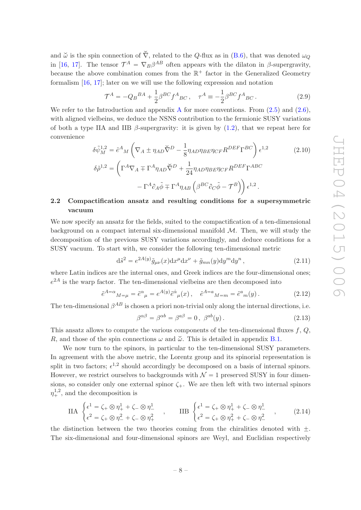and  $\check{\omega}$  is the spin connection of  $\check{\nabla}$ , related to the Q-flux as in [\(B.6\)](#page-27-3), that was denoted  $\omega_{\Omega}$ in [\[16,](#page-37-1) [17](#page-37-2)]. The tensor  $\mathcal{T}^A = \nabla_B \beta^{AB}$  often appears with the dilaton in  $\beta$ -supergravity, because the above combination comes from the  $\mathbb{R}^+$  factor in the Generalized Geometry formalism [\[16,](#page-37-1) [17\]](#page-37-2); later on we will use the following expression and notation

<span id="page-8-2"></span><span id="page-8-1"></span>
$$
\mathcal{T}^{A} = -Q_{B}{}^{BA} + \frac{1}{2} \beta^{BC} f^{A}{}_{BC} \,, \quad \tau^{A} = -\frac{1}{2} \beta^{BC} f^{A}{}_{BC} \,. \tag{2.9}
$$

We refer to the Introduction and appendix [A](#page-26-0) for more conventions. From  $(2.5)$  and  $(2.6)$ , with aligned vielbeins, we deduce the NSNS contribution to the fermionic SUSY variations of both a type IIA and IIB  $\beta$ -supergravity: it is given by [\(1.2\)](#page-2-0), that we repeat here for convenience

$$
\delta \tilde{\psi}_{M}^{1,2} = \tilde{e}^{A}{}_{M} \left( \nabla_{A} \pm \eta_{AD} \tilde{\nabla}^{D} - \frac{1}{8} \eta_{AD} \eta_{BE} \eta_{CF} R^{DEF} \Gamma^{BC} \right) \epsilon^{1,2}
$$
\n
$$
\delta \tilde{\rho}^{1,2} = \left( \Gamma^{A} \nabla_{A} \mp \Gamma^{A} \eta_{AD} \tilde{\nabla}^{D} + \frac{1}{24} \eta_{AD} \eta_{BE} \eta_{CF} R^{DEF} \Gamma^{ABC} \right. \\
\left. - \Gamma^{A} \partial_{A} \tilde{\phi} \mp \Gamma^{A} \eta_{AB} \left( \beta^{BC} \partial_{C} \tilde{\phi} - \mathcal{T}^{B} \right) \right) \epsilon^{1,2}.
$$
\n(2.10)

# <span id="page-8-0"></span>2.2 Compactification ansatz and resulting conditions for a supersymmetric vacuum

We now specify an ansatz for the fields, suited to the compactification of a ten-dimensional background on a compact internal six-dimensional manifold  $\mathcal{M}$ . Then, we will study the decomposition of the previous SUSY variations accordingly, and deduce conditions for a SUSY vacuum. To start with, we consider the following ten-dimensional metric

$$
\mathrm{d}\tilde{s}^2 = e^{2A(y)}\tilde{g}_{\mu\nu}(x)\mathrm{d}x^{\mu}\mathrm{d}x^{\nu} + \tilde{g}_{mn}(y)\mathrm{d}y^m\mathrm{d}y^n\,,\tag{2.11}
$$

where Latin indices are the internal ones, and Greek indices are the four-dimensional ones;  $e^{2A}$  is the warp factor. The ten-dimensional vielbeins are then decomposed into

$$
\tilde{e}^{A=\alpha}{}_{M=\mu} = \tilde{e}^{\alpha}{}_{\mu} = e^{A(y)} \tilde{e}^{\dot{\alpha}}{}_{\mu}(x) , \quad \tilde{e}^{A=a}{}_{M=m} = \tilde{e}^{a}{}_{m}(y) . \tag{2.12}
$$

The ten-dimensional  $\beta^{AB}$  is chosen a priori non-trivial only along the internal directions, i.e.

$$
\beta^{\alpha\beta} = \beta^{\alpha b} = \beta^{a\beta} = 0, \ \beta^{ab}(y). \tag{2.13}
$$

This ansatz allows to compute the various components of the ten-dimensional fluxes  $f, Q$ , R, and those of the spin connections  $\omega$  and  $\check{\omega}$ . This is detailed in appendix [B.1.](#page-27-1)

We now turn to the spinors, in particular to the ten-dimensional SUSY parameters. In agreement with the above metric, the Lorentz group and its spinorial representation is split in two factors;  $\epsilon^{1,2}$  should accordingly be decomposed on a basis of internal spinors. However, we restrict ourselves to backgrounds with  $\mathcal{N} = 1$  preserved SUSY in four dimensions, so consider only one external spinor  $\zeta_{+}$ . We are then left with two internal spinors  $\eta_+^{1,2}$ , and the decomposition is

$$
\text{IIA} \begin{cases} \epsilon^{1} = \zeta_{+} \otimes \eta_{+}^{1} + \zeta_{-} \otimes \eta_{-}^{1} \\ \epsilon^{2} = \zeta_{+} \otimes \eta_{-}^{2} + \zeta_{-} \otimes \eta_{+}^{2} \end{cases}, \quad \text{IIB} \begin{cases} \epsilon^{1} = \zeta_{+} \otimes \eta_{+}^{1} + \zeta_{-} \otimes \eta_{-}^{1} \\ \epsilon^{2} = \zeta_{+} \otimes \eta_{+}^{2} + \zeta_{-} \otimes \eta_{-}^{2} \end{cases}, \quad (2.14)
$$

the distinction between the two theories coming from the chiralities denoted with  $\pm$ . The six-dimensional and four-dimensional spinors are Weyl, and Euclidian respectively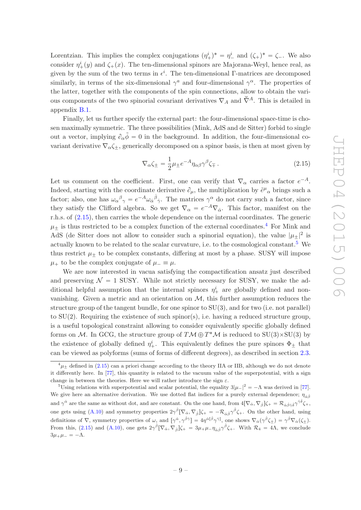Lorentzian. This implies the complex conjugations  $(\eta^i_+)^* = \eta^i_-$  and  $(\zeta_+)^* = \zeta_-$ . We also consider  $\eta^i_+(y)$  and  $\zeta_+(x)$ . The ten-dimensional spinors are Majorana-Weyl, hence real, as given by the sum of the two terms in  $\epsilon^i$ . The ten-dimensional Γ-matrices are decomposed similarly, in terms of the six-dimensional  $\gamma^a$  and four-dimensional  $\gamma^{\alpha}$ . The properties of the latter, together with the components of the spin connections, allow to obtain the various components of the two spinorial covariant derivatives  $\nabla_A$  and  $\check{\nabla}^A$ . This is detailed in appendix [B.1.](#page-27-1)

Finally, let us further specify the external part: the four-dimensional space-time is chosen maximally symmetric. The three possibilities (Mink, AdS and de Sitter) forbid to single out a vector, implying  $\partial_{\alpha}\tilde{\phi}=0$  in the background. In addition, the four-dimensional covariant derivative  $\nabla_{\alpha} \zeta_{+}$ , generically decomposed on a spinor basis, is then at most given by

<span id="page-9-0"></span>
$$
\nabla_{\alpha}\zeta_{\pm} = \frac{1}{2}\mu_{\pm}e^{-A}\eta_{\alpha\beta}\gamma^{\beta}\zeta_{\mp}.
$$
 (2.15)

Let us comment on the coefficient. First, one can verify that  $\nabla_{\alpha}$  carries a factor  $e^{-A}$ . Indeed, starting with the coordinate derivative  $\partial_{\mu}$ , the multiplication by  $\tilde{e}^{\mu}{}_{\alpha}$  brings such a factor; also, one has  $\omega_{\alpha}{}^{\beta}{}_{\gamma} = e^{-A} \omega_{\dot{\alpha}}{}^{\dot{\beta}}{}_{\dot{\gamma}}$ . The matrices  $\gamma^{\alpha}$  do not carry such a factor, since they satisfy the Clifford algebra. So we get  $\nabla_{\alpha} = e^{-A} \nabla_{\dot{\alpha}}$ . This factor, manifest on the r.h.s. of [\(2.15\)](#page-9-0), then carries the whole dependence on the internal coordinates. The generic  $\mu_{+}$  is thus restricted to be a complex function of the external coordinates.<sup>[4](#page-9-1)</sup> For Mink and AdS (de Sitter does not allow to consider such a spinorial equation), the value  $|\mu_{\pm}|^2$  is actually known to be related to the scalar curvature, i.e. to the cosmological constant.<sup>[5](#page-9-2)</sup> We thus restrict  $\mu_{\pm}$  to be complex constants, differing at most by a phase. SUSY will impose  $\mu_+$  to be the complex conjugate of  $\mu_- \equiv \mu$ .

We are now interested in vacua satisfying the compactification ansatz just described and preserving  $\mathcal{N} = 1$  SUSY. While not strictly necessary for SUSY, we make the additional helpful assumption that the internal spinors  $\eta^i_+$  are globally defined and nonvanishing. Given a metric and an orientation on  $M$ , this further assumption reduces the structure group of the tangent bundle, for one spinor to SU(3), and for two (i.e. not parallel) to  $SU(2)$ . Requiring the existence of such spinor(s), i.e. having a reduced structure group, is a useful topological constraint allowing to consider equivalently specific globally defined forms on M. In GCG, the structure group of  $T M \oplus T^* M$  is reduced to  $SU(3) \times SU(3)$  by the existence of globally defined  $\eta^i_+$ . This equivalently defines the pure spinors  $\Phi_{\pm}$  that can be viewed as polyforms (sums of forms of different degrees), as described in section [2.3.](#page-11-0)

<span id="page-9-1"></span> $^{4}\mu_{\pm}$  defined in [\(2.15\)](#page-9-0) can a priori change according to the theory IIA or IIB, although we do not denote it differently here. In [\[77](#page-40-1)], this quantity is related to the vacuum value of the superpotential, with a sign change in between the theories. Here we will rather introduce the sign  $\varepsilon$ .

<span id="page-9-2"></span><sup>&</sup>lt;sup>5</sup>Using relations with superpotential and scalar potential, the equality  $3|\mu_{-}|^2 = -\Lambda$  was derived in [\[77\]](#page-40-1). We give here an alternative derivation. We use dotted flat indices for a purely external dependence;  $\eta_{\dot{\alpha}\dot{\beta}}$ and  $\gamma^{\dot{\alpha}}$  are the same as without dot, and are constant. On the one hand, from  $4[\nabla_{\dot{\alpha}}, \nabla_{\dot{\beta}}]\zeta_{+} = \mathcal{R}_{\dot{\alpha}\dot{\beta}\dot{\gamma}\dot{\delta}}\gamma^{\dot{\gamma}\dot{\delta}}\zeta_{+}$ , one gets using [\(A.10\)](#page-27-2) and symmetry properties  $2\gamma^{\dot{\beta}}[\nabla_{\dot{\alpha}}, \nabla_{\dot{\beta}}]\zeta_{+} = -\mathcal{R}_{\dot{\alpha}\dot{\beta}}\gamma^{\dot{\beta}}\zeta_{+}$ . On the other hand, using definitions of  $\nabla$ , symmetry properties of  $\omega$ , and  $[\gamma^{\dot{\alpha}}, \gamma^{\dot{\beta}\dot{\gamma}}] = 4\eta^{\dot{\alpha}}[\dot{\beta}\gamma^{\dot{\gamma}}]$ , one shows  $\nabla_{\dot{\alpha}}(\gamma^{\dot{\beta}}\zeta_{\pm}) = \gamma^{\dot{\beta}}\nabla_{\dot{\alpha}}(\zeta_{\pm}).$ From this, [\(2.15\)](#page-9-0) and [\(A.10\)](#page-27-2), one gets  $2\gamma^{\dot{\beta}}[\nabla_{\dot{\alpha}}, \nabla_{\dot{\beta}}]\zeta_{+} = 3\mu_{+}\mu_{-}\eta_{\dot{\alpha}\dot{\beta}}\gamma^{\dot{\beta}}\zeta_{+}$ . With  $\mathcal{R}_{4} = 4\Lambda$ , we conclude  $3\mu_+\mu_- = -\Lambda.$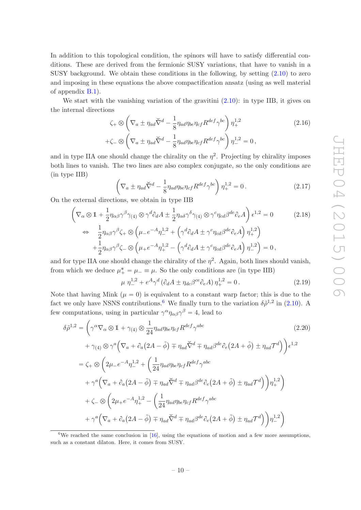In addition to this topological condition, the spinors will have to satisfy differential conditions. These are derived from the fermionic SUSY variations, that have to vanish in a SUSY background. We obtain these conditions in the following, by setting  $(2.10)$  to zero and imposing in these equations the above compactification ansatz (using as well material of appendix [B.1\)](#page-27-1).

We start with the vanishing variation of the gravitini  $(2.10)$ : in type IIB, it gives on the internal directions

$$
\zeta_{+} \otimes \left(\nabla_{a} \pm \eta_{ad} \breve{\nabla}^{d} - \frac{1}{8} \eta_{ad} \eta_{be} \eta_{cf} R^{def} \gamma^{bc}\right) \eta_{+}^{1,2} \qquad (2.16)
$$
  
 
$$
+\zeta_{-} \otimes \left(\nabla_{a} \pm \eta_{ad} \breve{\nabla}^{d} - \frac{1}{8} \eta_{ad} \eta_{be} \eta_{cf} R^{def} \gamma^{bc}\right) \eta_{-}^{1,2} = 0,
$$

and in type IIA one should change the chirality on the  $\eta^2$ . Projecting by chirality imposes both lines to vanish. The two lines are also complex conjugate, so the only conditions are (in type IIB)

$$
\left(\nabla_a \pm \eta_{ad}\check{\nabla}^d - \frac{1}{8}\eta_{ad}\eta_{be}\eta_{cf}R^{def}\gamma^{bc}\right)\eta_+^{1,2} = 0.
$$
 (2.17)

On the external directions, we obtain in type IIB

$$
\left(\nabla_{\alpha}\otimes\mathbf{1}+\frac{1}{2}\eta_{\alpha\beta}\gamma^{\beta}\gamma_{(4)}\otimes\gamma^{d}\partial_{d}A\pm\frac{1}{2}\eta_{\alpha\delta}\gamma^{\delta}\gamma_{(4)}\otimes\gamma^{c}\eta_{cd}\beta^{de}\partial_{e}A\right)\epsilon^{1,2}=0
$$
\n
$$
\Leftrightarrow\frac{1}{2}\eta_{\alpha\beta}\gamma^{\beta}\zeta_{+}\otimes\left(\mu_{-}e^{-A}\eta_{-}^{1,2}+\left(\gamma^{d}\partial_{d}A\pm\gamma^{c}\eta_{cd}\beta^{de}\partial_{e}A\right)\eta_{+}^{1,2}\right)
$$
\n
$$
+\frac{1}{2}\eta_{\alpha\beta}\gamma^{\beta}\zeta_{-}\otimes\left(\mu_{+}e^{-A}\eta_{+}^{1,2}-\left(\gamma^{d}\partial_{d}A\pm\gamma^{c}\eta_{cd}\beta^{de}\partial_{e}A\right)\eta_{-}^{1,2}\right)=0,
$$
\n(2.18)

and for type IIA one should change the chirality of the  $\eta^2$ . Again, both lines should vanish, from which we deduce  $\mu^*_{+} = \mu_{-} \equiv \mu$ . So the only conditions are (in type IIB)

$$
\mu \eta_{-}^{1,2} + e^A \gamma^d \left( \partial_d A \pm \eta_{dc} \beta^{ce} \partial_e A \right) \eta_{+}^{1,2} = 0. \qquad (2.19)
$$

Note that having Mink  $(\mu = 0)$  is equivalent to a constant warp factor; this is due to the fact we only have NSNS contributions.<sup>[6](#page-10-0)</sup> We finally turn to the variation  $\delta \tilde{\rho}^{1,2}$  in [\(2.10\)](#page-8-2). A few computations, using in particular  $\gamma^{\alpha} \eta_{\alpha\beta} \gamma^{\beta} = 4$ , lead to

$$
\delta \tilde{\rho}^{1,2} = \left( \gamma^{\alpha} \nabla_{\alpha} \otimes 1 + \gamma_{(4)} \otimes \frac{1}{24} \eta_{ad} \eta_{be} \eta_{cf} R^{def} \gamma^{abc} \right)
$$
\n
$$
+ \gamma_{(4)} \otimes \gamma^{a} \left( \nabla_{a} + \partial_{a} \left( 2A - \tilde{\phi} \right) \mp \eta_{ad} \tilde{\nabla}^{d} \mp \eta_{ad} \beta^{de} \partial_{e} \left( 2A + \tilde{\phi} \right) \pm \eta_{ad} \mathcal{T}^{d} \right) \right) \epsilon^{1,2}
$$
\n
$$
= \zeta_{+} \otimes \left( 2\mu_{-} e^{-A} \eta_{-}^{1,2} + \left( \frac{1}{24} \eta_{ad} \eta_{be} \eta_{cf} R^{def} \gamma^{abc} \right)
$$
\n
$$
+ \gamma^{a} \left( \nabla_{a} + \partial_{a} \left( 2A - \tilde{\phi} \right) \mp \eta_{ad} \tilde{\nabla}^{d} \mp \eta_{ad} \beta^{de} \partial_{e} \left( 2A + \tilde{\phi} \right) \pm \eta_{ad} \mathcal{T}^{d} \right) \right) \eta_{+}^{1,2} \right)
$$
\n
$$
+ \zeta_{-} \otimes \left( 2\mu_{+} e^{-A} \eta_{+}^{1,2} - \left( \frac{1}{24} \eta_{ad} \eta_{be} \eta_{cf} R^{def} \gamma^{abc} \right)
$$
\n
$$
+ \gamma^{a} \left( \nabla_{a} + \partial_{a} \left( 2A - \tilde{\phi} \right) \mp \eta_{ad} \tilde{\nabla}^{d} \mp \eta_{ad} \beta^{de} \partial_{e} \left( 2A + \tilde{\phi} \right) \pm \eta_{ad} \mathcal{T}^{d} \right) \right) \eta_{-}^{1,2} \right)
$$
\n(2.20)

<span id="page-10-0"></span><sup>6</sup>We reached the same conclusion in [\[16](#page-37-1)], using the equations of motion and a few more assumptions, such as a constant dilaton. Here, it comes from SUSY.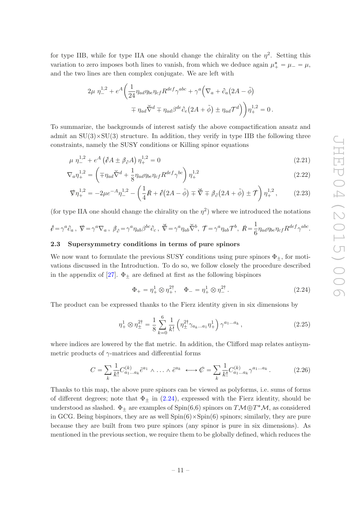<span id="page-11-4"></span><span id="page-11-3"></span><span id="page-11-2"></span>.

for type IIB, while for type IIA one should change the chirality on the  $\eta^2$ . Setting this variation to zero imposes both lines to vanish, from which we deduce again  $\mu^*$  =  $\mu$  =  $\mu$ , and the two lines are then complex conjugate. We are left with

$$
2\mu \eta_{-}^{1,2} + e^{A} \left( \frac{1}{24} \eta_{ad} \eta_{be} \eta_{cf} R^{def} \gamma^{abc} + \gamma^{a} \left( \nabla_{a} + \partial_{a} \left( 2A - \tilde{\phi} \right) \right) \right.
$$

$$
\mp \eta_{ad} \breve{\nabla}^{d} \mp \eta_{ad} \beta^{de} \partial_{e} \left( 2A + \tilde{\phi} \right) \pm \eta_{ad} \mathcal{T}^{d} \right) \Big) \eta_{+}^{1,2} = 0.
$$

To summarize, the backgrounds of interest satisfy the above compactification ansatz and admit an  $SU(3) \times SU(3)$  structure. In addition, they verify in type IIB the following three constraints, namely the SUSY conditions or Killing spinor equations

$$
\mu \eta_{-}^{1,2} + e^A \left(\partial A \pm \beta_{\partial} A\right) \eta_{+}^{1,2} = 0 \tag{2.21}
$$

$$
\nabla_a \eta_+^{1,2} = \left( \mp \eta_{ad} \breve{\nabla}^d + \frac{1}{8} \eta_{ad} \eta_{be} \eta_{cf} R^{def} \gamma^{bc} \right) \eta_+^{1,2} \tag{2.22}
$$

$$
\nabla \eta_{+}^{1,2} = -2\mu e^{-A} \eta_{-}^{1,2} - \left(\frac{1}{4}R + \phi(2A - \tilde{\phi}) \mp \tilde{\nabla} \mp \beta_{\partial}(2A + \tilde{\phi}) \pm \mathcal{T}\right) \eta_{+}^{1,2},\tag{2.23}
$$

(for type IIA one should change the chirality on the  $\eta^2$ ) where we introduced the notations

$$
\phi = \gamma^a \partial_a , \ \nabla = \gamma^a \nabla_a , \ \beta_{\partial} = \gamma^a \eta_{ab} \beta^{bc} \partial_c , \ \nabla = \gamma^a \eta_{ab} \nabla^b , \ \mathcal{T} = \gamma^a \eta_{ab} \mathcal{T}^b , \ \mathcal{R} = \frac{1}{6} \eta_{ad} \eta_{be} \eta_{cf} R^{def} \gamma^{abc}
$$

#### <span id="page-11-0"></span>2.3 Supersymmetry conditions in terms of pure spinors

We now want to formulate the previous SUSY conditions using pure spinors  $\Phi_{+}$ , for motivations discussed in the Introduction. To do so, we follow closely the procedure described in the appendix of [\[27](#page-37-11)].  $\Phi_{+}$  are defined at first as the following bispinors

<span id="page-11-1"></span>
$$
\Phi_{+} = \eta_{+}^{1} \otimes \eta_{+}^{2\dagger}, \quad \Phi_{-} = \eta_{+}^{1} \otimes \eta_{-}^{2\dagger}.
$$
 (2.24)

The product can be expressed thanks to the Fierz identity given in six dimensions by

$$
\eta_+^1 \otimes \eta_{\pm}^{2\dagger} = \frac{1}{8} \sum_{k=0}^6 \frac{1}{k!} \left( \eta_{\pm}^{2\dagger} \gamma_{a_k \dots a_1} \eta_+^1 \right) \gamma^{a_1 \dots a_k}, \qquad (2.25)
$$

where indices are lowered by the flat metric. In addition, the Clifford map relates antisymmetric products of  $\gamma$ -matrices and differential forms

<span id="page-11-5"></span>
$$
C = \sum_{k} \frac{1}{k!} C_{a_1 \dots a_k}^{(k)} \tilde{e}^{a_1} \wedge \dots \wedge \tilde{e}^{a_k} \longleftrightarrow \mathcal{C} = \sum_{k} \frac{1}{k!} C_{a_1 \dots a_k}^{(k)} \gamma^{a_1 \dots a_k}.
$$
 (2.26)

Thanks to this map, the above pure spinors can be viewed as polyforms, i.e. sums of forms of different degrees; note that  $\Phi_{\pm}$  in [\(2.24\)](#page-11-1), expressed with the Fierz identity, should be understood as slashed.  $\Phi_{\pm}$  are examples of  $\text{Spin}(6,6)$  spinors on  $T\mathcal{M} \oplus T^*\mathcal{M}$ , as considered in GCG. Being bispinors, they are as well  $Spin(6) \times Spin(6)$  spinors; similarly, they are pure because they are built from two pure spinors (any spinor is pure in six dimensions). As mentioned in the previous section, we require them to be globally defined, which reduces the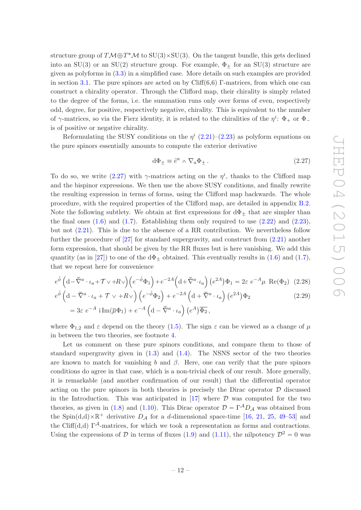structure group of  $T\mathcal{M} \oplus T^*\mathcal{M}$  to  $SU(3) \times SU(3)$ . On the tangent bundle, this gets declined into an SU(3) or an SU(2) structure group. For example,  $\Phi_+$  for an SU(3) structure are given as polyforms in [\(3.3\)](#page-14-1) in a simplified case. More details on such examples are provided in section [3.1.](#page-14-0) The pure spinors are acted on by  $Cliff(6,6)$  Γ-matrices, from which one can construct a chirality operator. Through the Clifford map, their chirality is simply related to the degree of the forms, i.e. the summation runs only over forms of even, respectively odd, degree, for positive, respectively negative, chirality. This is equivalent to the number of  $\gamma$ -matrices, so via the Fierz identity, it is related to the chiralities of the  $\eta^i$ :  $\Phi_+$  or  $\Phi_$ is of positive or negative chirality.

Reformulating the SUSY conditions on the  $\eta^{i}$  [\(2.21\)](#page-11-2)–[\(2.23\)](#page-11-3) as polyform equations on the pure spinors essentially amounts to compute the exterior derivative

<span id="page-12-2"></span><span id="page-12-1"></span><span id="page-12-0"></span>
$$
d\Phi_{\pm} \equiv \tilde{e}^a \wedge \nabla_a \Phi_{\pm} \,. \tag{2.27}
$$

To do so, we write [\(2.27\)](#page-12-0) with  $\gamma$ -matrices acting on the  $\eta^i$ , thanks to the Clifford map and the bispinor expressions. We then use the above SUSY conditions, and finally rewrite the resulting expression in terms of forms, using the Clifford map backwards. The whole procedure, with the required properties of the Clifford map, are detailed in appendix [B.2.](#page-28-0) Note the following subtlety. We obtain at first expressions for  $d\Phi_{\pm}$  that are simpler than the final ones  $(1.6)$  and  $(1.7)$ . Establishing them only required to use  $(2.22)$  and  $(2.23)$ , but not [\(2.21\)](#page-11-2). This is due to the absence of a RR contribution. We nevertheless follow further the procedure of [\[27\]](#page-37-11) for standard supergravity, and construct from [\(2.21\)](#page-11-2) another form expression, that should be given by the RR fluxes but is here vanishing. We add this quantity (as in [\[27](#page-37-11)]) to one of the  $d\Phi_{+}$  obtained. This eventually results in [\(1.6\)](#page-3-3) and [\(1.7\)](#page-3-4), that we repeat here for convenience

$$
e^{\tilde{\phi}} \left( d - \tilde{\nabla}^a \cdot \iota_a + \mathcal{T} \vee + R \vee \right) \left( e^{-\tilde{\phi}} \Phi_1 \right) + e^{-2A} \left( d + \tilde{\nabla}^a \cdot \iota_a \right) \left( e^{2A} \right) \Phi_1 = 2\varepsilon \ e^{-A} \mu \ \text{Re}(\Phi_2) \tag{2.28}
$$

$$
e^{\tilde{\phi}} \left( \mathrm{d} - \tilde{\nabla}^a \cdot \iota_a + \mathcal{T} \vee + R \vee \right) \left( e^{-\tilde{\phi}} \Phi_2 \right) + e^{-2A} \left( \mathrm{d} + \tilde{\nabla}^a \cdot \iota_a \right) \left( e^{2A} \right) \Phi_2
$$
\n
$$
= 3\varepsilon \ e^{-A} \mathrm{i} \operatorname{Im}(\overline{\mu} \Phi_1) + e^{-A} \left( \mathrm{d} - \tilde{\nabla}^a \cdot \iota_a \right) \left( e^A \right) \overline{\Phi_2},
$$
\n(2.29)

where  $\Phi_{1,2}$  and  $\varepsilon$  depend on the theory [\(1.5\)](#page-3-5). The sign  $\varepsilon$  can be viewed as a change of  $\mu$ in between the two theories, see footnote [4.](#page-9-1)

Let us comment on these pure spinors conditions, and compare them to those of standard supergravity given in  $(1.3)$  and  $(1.4)$ . The NSNS sector of the two theories are known to match for vanishing b and  $\beta$ . Here, one can verify that the pure spinors conditions do agree in that case, which is a non-trivial check of our result. More generally, it is remarkable (and another confirmation of our result) that the differential operator acting on the pure spinors in both theories is precisely the Dirac operator  $\mathcal D$  discussed in the Introduction. This was anticipated in  $[17]$  where  $D$  was computed for the two theories, as given in [\(1.8\)](#page-4-3) and [\(1.10\)](#page-4-0). This Dirac operator  $\mathcal{D} = \Gamma^A D_A$  was obtained from the Spin(d,d) $\times \mathbb{R}^+$  derivative  $D_A$  for a d-dimensional space-time [\[16,](#page-37-1) [21](#page-37-6), [25,](#page-37-9) [49](#page-38-6)[–53\]](#page-38-7) and the Cliff(d,d)  $\Gamma^{\mathcal{A}}$ -matrices, for which we took a representation as forms and contractions. Using the expressions of D in terms of fluxes [\(1.9\)](#page-4-5) and [\(1.11\)](#page-4-4), the nilpotency  $\mathcal{D}^2 = 0$  was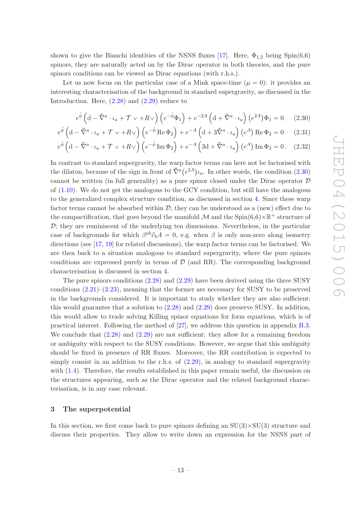shown to give the Bianchi identities of the NSNS fluxes [\[17](#page-37-2)]. Here,  $\Phi_{1,2}$  being Spin(6,6) spinors, they are naturally acted on by the Dirac operator in both theories, and the pure spinors conditions can be viewed as Dirac equations (with r.h.s.).

Let us now focus on the particular case of a Mink space-time  $(\mu = 0)$ : it provides an interesting characterisation of the background in standard supergravity, as discussed in the Introduction. Here,  $(2.28)$  and  $(2.29)$  reduce to

<span id="page-13-1"></span>
$$
e^{\tilde{\phi}} \left( \mathbf{d} - \tilde{\nabla}^a \cdot \iota_a + \mathcal{T} \vee + R \vee \right) \left( e^{-\tilde{\phi}} \Phi_1 \right) + e^{-2A} \left( \mathbf{d} + \tilde{\nabla}^a \cdot \iota_a \right) \left( e^{2A} \right) \Phi_1 = 0 \quad (2.30)
$$

$$
e^{\tilde{\phi}} \left( \mathbf{d} - \tilde{\nabla}^a \cdot \iota_a + \mathcal{T} \vee + R \vee \right) \left( e^{-\tilde{\phi}} \operatorname{Re} \Phi_2 \right) + e^{-A} \left( \mathbf{d} + 3 \tilde{\nabla}^a \cdot \iota_a \right) \left( e^A \right) \operatorname{Re} \Phi_2 = 0 \tag{2.31}
$$

$$
e^{\tilde{\phi}} \left( \mathrm{d} - \breve{\nabla}^a \cdot \iota_a + \mathcal{T} \vee + R \vee \right) \left( e^{-\tilde{\phi}} \operatorname{Im} \Phi_2 \right) + e^{-A} \left( 3\mathrm{d} + \breve{\nabla}^a \cdot \iota_a \right) \left( e^A \right) \operatorname{Im} \Phi_2 = 0. \quad (2.32)
$$

In contrast to standard supergravity, the warp factor terms can here not be factorised with the dilaton, because of the sign in front of  $\check{\nabla}^a(e^{2A})_{a}$ . In other words, the condition [\(2.30\)](#page-13-1) cannot be written (in full generality) as a pure spinor closed under the Dirac operator  $D$ of [\(1.10\)](#page-4-0). We do not get the analogous to the GCY condition, but still have the analogous to the generalized complex structure condition, as discussed in section [4.](#page-18-0) Since these warp factor terms cannot be absorbed within  $D$ , they can be understood as a (new) effect due to the compactification, that goes beyond the manifold  $\mathcal M$  and the  $\text{Spin}(6,6)\times\mathbb{R}^+$  structure of  $\mathcal{D}$ ; they are reminiscent of the underlying ten dimensions. Nevertheless, in the particular case of backgrounds for which  $\beta^{ab}\partial_b A = 0$ , e.g. when  $\beta$  is only non-zero along isometry directions (see [\[17,](#page-37-2) [19\]](#page-37-5) for related discussions), the warp factor terms can be factorised. We are then back to a situation analogous to standard supergravity, where the pure spinors conditions are expressed purely in terms of  $\mathcal{D}$  (and RR). The corresponding background characterisation is discussed in section [4.](#page-18-0)

The pure spinors conditions [\(2.28\)](#page-12-1) and [\(2.29\)](#page-12-2) have been derived using the three SUSY conditions  $(2.21)$ – $(2.23)$ , meaning that the former are necessary for SUSY to be preserved in the backgrounds considered. It is important to study whether they are also sufficient: this would guarantee that a solution to [\(2.28\)](#page-12-1) and [\(2.29\)](#page-12-2) does preserve SUSY. In addition, this would allow to trade solving Killing spinor equations for form equations, which is of practical interest. Following the method of [\[27\]](#page-37-11), we address this question in appendix [B.3.](#page-31-0) We conclude that  $(2.28)$  and  $(2.29)$  are not sufficient: they allow for a remaining freedom or ambiguity with respect to the SUSY conditions. However, we argue that this ambiguity should be fixed in presence of RR fluxes. Moreover, the RR contribution is expected to simply consist in an addition to the r.h.s. of [\(2.29\)](#page-12-2), in analogy to standard supergravity with  $(1.4)$ . Therefore, the results established in this paper remain useful, the discussion on the structures appearing, such as the Dirac operator and the related background characterisation, is in any case relevant.

#### <span id="page-13-0"></span>3 The superpotential

In this section, we first come back to pure spinors defining an  $SU(3) \times SU(3)$  structure and discuss their properties. They allow to write down an expression for the NSNS part of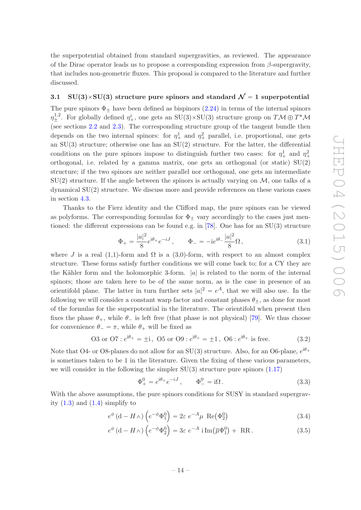the superpotential obtained from standard supergravities, as reviewed. The appearance of the Dirac operator leads us to propose a corresponding expression from  $\beta$ -supergravity, that includes non-geometric fluxes. This proposal is compared to the literature and further discussed.

### <span id="page-14-0"></span>3.1 SU(3)×SU(3) structure pure spinors and standard  $\mathcal{N} = 1$  superpotential

The pure spinors  $\Phi_+$  have been defined as bispinors [\(2.24\)](#page-11-1) in terms of the internal spinors  $\eta_{\pm}^{1,2}$ . For globally defined  $\eta_{+}^{i}$ , one gets an SU(3)×SU(3) structure group on TM  $\oplus T^{*}M$ (see sections [2.2](#page-8-0) and [2.3\)](#page-11-0). The corresponding structure group of the tangent bundle then depends on the two internal spinors: for  $\eta_+^1$  and  $\eta_+^2$  parallel, i.e. proportional, one gets an  $SU(3)$  structure; otherwise one has an  $SU(2)$  structure. For the latter, the differential conditions on the pure spinors impose to distinguish further two cases: for  $\eta^1_+$  and  $\eta^2_+$  $^{+}$ orthogonal, i.e. related by a gamma matrix, one gets an orthogonal (or static)  $SU(2)$ structure; if the two spinors are neither parallel nor orthogonal, one gets an intermediate  $SU(2)$  structure. If the angle between the spinors is actually varying on  $\mathcal{M}$ , one talks of a dynamical SU(2) structure. We discuss more and provide references on these various cases in section [4.3.](#page-23-0)

Thanks to the Fierz identity and the Clifford map, the pure spinors can be viewed as polyforms. The corresponding formulas for  $\Phi_{\pm}$  vary accordingly to the cases just men-tioned: the different expressions can be found e.g. in [\[78\]](#page-40-2). One has for an  $SU(3)$  structure

$$
\Phi_{+} = \frac{|a|^2}{8} e^{i\theta_{+}} e^{-iJ}, \qquad \Phi_{-} = -i e^{i\theta_{-}} \frac{|a|^2}{8} \Omega, \qquad (3.1)
$$

where J is a real (1,1)-form and  $\Omega$  is a (3,0)-form, with respect to an almost complex structure. These forms satisfy further conditions we will come back to; for a CY they are the Kähler form and the holomorphic 3-form.  $|a|$  is related to the norm of the internal spinors; those are taken here to be of the same norm, as is the case in presence of an orientifold plane. The latter in turn further sets  $|a|^2 = e^A$ , that we will also use. In the following we will consider a constant warp factor and constant phases  $\theta_{\pm}$ , as done for most of the formulas for the superpotential in the literature. The orientifold when present then fixes the phase  $\theta_+$ , while  $\theta_-$  is left free (that phase is not physical) [\[79](#page-40-3)]. We thus choose for convenience  $\theta_- = \pi$ , while  $\theta_+$  will be fixed as

<span id="page-14-4"></span>03 or 07 : 
$$
e^{i\theta_+} = \pm i
$$
, 05 or 09 :  $e^{i\theta_+} = \pm 1$ , 06 :  $e^{i\theta_+}$  is free. (3.2)

Note that O4- or O8-planes do not allow for an SU(3) structure. Also, for an O6-plane,  $e^{i\theta_+}$ is sometimes taken to be 1 in the literature. Given the fixing of these various parameters, we will consider in the following the simpler  $SU(3)$  structure pure spinors  $(1.17)$ 

<span id="page-14-3"></span><span id="page-14-2"></span><span id="page-14-1"></span>
$$
\Phi_{+}^{0} = e^{i\theta_{+}} e^{-iJ}, \qquad \Phi_{-}^{0} = i\Omega. \qquad (3.3)
$$

With the above assumptions, the pure spinors conditions for SUSY in standard supergravity  $(1.3)$  and  $(1.4)$  simplify to

$$
e^{\phi} (d - H_{\wedge}) \left( e^{-\phi} \Phi_1^0 \right) = 2\varepsilon \ e^{-A} \mu \ \text{Re}(\Phi_2^0)
$$
 (3.4)

$$
e^{\phi} \left( d - H \wedge \right) \left( e^{-\phi} \Phi_2^0 \right) = 3\varepsilon \ e^{-A} \ i \operatorname{Im}(\overline{\mu} \Phi_1^0) + \ \operatorname{RR}. \tag{3.5}
$$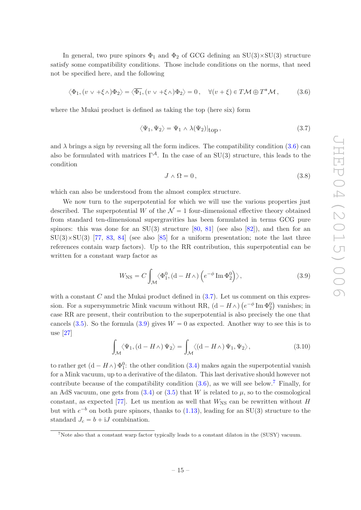In general, two pure spinors  $\Phi_1$  and  $\Phi_2$  of GCG defining an SU(3)×SU(3) structure satisfy some compatibility conditions. Those include conditions on the norms, that need not be specified here, and the following

<span id="page-15-1"></span>
$$
\langle \Phi_1, (v \vee +\xi \wedge) \Phi_2 \rangle = \langle \overline{\Phi_1}, (v \vee +\xi \wedge) \Phi_2 \rangle = 0, \quad \forall (v + \xi) \in T\mathcal{M} \oplus T^*\mathcal{M}, \tag{3.6}
$$

where the Mukai product is defined as taking the top (here six) form

<span id="page-15-0"></span>
$$
\langle \Psi_1, \Psi_2 \rangle = \Psi_1 \wedge \lambda(\Psi_2)|_{\text{top}} , \qquad (3.7)
$$

and  $\lambda$  brings a sign by reversing all the form indices. The compatibility condition [\(3.6\)](#page-15-1) can also be formulated with matrices  $\Gamma^{\mathcal{A}}$ . In the case of an SU(3) structure, this leads to the condition

<span id="page-15-4"></span>
$$
J \wedge \Omega = 0, \tag{3.8}
$$

which can also be understood from the almost complex structure.

We now turn to the superpotential for which we will use the various properties just described. The superpotential W of the  $\mathcal{N} = 1$  four-dimensional effective theory obtained from standard ten-dimensional supergravities has been formulated in terms GCG pure spinors: this was done for an  $SU(3)$  structure [\[80](#page-40-4), [81](#page-40-5)] (see also [\[82\]](#page-40-6)), and then for an  $SU(3)\times SU(3)$  [\[77](#page-40-1), [83](#page-40-7), [84](#page-40-8)] (see also [\[85\]](#page-40-9) for a uniform presentation; note the last three references contain warp factors). Up to the RR contribution, this superpotential can be written for a constant warp factor as

<span id="page-15-2"></span>
$$
W_{\rm NS} = C \int_{\mathcal{M}} \langle \Phi_1^0, (d - H \wedge) \left( e^{-\phi} \operatorname{Im} \Phi_2^0 \right) \rangle, \tag{3.9}
$$

with a constant  $C$  and the Mukai product defined in  $(3.7)$ . Let us comment on this expression. For a supersymmetric Mink vacuum without RR,  $(d - H \wedge)$   $(e^{-\phi} \text{Im } \Phi_2^0)$  vanishes; in case RR are present, their contribution to the superpotential is also precisely the one that cancels [\(3.5\)](#page-14-2). So the formula [\(3.9\)](#page-15-2) gives  $W = 0$  as expected. Another way to see this is to use [\[27](#page-37-11)]

<span id="page-15-5"></span>
$$
\int_{\mathcal{M}} \langle \Psi_1, \left( d - H \wedge \right) \Psi_2 \rangle = \int_{\mathcal{M}} \langle \left( d - H \wedge \right) \Psi_1, \Psi_2 \rangle, \tag{3.10}
$$

to rather get  $(d - H<sub>\wedge</sub>) \Phi_1^0$ : the other condition [\(3.4\)](#page-14-3) makes again the superpotential vanish for a Mink vacuum, up to a derivative of the dilaton. This last derivative should however not contribute because of the compatibility condition  $(3.6)$ , as we will see below.<sup>[7](#page-15-3)</sup> Finally, for an AdS vacuum, one gets from  $(3.4)$  or  $(3.5)$  that W is related to  $\mu$ , so to the cosmological constant, as expected [\[77](#page-40-1)]. Let us mention as well that  $W_{\text{NS}}$  can be rewritten without H but with  $e^{-b}$  on both pure spinors, thanks to [\(1.13\)](#page-4-2), leading for an SU(3) structure to the standard  $J_c = b + iJ$  combination.

<span id="page-15-3"></span><sup>&</sup>lt;sup>7</sup>Note also that a constant warp factor typically leads to a constant dilaton in the (SUSY) vacuum.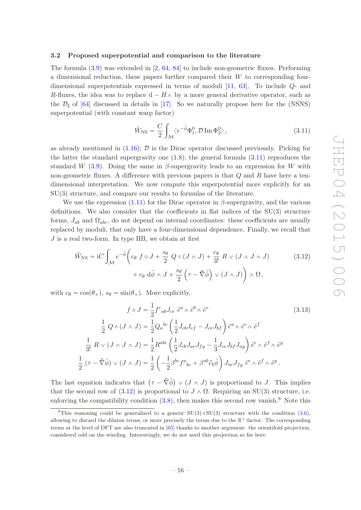#### <span id="page-16-0"></span>3.2 Proposed superpotential and comparison to the literature

The formula [\(3.9\)](#page-15-2) was extended in [\[2](#page-36-6), [64,](#page-39-7) [84\]](#page-40-8) to include non-geometric fluxes. Performing a dimensional reduction, these papers further compared their W to corresponding fourdimensional superpotentials expressed in terms of moduli [\[11,](#page-36-2) [63\]](#page-39-3). To include Q- and R-fluxes, the idea was to replace  $d - H \wedge$  by a more general derivative operator, such as the  $\mathcal{D}_{\sharp}$  of [\[64\]](#page-39-7) discussed in details in [\[17\]](#page-37-2). So we naturally propose here for the (NSNS) superpotential (with constant warp factor)

<span id="page-16-2"></span><span id="page-16-1"></span>
$$
\tilde{W}_{\rm NS} = \frac{C}{2} \int_{\mathcal{M}} \langle e^{-\tilde{\phi}} \Phi_1^0, \mathcal{D} \operatorname{Im} \Phi_2^0 \rangle, \tag{3.11}
$$

as already mentioned in  $(1.16)$ ;  $\mathcal D$  is the Dirac operator discussed previously. Picking for the latter the standard supergravity one  $(1.8)$ , the general formula  $(3.11)$  reproduces the standard W [\(3.9\)](#page-15-2). Doing the same in  $\beta$ -supergravity leads to an expression for W with non-geometric fluxes. A difference with previous papers is that  $Q$  and  $R$  have here a tendimensional interpretation. We now compute this superpotential more explicitly for an SU(3) structure, and compare our results to formulas of the literature.

We use the expression  $(1.11)$  for the Dirac operator in  $\beta$ -supergravity, and the various definitions. We also consider that the coefficients in flat indices of the  $SU(3)$  structure forms,  $J_{ab}$  and  $\Omega_{abc}$ , do not depend on internal coordinates: these coefficients are usually replaced by moduli, that only have a four-dimensional dependence. Finally, we recall that J is a real two-form. In type IIB, we obtain at first

$$
\tilde{W}_{\text{NS}} = iC \int_{\mathcal{M}} e^{-\tilde{\phi}} \left( c_{\theta} \ f \diamond J + \frac{s_{\theta}}{2} \ Q \diamond (J \wedge J) + \frac{c_{\theta}}{3!} \ R \vee (J \wedge J \wedge J) \right) \tag{3.12}
$$
\n
$$
+ c_{\theta} d\tilde{\phi} \wedge J + \frac{s_{\theta}}{2} \left( \tau - \check{\nabla} \tilde{\phi} \right) \vee (J \wedge J) \right) \wedge \Omega \,,
$$

with  $c_{\theta} = \cos(\theta_+), s_{\theta} = \sin(\theta_+).$  More explicitly,

$$
f \diamond J = \frac{1}{2} f^c{}_{ab} J_{ce} \tilde{e}^a \wedge \tilde{e}^b \wedge \tilde{e}^e
$$
\n
$$
\frac{1}{2} Q \diamond (J \wedge J) = \frac{1}{2} Q_a{}^{bc} \left( \frac{1}{2} J_{cb} J_{ef} - J_{ce} J_{bf} \right) \tilde{e}^a \wedge \tilde{e}^e \wedge \tilde{e}^f
$$
\n
$$
\frac{1}{3!} R \vee (J \wedge J \wedge J) = \frac{1}{2} R^{abc} \left( \frac{1}{2} J_{cb} J_{ae} J_{fg} - \frac{1}{3} J_{ce} J_{bf} J_{ag} \right) \tilde{e}^e \wedge \tilde{e}^f \wedge \tilde{e}^g
$$
\n
$$
\frac{1}{2} (\tau - \tilde{\nabla} \tilde{\phi}) \vee (J \wedge J) = \frac{1}{2} \left( -\frac{1}{2} \beta^{bc} f^a{}_{bc} + \beta^{ab} \partial_b \tilde{\phi} \right) J_{ae} J_{fg} \tilde{e}^e \wedge \tilde{e}^f \wedge \tilde{e}^g.
$$
\n(3.13)

The last equation indicates that  $(\tau - \check{\nabla} \check{\phi}) \vee (J \wedge J)$  is proportional to J. This implies that the second row of [\(3.12\)](#page-16-2) is proportional to  $J \wedge \Omega$ . Requiring an SU(3) structure, i.e. enforcing the compatibility condition  $(3.8)$  $(3.8)$  $(3.8)$ , then makes this second row vanish.<sup>8</sup> Note this

<span id="page-16-3"></span><sup>&</sup>lt;sup>8</sup>This reasoning could be generalized to a generic  $SU(3) \times SU(3)$  structure with the condition [\(3.6\)](#page-15-1), allowing to discard the dilaton terms, or more precisely the terms due to the  $\mathbb{R}^+$  factor. The corresponding terms at the level of DFT are also truncated in [\[65](#page-39-4)] thanks to another argument: the orientifold projection, considered odd on the winding. Interestingly, we do not need this projection so far here.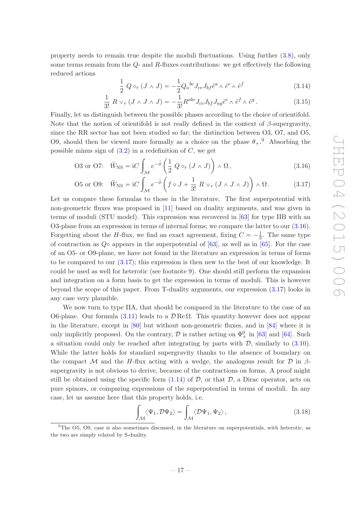property needs to remain true despite the moduli fluctuations. Using further [\(3.8\)](#page-15-4), only some terms remain from the  $Q$ - and  $R$ -fluxes contributions: we get effectively the following reduced actions

<span id="page-17-2"></span><span id="page-17-1"></span>
$$
\frac{1}{2} Q \diamond_r (J \wedge J) = -\frac{1}{2} Q_a{}^{bc} J_{ce} J_{bf} \tilde{e}^a \wedge \tilde{e}^e \wedge \tilde{e}^f \tag{3.14}
$$

$$
\frac{1}{3!} R \vee_r (J \wedge J \wedge J) = -\frac{1}{3!} R^{abc} J_{ce} J_{bf} J_{ag} \tilde{e}^e \wedge \tilde{e}^f \wedge \tilde{e}^g. \tag{3.15}
$$

Finally, let us distinguish between the possible phases according to the choice of orientifold. Note that the notion of orientifold is not really defined in the context of  $\beta$ -supergravity, since the RR sector has not been studied so far; the distinction between O3, O7, and O5, O[9](#page-17-0), should then be viewed more formally as a choice on the phase  $\theta_+$ .<sup>9</sup> Absorbing the possible minus sign of  $(3.2)$  in a redefinition of C, we get

$$
\text{O3 or O7:} \quad \tilde{W}_{\text{NS}} = \text{i}C \int_{\mathcal{M}} e^{-\tilde{\phi}} \left( \frac{1}{2} \ Q \diamond_r (J \wedge J) \right) \wedge \Omega \,, \tag{3.16}
$$

$$
\text{O5 or O9:} \quad \tilde{W}_{\text{NS}} = \text{i}C \int_{\mathcal{M}} e^{-\tilde{\phi}} \left( f \diamond J + \frac{1}{3!} \, R \vee_r (J \wedge J \wedge J) \right) \wedge \Omega \,. \tag{3.17}
$$

Let us compare these formulas to those in the literature. The first superpotential with non-geometric fluxes was proposed in [\[11\]](#page-36-2) based on duality arguments, and was given in terms of moduli (STU model). This expression was recovered in [\[63\]](#page-39-3) for type IIB with an O3-plane from an expression in terms of internal forms; we compare the latter to our [\(3.16\)](#page-17-1). Forgetting about the H-flux, we find an exact agreement, fixing  $C = -\frac{1}{3}$  $\frac{1}{3}$ . The same type of contraction as  $Q\circ$  appears in the superpotential of [\[63](#page-39-3)], as well as in [\[65](#page-39-4)]. For the case of an O5- or O9-plane, we have not found in the literature an expression in terms of forms to be compared to our [\(3.17\)](#page-17-2); this expression is then new to the best of our knowledge. It could be used as well for heterotic (see footnote [9\)](#page-17-0). One should still perform the expansion and integration on a form basis to get the expression in terms of moduli. This is however beyond the scope of this paper. From T-duality arguments, our expression [\(3.17\)](#page-17-2) looks in any case very plausible.

We now turn to type IIA, that should be compared in the literature to the case of an O6-plane. Our formula [\(3.11\)](#page-16-1) leads to a  $\mathcal{D} \text{Re} \Omega$ . This quantity however does not appear in the literature, except in [\[80\]](#page-40-4) but without non-geometric fluxes, and in [\[84\]](#page-40-8) where it is only implicitly proposed. On the contrary,  $\mathcal D$  is rather acting on  $\Phi_+^0$  in [\[63\]](#page-39-3) and [\[64](#page-39-7)]. Such a situation could only be reached after integrating by parts with  $D$ , similarly to  $(3.10)$ . While the latter holds for standard supergravity thanks to the absence of boundary on the compact M and the H-flux acting with a wedge, the analogous result for  $\mathcal D$  in  $\beta$ supergravity is not obvious to derive, because of the contractions on forms. A proof might still be obtained using the specific form  $(1.14)$  of  $D$ , or that  $D$ , a Dirac operator, acts on pure spinors, or comparing expressions of the superpotential in terms of moduli. In any case, let us assume here that this property holds, i.e.

$$
\int_{\mathcal{M}} \langle \Psi_1, \mathcal{D}\Psi_2 \rangle = \int_{\mathcal{M}} \langle \mathcal{D}\Psi_1, \Psi_2 \rangle, \tag{3.18}
$$

<span id="page-17-0"></span><sup>9</sup>The O5, O9, case is also sometimes discussed, in the literature on superpotentials, with heterotic, as the two are simply related by S-duality.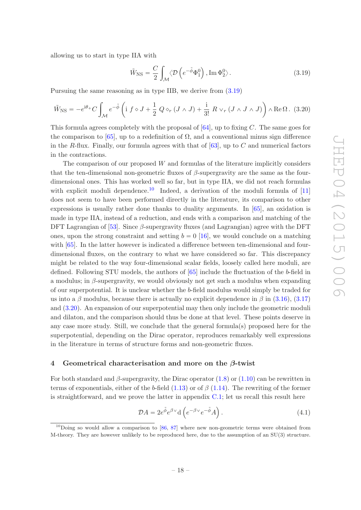allowing us to start in type IIA with

<span id="page-18-1"></span>
$$
\tilde{W}_{\rm NS} = \frac{C}{2} \int_{\mathcal{M}} \langle \mathcal{D} \left( e^{-\tilde{\phi}} \Phi_1^0 \right), \operatorname{Im} \Phi_2^0 \rangle. \tag{3.19}
$$

Pursuing the same reasoning as in type IIB, we derive from [\(3.19\)](#page-18-1)

<span id="page-18-3"></span>
$$
\widetilde{W}_{\rm NS} = -e^{i\theta_{+}}C \int_{\mathcal{M}} e^{-\widetilde{\phi}} \left( i f \diamond J + \frac{1}{2} Q \diamond_{r} (J \wedge J) + \frac{i}{3!} R \vee_{r} (J \wedge J \wedge J) \right) \wedge \text{Re}\,\Omega. \tag{3.20}
$$

This formula agrees completely with the proposal of  $[64]$ , up to fixing C. The same goes for the comparison to [\[65\]](#page-39-4), up to a redefinition of  $\Omega$ , and a conventional minus sign difference in the R-flux. Finally, our formula agrees with that of  $[63]$ , up to C and numerical factors in the contractions.

The comparison of our proposed  $W$  and formulas of the literature implicitly considers that the ten-dimensional non-geometric fluxes of  $\beta$ -supergravity are the same as the fourdimensional ones. This has worked well so far, but in type IIA, we did not reach formulas with explicit moduli dependence.<sup>[10](#page-18-2)</sup> Indeed, a derivation of the moduli formula of  $[11]$ does not seem to have been performed directly in the literature, its comparison to other expressions is usually rather done thanks to duality arguments. In [\[65\]](#page-39-4), an oxidation is made in type IIA, instead of a reduction, and ends with a comparison and matching of the DFT Lagrangian of [\[53\]](#page-38-7). Since  $\beta$ -supergravity fluxes (and Lagrangian) agree with the DFT ones, upon the strong constraint and setting  $b = 0$  [\[16](#page-37-1)], we would conclude on a matching with  $[65]$ . In the latter however is indicated a difference between ten-dimensional and fourdimensional fluxes, on the contrary to what we have considered so far. This discrepancy might be related to the way four-dimensional scalar fields, loosely called here moduli, are defined. Following STU models, the authors of [\[65\]](#page-39-4) include the fluctuation of the b-field in a modulus; in  $\beta$ -supergravity, we would obviously not get such a modulus when expanding of our superpotential. It is unclear whether the b-field modulus would simply be traded for us into a  $\beta$  modulus, because there is actually no explicit dependence in  $\beta$  in [\(3.16\)](#page-17-1), [\(3.17\)](#page-17-2) and [\(3.20\)](#page-18-3). An expansion of our superpotential may then only include the geometric moduli and dilaton, and the comparison should thus be done at that level. These points deserve in any case more study. Still, we conclude that the general formula(s) proposed here for the superpotential, depending on the Dirac operator, reproduces remarkably well expressions in the literature in terms of structure forms and non-geometric fluxes.

#### <span id="page-18-0"></span>4 Geometrical characterisation and more on the β-twist

For both standard and  $\beta$ -supergravity, the Dirac operator [\(1.8\)](#page-4-3) or [\(1.10\)](#page-4-0) can be rewritten in terms of exponentials, either of the b-field  $(1.13)$  or of  $\beta$   $(1.14)$ . The rewriting of the former is straightforward, and we prove the latter in appendix [C.1;](#page-34-1) let us recall this result here

<span id="page-18-4"></span>
$$
\mathcal{D}A = 2e^{\tilde{\phi}}e^{\beta \vee} d\left(e^{-\beta \vee}e^{-\tilde{\phi}}A\right).
$$
 (4.1)

<span id="page-18-2"></span> $10$ Doing so would allow a comparison to [\[86,](#page-40-10) [87\]](#page-40-11) where new non-geometric terms were obtained from M-theory. They are however unlikely to be reproduced here, due to the assumption of an SU(3) structure.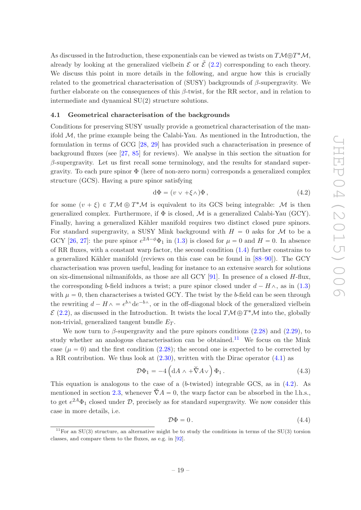As discussed in the Introduction, these exponentials can be viewed as twists on  $T\mathcal{M}\oplus T^*\mathcal{M}$ , already by looking at the generalized vielbein  $\mathcal E$  or  $\tilde{\mathcal E}$  [\(2.2\)](#page-6-3) corresponding to each theory. We discuss this point in more details in the following, and argue how this is crucially related to the geometrical characterisation of (SUSY) backgrounds of  $\beta$ -supergravity. We further elaborate on the consequences of this  $\beta$ -twist, for the RR sector, and in relation to intermediate and dynamical SU(2) structure solutions.

#### <span id="page-19-0"></span>4.1 Geometrical characterisation of the backgrounds

Conditions for preserving SUSY usually provide a geometrical characterisation of the manifold  $M$ , the prime example being the Calabi-Yau. As mentioned in the Introduction, the formulation in terms of GCG [\[28](#page-37-12), [29\]](#page-37-13) has provided such a characterisation in presence of background fluxes (see [\[27,](#page-37-11) [85\]](#page-40-9) for reviews). We analyse in this section the situation for  $\beta$ -supergravity. Let us first recall some terminology, and the results for standard supergravity. To each pure spinor  $\Phi$  (here of non-zero norm) corresponds a generalized complex structure (GCS). Having a pure spinor satisfying

<span id="page-19-2"></span>
$$
d\Phi = (v \lor +\xi \land)\Phi\,,\tag{4.2}
$$

for some  $(v + \xi) \in TM \oplus T^*M$  is equivalent to its GCS being integrable: M is then generalized complex. Furthermore, if  $\Phi$  is closed, M is a generalized Calabi-Yau (GCY). Finally, having a generalized Kähler manifold requires two distinct closed pure spinors. For standard supergravity, a SUSY Mink background with  $H = 0$  asks for M to be a GCY [\[26,](#page-37-10) [27](#page-37-11)]: the pure spinor  $e^{2A-\phi}\Phi_1$  in [\(1.3\)](#page-3-0) is closed for  $\mu = 0$  and  $H = 0$ . In absence of RR fluxes, with a constant warp factor, the second condition [\(1.4\)](#page-3-1) further constrains to a generalized Kähler manifold (reviews on this case can be found in [\[88](#page-40-12)[–90](#page-40-13)]). The GCY characterisation was proven useful, leading for instance to an extensive search for solutions on six-dimensional nilmanifolds, as those are all GCY [\[91](#page-40-14)]. In presence of a closed  $H$ -flux, the corresponding b-field induces a twist; a pure spinor closed under  $d - H \wedge$ , as in [\(1.3\)](#page-3-0) with  $\mu = 0$ , then characterises a twisted GCY. The twist by the b-field can be seen through the rewriting  $d - H \wedge = e^{b \wedge} de^{-b \wedge}$ , or in the off-diagonal block of the generalized vielbein  $\mathcal{E}$  [\(2.2\)](#page-6-3), as discussed in the Introduction. It twists the local  $T\mathcal{M} \oplus T^*\mathcal{M}$  into the, globally non-trivial, generalized tangent bundle  $E_T$ .

We now turn to  $\beta$ -supergravity and the pure spinors conditions [\(2.28\)](#page-12-1) and [\(2.29\)](#page-12-2), to study whether an analogous characterisation can be obtained.<sup>[11](#page-19-1)</sup> We focus on the Mink case ( $\mu = 0$ ) and the first condition [\(2.28\)](#page-12-1); the second one is expected to be corrected by a RR contribution. We thus look at  $(2.30)$ , written with the Dirac operator  $(4.1)$  as

$$
\mathcal{D}\Phi_1 = -4\left(\mathrm{d}A \wedge +\check{\nabla}A\vee\right)\Phi_1\,. \tag{4.3}
$$

This equation is analogous to the case of a  $(b$ -twisted) integrable GCS, as in  $(4.2)$ . As mentioned in section [2.3,](#page-11-0) whenever  $\nabla A = 0$ , the warp factor can be absorbed in the l.h.s., to get  $e^{2A}\Phi_1$  closed under  $\mathcal{D}$ , precisely as for standard supergravity. We now consider this case in more details, i.e.

<span id="page-19-3"></span>
$$
\mathcal{D}\Phi = 0. \tag{4.4}
$$

<span id="page-19-1"></span><sup>&</sup>lt;sup>11</sup>For an SU(3) structure, an alternative might be to study the conditions in terms of the SU(3) torsion classes, and compare them to the fluxes, as e.g. in [\[92\]](#page-40-15).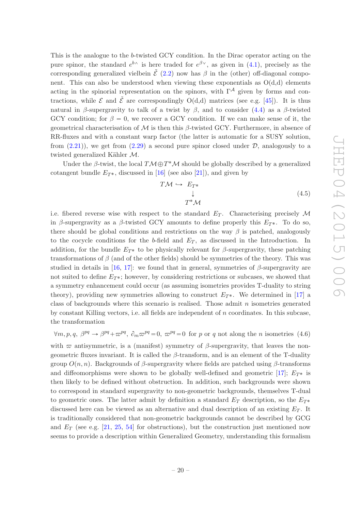This is the analogue to the b-twisted GCY condition. In the Dirac operator acting on the pure spinor, the standard  $e^{b\wedge}$  is here traded for  $e^{\beta\vee}$ , as given in [\(4.1\)](#page-18-4), precisely as the corresponding generalized vielbein  $\tilde{\mathcal{E}}$  [\(2.2\)](#page-6-3) now has  $\beta$  in the (other) off-diagonal component. This can also be understood when viewing these exponentials as  $O(d,d)$  elements acting in the spinorial representation on the spinors, with  $\Gamma^{\mathcal{A}}$  given by forms and contractions, while  $\mathcal E$  and  $\tilde{\mathcal E}$  are correspondingly O(d,d) matrices (see e.g. [\[45\]](#page-38-3)). It is thus natural in β-supergravity to talk of a twist by β, and to consider [\(4.4\)](#page-19-3) as a β-twisted GCY condition; for  $\beta = 0$ , we recover a GCY condition. If we can make sense of it, the geometrical characterisation of  $\mathcal M$  is then this  $\beta$ -twisted GCY. Furthermore, in absence of RR-fluxes and with a constant warp factor (the latter is automatic for a SUSY solution, from  $(2.21)$ , we get from  $(2.29)$  a second pure spinor closed under  $\mathcal{D}$ , analogously to a twisted generalized Kähler  $M$ .

Under the  $\beta$ -twist, the local  $T\mathcal{M} \oplus T^*\mathcal{M}$  should be globally described by a generalized cotangent bundle  $E_T^*$ , discussed in [\[16\]](#page-37-1) (see also [\[21](#page-37-6)]), and given by

$$
T\mathcal{M} \hookrightarrow E_{T^*}
$$
  
\n
$$
\downarrow
$$
  
\n
$$
T^*\mathcal{M}
$$
\n(4.5)

i.e. fibered reverse wise with respect to the standard  $E_T$ . Characterising precisely M in β-supergravity as a β-twisted GCY amounts to define properly this  $E_{T^*}$ . To do so, there should be global conditions and restrictions on the way  $\beta$  is patched, analogously to the cocycle conditions for the b-field and  $E_T$ , as discussed in the Introduction. In addition, for the bundle  $E_{T^*}$  to be physically relevant for  $\beta$ -supergravity, these patching transformations of  $\beta$  (and of the other fields) should be symmetries of the theory. This was studied in details in [\[16](#page-37-1), [17](#page-37-2)]: we found that in general, symmetries of  $\beta$ -supergravity are not suited to define  $E_{T^*}$ ; however, by considering restrictions or subcases, we showed that a symmetry enhancement could occur (as assuming isometries provides T-duality to string theory), providing new symmetries allowing to construct  $E_{T^*}$ . We determined in [\[17\]](#page-37-2) a class of backgrounds where this scenario is realised. Those admit  $n$  isometries generated by constant Killing vectors, i.e. all fields are independent of  $n$  coordinates. In this subcase, the transformation

<span id="page-20-0"></span> $\forall m, p, q, \beta^{pq} \to \beta^{pq} + \overline{\omega}^{pq}, \ \partial_m \overline{\omega}^{pq} = 0, \ \overline{\omega}^{pq} = 0$  for p or q not along the n isometries (4.6)

with  $\varpi$  antisymmetric, is a (manifest) symmetry of  $\beta$ -supergravity, that leaves the nongeometric fluxes invariant. It is called the  $\beta$ -transform, and is an element of the T-duality group  $O(n, n)$ . Backgrounds of β-supergravity where fields are patched using β-transforms and diffeomorphisms were shown to be globally well-defined and geometric [\[17\]](#page-37-2);  $E_{T^*}$  is then likely to be defined without obstruction. In addition, such backgrounds were shown to correspond in standard supergravity to non-geometric backgrounds, themselves T-dual to geometric ones. The latter admit by definition a standard  $E_T$  description, so the  $E_{T^*}$ discussed here can be viewed as an alternative and dual description of an existing  $E_T$ . It is traditionally considered that non-geometric backgrounds cannot be described by GCG and  $E_T$  (see e.g. [\[21,](#page-37-6) [25,](#page-37-9) [54](#page-38-8)] for obstructions), but the construction just mentioned now seems to provide a description within Generalized Geometry, understanding this formalism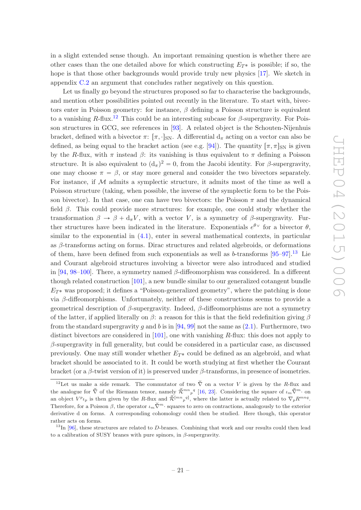in a slight extended sense though. An important remaining question is whether there are other cases than the one detailed above for which constructing  $E_{T^*}$  is possible; if so, the hope is that those other backgrounds would provide truly new physics [\[17\]](#page-37-2). We sketch in appendix [C.2](#page-35-0) an argument that concludes rather negatively on this question.

Let us finally go beyond the structures proposed so far to characterise the backgrounds, and mention other possibilities pointed out recently in the literature. To start with, bivectors enter in Poisson geometry: for instance,  $\beta$  defining a Poisson structure is equivalent to a vanishing R-flux.<sup>[12](#page-21-0)</sup> This could be an interesting subcase for  $\beta$ -supergravity. For Poisson structures in GCG, see references in [\[93](#page-40-16)]. A related object is the Schouten-Nijenhuis bracket, defined with a bivector  $\pi$ :  $[\pi, \cdot]_{\text{SN}}$ . A differential  $d_{\pi}$  acting on a vector can also be defined, as being equal to the bracket action (see e.g. [\[94](#page-40-17)]). The quantity  $[\pi, \pi]_{\rm SN}$  is given by the R-flux, with  $\pi$  instead  $\beta$ : its vanishing is thus equivalent to  $\pi$  defining a Poisson structure. It is also equivalent to  $(d_{\pi})^2 = 0$ , from the Jacobi identity. For  $\beta$ -supergravity, one may choose  $\pi = \beta$ , or stay more general and consider the two bivectors separately. For instance, if  $M$  admits a symplectic structure, it admits most of the time as well a Poisson structure (taking, when possible, the inverse of the symplectic form to be the Poisson bivector). In that case, one can have two bivectors: the Poisson  $\pi$  and the dynamical field  $\beta$ . This could provide more structures: for example, one could study whether the transformation  $\beta \to \beta + d_{\pi}V$ , with a vector V, is a symmetry of  $\beta$ -supergravity. Further structures have been indicated in the literature. Exponentials  $e^{\theta V}$  for a bivector  $\theta$ , similar to the exponential in  $(4.1)$ , enter in several mathematical contexts, in particular as  $\beta$ -transforms acting on forms. Dirac structures and related algebroids, or deformations of them, have been defined from such exponentials as well as  $b$ -transforms  $[95-97]$ .<sup>[13](#page-21-1)</sup> Lie and Courant algebroid structures involving a bivector were also introduced and studied in [\[94](#page-40-17), [98](#page-41-2)[–100](#page-41-3)]. There, a symmetry named  $\beta$ -diffeomorphism was considered. In a different though related construction [\[101\]](#page-41-4), a new bundle similar to our generalized cotangent bundle  $E_{T^*}$  was proposed; it defines a "Poisson-generalized geometry", where the patching is done via β-diffeomorphisms. Unfortunately, neither of these constructions seems to provide a geometrical description of β-supergravity. Indeed, β-diffeomorphisms are not a symmetry of the latter, if applied literally on  $\beta$ : a reason for this is that the field redefinition giving  $\beta$ from the standard supergravity g and b is in [\[94,](#page-40-17) [99](#page-41-5)] not the same as  $(2.1)$ . Furthermore, two distinct bivectors are considered in [\[101](#page-41-4)], one with vanishing R-flux: this does not apply to  $\beta$ -supergravity in full generality, but could be considered in a particular case, as discussed previously. One may still wonder whether  $E_{T^*}$  could be defined as an algebroid, and what bracket should be associated to it. It could be worth studying at first whether the Courant bracket (or a  $\beta$ -twist version of it) is preserved under  $\beta$ -transforms, in presence of isometries.

<span id="page-21-0"></span><sup>&</sup>lt;sup>12</sup>Let us make a side remark. The commutator of two  $\check{\nabla}$  on a vector V is given by the R-flux and the analogue for  $\check{\nabla}$  of the Riemann tensor, namely  $\check{\mathcal{R}}^{mn}{}_{p}^{q}$  [\[16](#page-37-1), [23\]](#page-37-7). Considering the square of  $\iota_m\check{\nabla}^m$  on an object  $V^p{}_{l_p}$  is then given by the R-flux and  $\mathcal{R}^{[mn}{}_{p}{}^{q]}$ , where the latter is actually related to  $\nabla_{p}R^{mnq}$ . Therefore, for a Poisson  $\beta$ , the operator  $\iota_m\tilde{\nabla}^m$  squares to zero on contractions, analogously to the exterior derivative d on forms. A corresponding cohomology could then be studied. Here though, this operator rather acts on forms.

<span id="page-21-1"></span> $13$ In [\[96](#page-41-6)], these structures are related to D-branes. Combining that work and our results could then lead to a calibration of SUSY branes with pure spinors, in  $\beta$ -supergravity.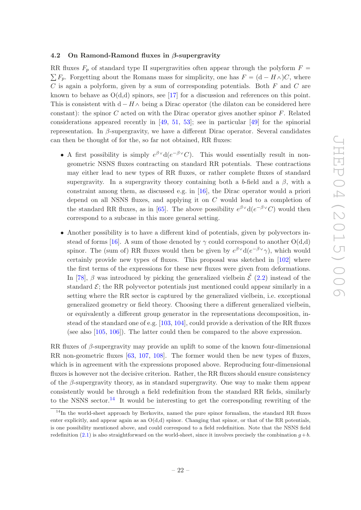#### <span id="page-22-0"></span>4.2 On Ramond-Ramond fluxes in  $\beta$ -supergravity

RR fluxes  $F_p$  of standard type II supergravities often appear through the polyform  $F =$  $\sum F_p$ . Forgetting about the Romans mass for simplicity, one has  $F = (d - H_\Lambda)C$ , where  $C$  is again a polyform, given by a sum of corresponding potentials. Both  $F$  and  $C$  are known to behave as  $O(d,d)$  spinors, see [\[17\]](#page-37-2) for a discussion and references on this point. This is consistent with  $d - H \wedge$  being a Dirac operator (the dilaton can be considered here constant): the spinor C acted on with the Dirac operator gives another spinor  $F$ . Related considerations appeared recently in  $[49, 51, 53]$  $[49, 51, 53]$  $[49, 51, 53]$  $[49, 51, 53]$  $[49, 51, 53]$ ; see in particular  $[49]$  for the spinorial representation. In β-supergravity, we have a different Dirac operator. Several candidates can then be thought of for the, so far not obtained, RR fluxes:

- A first possibility is simply  $e^{\beta V}d(e^{-\beta V}C)$ . This would essentially result in nongeometric NSNS fluxes contracting on standard RR potentials. These contractions may either lead to new types of RR fluxes, or rather complete fluxes of standard supergravity. In a supergravity theory containing both a b-field and a  $\beta$ , with a constraint among them, as discussed e.g. in [\[16](#page-37-1)], the Dirac operator would a priori depend on all NSNS fluxes, and applying it on C would lead to a completion of the standard RR fluxes, as in [\[65](#page-39-4)]. The above possibility  $e^{\beta V} d(e^{-\beta V}C)$  would then correspond to a subcase in this more general setting.
- Another possibility is to have a different kind of potentials, given by polyvectors in-stead of forms [\[16](#page-37-1)]. A sum of those denoted by  $\gamma$  could correspond to another  $O(d,d)$ spinor. The (sum of) RR fluxes would then be given by  $e^{\beta \vee} d(e^{-\beta \vee} \gamma)$ , which would certainly provide new types of fluxes. This proposal was sketched in [\[102](#page-41-7)] where the first terms of the expressions for these new fluxes were given from deformations. In [\[78\]](#page-40-2),  $\beta$  was introduced by picking the generalized vielbein  $\mathcal{E}$  [\(2.2\)](#page-6-3) instead of the standard  $\mathcal{E}$ ; the RR polyvector potentials just mentioned could appear similarly in a setting where the RR sector is captured by the generalized vielbein, i.e. exceptional generalized geometry or field theory. Choosing there a different generalized vielbein, or equivalently a different group generator in the representations decomposition, instead of the standard one of e.g. [\[103](#page-41-8), [104](#page-41-9)], could provide a derivation of the RR fluxes (see also [\[105,](#page-41-10) [106\]](#page-41-11)). The latter could then be compared to the above expression.

RR fluxes of  $\beta$ -supergravity may provide an uplift to some of the known four-dimensional RR non-geometric fluxes [\[63](#page-39-3), [107](#page-41-12), [108\]](#page-41-13). The former would then be new types of fluxes, which is in agreement with the expressions proposed above. Reproducing four-dimensional fluxes is however not the decisive criterion. Rather, the RR fluxes should ensure consistency of the  $\beta$ -supergravity theory, as in standard supergravity. One way to make them appear consistently would be through a field redefinition from the standard RR fields, similarly to the NSNS sector.<sup>[14](#page-22-1)</sup> It would be interesting to get the corresponding rewriting of the

<span id="page-22-1"></span><sup>&</sup>lt;sup>14</sup>In the world-sheet approach by Berkovits, named the pure spinor formalism, the standard RR fluxes enter explicitly, and appear again as an  $O(d,d)$  spinor. Changing that spinor, or that of the RR potentials, is one possibility mentioned above, and could correspond to a field redefinition. Note that the NSNS field redefinition [\(2.1\)](#page-6-2) is also straightforward on the world-sheet, since it involves precisely the combination  $q + b$ .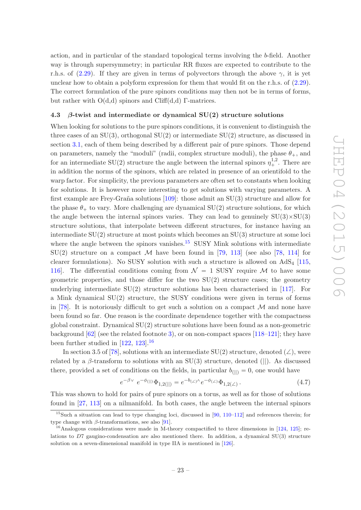action, and in particular of the standard topological terms involving the b-field. Another way is through supersymmetry; in particular RR fluxes are expected to contribute to the r.h.s. of [\(2.29\)](#page-12-2). If they are given in terms of polyvectors through the above  $\gamma$ , it is yet unclear how to obtain a polyform expression for them that would fit on the r.h.s. of [\(2.29\)](#page-12-2). The correct formulation of the pure spinors conditions may then not be in terms of forms, but rather with  $O(d,d)$  spinors and Cliff(d,d) Γ-matrices.

#### <span id="page-23-0"></span>4.3  $\beta$ -twist and intermediate or dynamical SU(2) structure solutions

When looking for solutions to the pure spinors conditions, it is convenient to distinguish the three cases of an  $SU(3)$ , orthogonal  $SU(2)$  or intermediate  $SU(2)$  structure, as discussed in section [3.1,](#page-14-0) each of them being described by a different pair of pure spinors. Those depend on parameters, namely the "moduli" (radii, complex structure moduli), the phase  $\theta_+$ , and for an intermediate SU(2) structure the angle between the internal spinors  $\eta_{+}^{1,2}$ . There are in addition the norms of the spinors, which are related in presence of an orientifold to the warp factor. For simplicity, the previous parameters are often set to constants when looking for solutions. It is however more interesting to get solutions with varying parameters. A first example are Frey-Graña solutions  $[109]$ : those admit an  $SU(3)$  structure and allow for the phase  $\theta_+$  to vary. More challenging are dynamical SU(2) structure solutions, for which the angle between the internal spinors varies. They can lead to genuinely  $SU(3) \times SU(3)$ structure solutions, that interpolate between different structures, for instance having an intermediate SU(2) structure at most points which becomes an SU(3) structure at some loci where the angle between the spinors vanishes. $15$  SUSY Mink solutions with intermediate  $SU(2)$  structure on a compact M have been found in [\[79,](#page-40-3) [113](#page-41-15)] (see also [\[78,](#page-40-2) [114\]](#page-42-0) for clearer formulations). No SUSY solution with such a structure is allowed on  $AdS<sub>4</sub>$  [\[115,](#page-42-1) 116. The differential conditions coming from  $\mathcal{N} = 1$  SUSY require M to have some geometric properties, and those differ for the two  $SU(2)$  structure cases; the geometry underlying intermediate  $SU(2)$  structure solutions has been characterised in [\[117\]](#page-42-3). For a Mink dynamical SU(2) structure, the SUSY conditions were given in terms of forms in [\[78\]](#page-40-2). It is notoriously difficult to get such a solution on a compact  $\mathcal M$  and none have been found so far. One reason is the coordinate dependence together with the compactness global constraint. Dynamical SU(2) structure solutions have been found as a non-geometric background [\[62](#page-39-2)] (see the related footnote [3\)](#page-5-2), or on non-compact spaces [\[118](#page-42-4)[–121\]](#page-42-5); they have been further studied in  $[122, 123]$  $[122, 123]$  $[122, 123]$ .<sup>[16](#page-23-2)</sup>

In section 3.5 of [\[78\]](#page-40-2), solutions with an intermediate SU(2) structure, denoted ( $\angle$ ), were related by a  $\beta$ -transform to solutions with an SU(3) structure, denoted (||). As discussed there, provided a set of conditions on the fields, in particular  $b_{(||)} = 0$ , one would have

<span id="page-23-3"></span>
$$
e^{-\beta \vee} e^{-\phi(||)} \Phi_{1,2(||)} = e^{-b_{(\angle)} \wedge} e^{-\phi_{(\angle)} \Phi_{1,2(\angle)}}.
$$
\n(4.7)

This was shown to hold for pairs of pure spinors on a torus, as well as for those of solutions found in [\[27](#page-37-11), [113](#page-41-15)] on a nilmanifold. In both cases, the angle between the internal spinors

e

<span id="page-23-1"></span><sup>15</sup>Such a situation can lead to type changing loci, discussed in [\[90](#page-40-13), [110](#page-41-16)[–112\]](#page-41-17) and references therein; for type change with  $\beta$ -transformations, see also [\[91](#page-40-14)].

<span id="page-23-2"></span><sup>&</sup>lt;sup>16</sup>Analogous considerations were made in M-theory compactified to three dimensions in [\[124,](#page-42-8) [125](#page-42-9)]; relations to  $D7$  gaugino-condensation are also mentioned there. In addition, a dynamical  $SU(3)$  structure solution on a seven-dimensional manifold in type IIA is mentioned in [\[126\]](#page-42-10).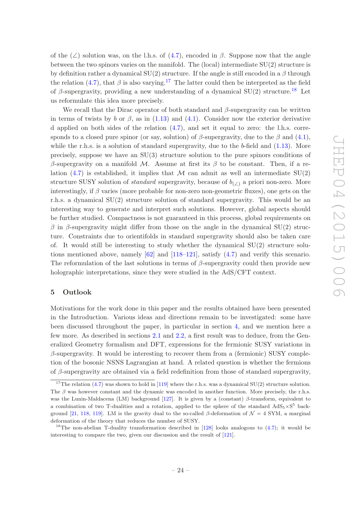of the  $(\angle)$  solution was, on the l.h.s. of [\(4.7\)](#page-23-3), encoded in β. Suppose now that the angle between the two spinors varies on the manifold. The (local) intermediate  $SU(2)$  structure is by definition rather a dynamical  $SU(2)$  structure. If the angle is still encoded in a  $\beta$  through the relation [\(4.7\)](#page-23-3), that  $\beta$  is also varying.<sup>[17](#page-24-1)</sup> The latter could then be interpreted as the field of β-supergravity, providing a new understanding of a dynamical  $SU(2)$  structure.<sup>[18](#page-24-2)</sup> Let us reformulate this idea more precisely.

We recall that the Dirac operator of both standard and  $\beta$ -supergravity can be written in terms of twists by b or  $\beta$ , as in [\(1.13\)](#page-4-2) and [\(4.1\)](#page-18-4). Consider now the exterior derivative d applied on both sides of the relation  $(4.7)$ , and set it equal to zero: the l.h.s. corresponds to a closed pure spinor (or say, solution) of  $\beta$ -supergravity, due to the  $\beta$  and [\(4.1\)](#page-18-4), while the r.h.s. is a solution of standard supergravity, due to the  $b$ -field and  $(1.13)$ . More precisely, suppose we have an SU(3) structure solution to the pure spinors conditions of β-supergravity on a manifold M. Assume at first its β to be constant. Then, if a relation  $(4.7)$  is established, it implies that M can admit as well an intermediate SU(2) structure SUSY solution of *standard* supergravity, because of  $b_{(\angle)}$  a priori non-zero. More interestingly, if  $\beta$  varies (more probable for non-zero non-geometric fluxes), one gets on the r.h.s. a dynamical SU(2) structure solution of standard supergravity. This would be an interesting way to generate and interpret such solutions. However, global aspects should be further studied. Compactness is not guaranteed in this process, global requirements on β in β-supergravity might differ from those on the angle in the dynamical  $SU(2)$  structure. Constraints due to orientifolds in standard supergravity should also be taken care of. It would still be interesting to study whether the dynamical SU(2) structure solutions mentioned above, namely [\[62](#page-39-2)] and [\[118](#page-42-4)[–121\]](#page-42-5), satisfy [\(4.7\)](#page-23-3) and verify this scenario. The reformulation of the last solutions in terms of  $\beta$ -supergravity could then provide new holographic interpretations, since they were studied in the AdS/CFT context.

#### <span id="page-24-0"></span>5 Outlook

Motivations for the work done in this paper and the results obtained have been presented in the Introduction. Various ideas and directions remain to be investigated: some have been discussed throughout the paper, in particular in section [4,](#page-18-0) and we mention here a few more. As described in sections [2.1](#page-6-1) and [2.2,](#page-8-0) a first result was to deduce, from the Generalized Geometry formalism and DFT, expressions for the fermionic SUSY variations in  $\beta$ -supergravity. It would be interesting to recover them from a (fermionic) SUSY completion of the bosonic NSNS Lagrangian at hand. A related question is whether the fermions of  $\beta$ -supergravity are obtained via a field redefinition from those of standard supergravity,

<span id="page-24-1"></span><sup>&</sup>lt;sup>17</sup>The relation [\(4.7\)](#page-23-3) was shown to hold in [\[119](#page-42-11)] where the r.h.s. was a dynamical SU(2) structure solution. The  $\beta$  was however constant and the dynamic was encoded in another function. More precisely, the r.h.s. was the Lunin-Maldacena (LM) background [\[127](#page-42-12)]. It is given by a (constant) β-transform, equivalent to a combination of two T-dualities and a rotation, applied to the sphere of the standard  $AdS_5 \times S^5$  back-ground [\[21,](#page-37-6) [118,](#page-42-4) [119\]](#page-42-11). LM is the gravity dual to the so-called  $\beta$ -deformation of  $\mathcal{N} = 4$  SYM, a marginal deformation of the theory that reduces the number of SUSY.

<span id="page-24-2"></span><sup>&</sup>lt;sup>18</sup>The non-abelian T-duality transformation described in [\[128\]](#page-42-13) looks analogous to  $(4.7)$ ; it would be interesting to compare the two, given our discussion and the result of [\[121\]](#page-42-5).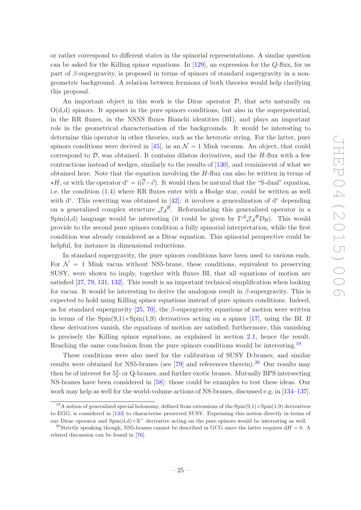or rather correspond to different states in the spinorial representations. A similar question can be asked for the Killing spinor equations. In  $[129]$ , an expression for the Q-flux, for us part of  $\beta$ -supergravity, is proposed in terms of spinors of standard supergravity in a nongeometric background. A relation between fermions of both theories would help clarifying this proposal.

An important object in this work is the Dirac operator  $D$ , that acts naturally on  $O(d,d)$  spinors. It appears in the pure spinors conditions, but also in the superpotential, in the RR fluxes, in the NSNS fluxes Bianchi identities (BI), and plays an important role in the geometrical characterisation of the backgrounds. It would be interesting to determine this operator in other theories, such as the heterotic string. For the latter, pure spinors conditions were derived in [\[45](#page-38-3)], in an  $\mathcal{N} = 1$  Mink vacuum. An object, that could correspond to  $D$ , was obtained. It contains dilaton derivatives, and the  $H$ -flux with a few contractions instead of wedges, similarly to the results of [\[130](#page-42-15)], and reminiscent of what we obtained here. Note that the equation involving the  $H$ -flux can also be written in terms of  $*H$ , or with the operator  $d^c = i(\overline{\partial}-\partial)$ . It would then be natural that the "S-dual" equation, i.e. the condition [\(1.4\)](#page-3-1) where RR fluxes enter with a Hodge star, could be written as well with  $d^c$ . This rewriting was obtained in [\[42\]](#page-38-1): it involves a generalization of  $d^c$  depending on a generalized complex structure  $\mathcal{J}_{\mathcal{A}}{}^{\mathcal{B}}$ . Reformulating this generalized operator in a Spin(d,d) language would be interesting (it could be given by  $\Gamma^{\mathcal{A}}\mathcal{J}_{\mathcal{A}}{}^{\mathcal{B}}D_{\mathcal{B}}$ ). This would provide to the second pure spinors condition a fully spinorial interpretation, while the first condition was already considered as a Dirac equation. This spinorial perspective could be helpful, for instance in dimensional reductions.

In standard supergravity, the pure spinors conditions have been used to various ends. For  $\mathcal{N} = 1$  Mink vacua without NS5-brane, these conditions, equivalent to preserving SUSY, were shown to imply, together with fluxes BI, that all equations of motion are satisfied [\[27](#page-37-11), [79](#page-40-3), [131](#page-42-16), [132](#page-42-17)]. This result is an important technical simplification when looking for vacua. It would be interesting to derive the analogous result in  $\beta$ -supergravity. This is expected to hold using Killing spinor equations instead of pure spinors conditions. Indeed, as for standard supergravity [\[25](#page-37-9), [70\]](#page-39-6), the  $\beta$ -supergravity equations of motion were written in terms of the  $Spin(9,1)\times Spin(1,9)$  derivatives acting on a spinor [\[17](#page-37-2)], using the BI. If these derivatives vanish, the equations of motion are satisfied; furthermore, this vanishing is precisely the Killing spinor equations, as explained in section [2.1,](#page-6-1) hence the result. Reaching the same conclusion from the pure spinors conditions would be interesting.<sup>[19](#page-25-0)</sup>

These conditions were also used for the calibration of SUSY D-branes, and similar results were obtained for NS5-branes (see  $[79]$  and references therein).<sup>[20](#page-25-1)</sup> Our results may then be of interest for  $5^2$ - or Q-branes, and further exotic branes. Mutually BPS intersecting NS-branes have been considered in [\[58](#page-39-8)]: those could be examples to test these ideas. Our work may help as well for the world-volume actions of NS-branes, discussed e.g. in [\[134](#page-43-0)[–137\]](#page-43-1).

<span id="page-25-0"></span><sup>&</sup>lt;sup>19</sup>A notion of generalized special holonomy, defined from extensions of the  $Spin(9,1)\times Spin(1,9)$  derivatives to EGG, is considered in [\[133](#page-43-2)] to characterise preserved SUSY. Expressing this notion directly in terms of our Dirac operator and  $Spin(d,d)\times\mathbb{R}^+$  derivative acting on the pure spinors would be interesting as well.

<span id="page-25-1"></span><sup>&</sup>lt;sup>20</sup>Strictly speaking though, NS5-branes cannot be described in GCG since the latter requires  $dH = 0$ . A related discussion can be found in [\[76](#page-40-0)].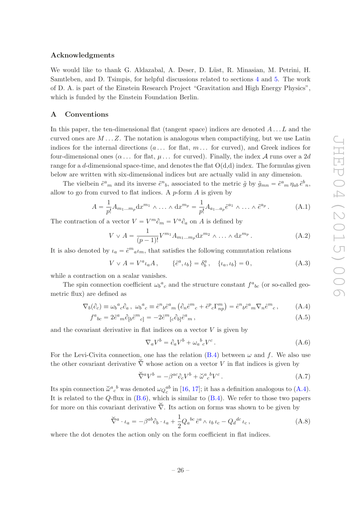#### Acknowledgments

We would like to thank G. Aldazabal, A. Deser, D. Lüst, R. Minasian, M. Petrini, H. Samtleben, and D. Tsimpis, for helpful discussions related to sections [4](#page-18-0) and [5.](#page-24-0) The work of D. A. is part of the Einstein Research Project "Gravitation and High Energy Physics", which is funded by the Einstein Foundation Berlin.

#### <span id="page-26-0"></span>A Conventions

In this paper, the ten-dimensional flat (tangent space) indices are denoted  $A \dots L$  and the curved ones are  $M \dots Z$ . The notation is analogous when compactifying, but we use Latin indices for the internal directions  $(a \dots$  for flat,  $m \dots$  for curved), and Greek indices for four-dimensional ones  $(\alpha \dots$  for flat,  $\mu \dots$  for curved). Finally, the index A runs over a 2d range for a d-dimensional space-time, and denotes the flat  $O(d,d)$  index. The formulas given below are written with six-dimensional indices but are actually valid in any dimension.

The vielbein  $\tilde{e}^a{}_m$  and its inverse  $\tilde{e}^n{}_b$ , associated to the metric  $\tilde{g}$  by  $\tilde{g}_{mn} = \tilde{e}^a{}_m \eta_{ab} \tilde{e}^b{}_n$ , allow to go from curved to flat indices. A  $p$ -form  $A$  is given by

$$
A = \frac{1}{p!} A_{m_1 \dots m_p} dx^{m_1} \wedge \dots \wedge dx^{m_p} = \frac{1}{p!} A_{a_1 \dots a_p} \tilde{e}^{a_1} \wedge \dots \wedge \tilde{e}^{a_p}.
$$
 (A.1)

The contraction of a vector  $V = V^m \partial_m = V^a \partial_a$  on A is defined by

$$
V \vee A = \frac{1}{(p-1)!} V^{m_1} A_{m_1...m_p} dx^{m_2} \wedge \dots \wedge dx^{m_p}.
$$
 (A.2)

It is also denoted by  $\iota_a = \tilde{e}^m a \iota_m$ , that satisfies the following commutation relations

$$
V \vee A = V^a{}_{a}A \,, \qquad \{\tilde{e}^a, \iota_b\} = \delta^a_b \,, \quad \{\iota_a, \iota_b\} = 0 \,, \tag{A.3}
$$

while a contraction on a scalar vanishes.

The spin connection coefficient  $\omega_b^a{}_c$  and the structure constant  $f^a{}_{bc}$  (or so-called geometric flux) are defined as

$$
\nabla_b(\partial_c) \equiv \omega_b{}^a{}_c \partial_a \,, \ \omega_b{}^a{}_c \equiv \tilde{e}^n{}_b \tilde{e}^a{}_m \left( \partial_n \tilde{e}^m{}_c + \tilde{e}^p{}_c \Gamma^m_{np} \right) = \tilde{e}^n{}_b \tilde{e}^a{}_m \nabla_n \tilde{e}^m{}_c \,, \tag{A.4}
$$

$$
f^{a}{}_{bc} = 2\tilde{e}^{a}{}_{m}\partial_{[b}\tilde{e}^{m}{}_{c]} = -2\tilde{e}^{m}{}_{[c}\partial_{b]}\tilde{e}^{a}{}_{m},\tag{A.5}
$$

and the covariant derivative in flat indices on a vector  $V$  is given by

<span id="page-26-1"></span>
$$
\nabla_a V^b = \partial_a V^b + \omega_a{}^b{}_c V^c \,. \tag{A.6}
$$

For the Levi-Civita connection, one has the relation [\(B.4\)](#page-27-4) between  $\omega$  and f. We also use the other covariant derivative  $\overline{\nabla}$  whose action on a vector V in flat indices is given by

$$
\check{\nabla}^a V^b = -\beta^{ac} \partial_c V^b + \check{\omega}^a{}_c{}^b V^c. \tag{A.7}
$$

Its spin connection  $\check{\omega}^a{}_c{}^b$  was denoted  $\omega_Q{}^{ab}$  in [\[16](#page-37-1), [17](#page-37-2)]; it has a definition analogous to [\(A.4\)](#page-26-1). It is related to the  $Q$ -flux in  $(B.6)$ , which is similar to  $(B.4)$ . We refer to those two papers for more on this covariant derivative  $\check{\nabla}$ . Its action on forms was shown to be given by

$$
\check{\nabla}^a \cdot \iota_a = -\beta^{ab} \partial_b \cdot \iota_a + \frac{1}{2} Q_a{}^{bc} \tilde{e}^a \wedge \iota_b \iota_c - Q_d{}^{dc} \iota_c, \tag{A.8}
$$

where the dot denotes the action only on the form coefficient in flat indices.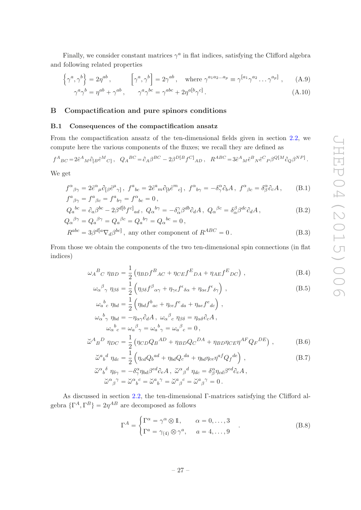Finally, we consider constant matrices  $\gamma^a$  in flat indices, satisfying the Clifford algebra and following related properties

<span id="page-27-2"></span>
$$
\left\{\gamma^{a},\gamma^{b}\right\} = 2\eta^{ab}, \qquad \left[\gamma^{a},\gamma^{b}\right] = 2\gamma^{ab}, \quad \text{where } \gamma^{a_{1}a_{2}...a_{p}} \equiv \gamma^{[a_{1}}\gamma^{a_{2}}\dots\gamma^{a_{p}]} , \qquad (A.9)
$$

$$
\gamma^{a}\gamma^{b} = \eta^{ab} + \gamma^{ab}, \qquad \gamma^{a}\gamma^{bc} = \gamma^{abc} + 2\eta^{a[b}\gamma^{c]} . \tag{A.10}
$$

#### <span id="page-27-1"></span><span id="page-27-0"></span>B Compactification and pure spinors conditions

#### B.1 Consequences of the compactification ansatz

From the compactification ansatz of the ten-dimensional fields given in section [2.2,](#page-8-0) we compute here the various components of the fluxes; we recall they are defined as

$$
f^{A}{}_{BC} = 2\tilde{e}^{A}{}_{M}\partial_{[B}\tilde{e}^{M}{}_{C]}, \quad Q_{A}{}^{BC} = \partial_{A}\beta^{BC} - 2\beta^{D[B}f^{C]}{}_{AD} , \quad R^{ABC} = 3\tilde{e}^{A}{}_{M}\tilde{e}^{B}{}_{N}\tilde{e}^{C}{}_{P}\beta^{Q[M}{}_{Q}\beta^{NP]}.
$$

We get

$$
f^{\alpha}{}_{\beta\gamma} = 2\tilde{e}^{\alpha}{}_{\mu}\partial_{\lbrack\beta}\tilde{e}^{\mu}{}_{\gamma\rbrack}, f^{a}{}_{bc} = 2\tilde{e}^{a}{}_{m}\partial_{\lbrack b}\tilde{e}^{m}{}_{c\rbrack}, f^{\alpha}{}_{b\gamma} = -\delta^{\alpha}_{\gamma}\partial_{b}A, f^{\alpha}{}_{\beta c} = \delta^{\alpha}_{\beta}\partial_{c}A, \quad (B.1)
$$
  

$$
f^{a}{}_{\beta\gamma} = f^{a}{}_{\beta c} = f^{a}{}_{b\gamma} = f^{\alpha}{}_{bc} = 0,
$$

$$
Q_a{}^{bc} = \partial_a \beta^{bc} - 2\beta^{d[b} f^{c]}{}_{ad}, \ Q_\alpha{}^{b\gamma} = -\delta^\gamma_\alpha \beta^{db} \partial_d A, \ Q_\alpha{}^{\beta c} = \delta^\beta_\alpha \beta^{dc} \partial_d A,
$$
  
\n
$$
Q_\alpha{}^{\beta \gamma} = Q_a{}^{\beta \gamma} = Q_a{}^{\beta c} = Q_a{}^{b\gamma} = Q_\alpha{}^{bc} = 0,
$$
\n(B.2)

$$
R^{abc} = 3\beta^{d[a}\nabla_d\beta^{bc]}
$$
, any other component of  $R^{ABC} = 0$ . (B.3)

From those we obtain the components of the two ten-dimensional spin connections (in flat indices)

$$
\omega_A{}^B{}_C \eta_{BD} = \frac{1}{2} \left( \eta_{BD} f^B{}_{AC} + \eta_{CE} f^E{}_{DA} + \eta_{AE} f^E{}_{DC} \right) , \qquad (B.4)
$$

<span id="page-27-4"></span>
$$
\omega_{\alpha}{}^{\beta}{}_{\gamma} \eta_{\beta\delta} = \frac{1}{2} \left( \eta_{\beta\delta} f^{\beta}{}_{\alpha\gamma} + \eta_{\gamma\epsilon} f^{\epsilon}{}_{\delta\alpha} + \eta_{\alpha\epsilon} f^{\epsilon}{}_{\delta\gamma} \right) , \tag{B.5}
$$

$$
\omega_a{}^b{}_c \eta_{bd} = \frac{1}{2} \left( \eta_{bd} f^b{}_{ac} + \eta_{ce} f^e{}_{da} + \eta_{ae} f^e{}_{dc} \right) ,
$$
  
\n
$$
\omega_\alpha{}^b{}_{\gamma} \eta_{bd} = -\eta_{\alpha\gamma} \partial_d A , \ \omega_\alpha{}^\beta{}_c \eta_{\beta\delta} = \eta_{\alpha\delta} \partial_c A ,
$$
  
\n
$$
\omega_\alpha{}^b{}_c = \omega_a{}^\beta{}_{\gamma} = \omega_a{}^b{}_{\gamma} = \omega_a{}^\beta{}_c = 0 ,
$$
  
\n
$$
\tilde{\omega}^A{}_B{}^D \eta_{DC} = \frac{1}{2} \left( \eta_{CD} Q_B{}^{AD} + \eta_{BD} Q_C{}^{DA} + \eta_{BD} \eta_{CE} \eta^{AF} Q_F{}^{DE} \right) ,
$$
 (B.6)

$$
\widetilde{\omega}^{a}{}_{b}{}^{d}\eta_{dc} = \frac{1}{2} \left( \eta_{cd} Q_{b}{}^{ad} + \eta_{bd} Q_{c}{}^{da} + \eta_{bd} \eta_{ce} \eta^{af} Q_{f}{}^{de} \right),
$$
\n
$$
\widetilde{\omega}^{\alpha}{}_{b}{}^{\delta}\eta_{\delta\gamma} = -\delta^{\alpha}_{\gamma} \eta_{bd} \beta^{ed} \partial_{e} A, \ \widetilde{\omega}^{\alpha}{}_{\beta}{}^{d}\eta_{dc} = \delta^{\alpha}_{\beta} \eta_{cd} \beta^{ed} \partial_{e} A,
$$
\n(B.7)

$$
\check{\omega}^{\alpha}{}_{\beta}{}^{\gamma} = \check{\omega}^{\alpha}{}_{b}{}^{c} = \check{\omega}^{a}{}_{b}{}^{\gamma} = \check{\omega}^{a}{}_{\beta}{}^{c} = \check{\omega}^{a}{}_{\beta}{}^{\gamma} = 0.
$$

As discussed in section [2.2,](#page-8-0) the ten-dimensional Γ-matrices satisfying the Clifford algebra  $\{\Gamma^A, \Gamma^B\} = 2\eta^{AB}$  are decomposed as follows

<span id="page-27-3"></span>
$$
\Gamma^{A} = \begin{cases} \Gamma^{\alpha} = \gamma^{\alpha} \otimes \mathbb{1}, & \alpha = 0, ..., 3 \\ \Gamma^{a} = \gamma_{(4)} \otimes \gamma^{a}, & a = 4, ..., 9 \end{cases}
$$
 (B.8)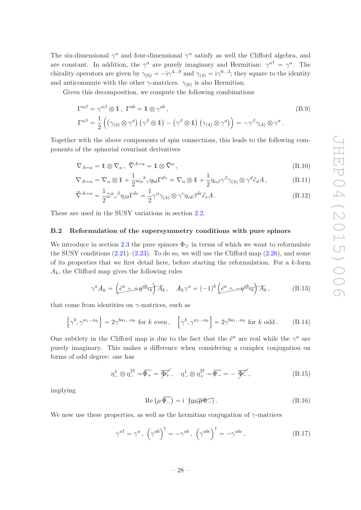The six-dimensional  $\gamma^a$  and four-dimensional  $\gamma^\alpha$  satisfy as well the Clifford algebra, and are constant. In addition, the  $\gamma^a$  are purely imaginary and Hermitian:  $\gamma^{a\dagger} = \gamma^a$ . The chirality operators are given by  $\gamma_{(6)} = -i\gamma^{4...9}$  and  $\gamma_{(4)} = i\gamma^{0...3}$ ; they square to the identity and anticommute with the other  $\gamma$ -matrices.  $\gamma_{(6)}$  is also Hermitian.

Given this decomposition, we compute the following combinations

$$
\Gamma^{\alpha\beta} = \gamma^{\alpha\beta} \otimes \mathbb{1}, \ \Gamma^{ab} = \mathbb{1} \otimes \gamma^{ab},
$$
\n
$$
\Gamma^{a\beta} = \frac{1}{2} \left( \left( \gamma_{(4)} \otimes \gamma^{a} \right) \left( \gamma^{\beta} \otimes \mathbb{1} \right) - \left( \gamma^{\beta} \otimes \mathbb{1} \right) \left( \gamma_{(4)} \otimes \gamma^{a} \right) \right) = -\gamma^{\beta} \gamma_{(4)} \otimes \gamma^{a}.
$$
\n(B.9)

Together with the above components of spin connections, this leads to the following components of the spinorial covariant derivatives

$$
\nabla_{A=a} = \mathbb{1} \otimes \nabla_a, \ \check{\nabla}^{A=a} = \mathbb{1} \otimes \check{\nabla}^a,
$$
\n(B.10)

$$
\nabla_{A=\alpha} = \nabla_{\alpha} \otimes 1 + \frac{1}{2} \omega_{\alpha}{}^{b} \gamma \eta_{bd} \Gamma^{d\gamma} = \nabla_{\alpha} \otimes 1 + \frac{1}{2} \eta_{\alpha\beta} \gamma^{\beta} \gamma_{(4)} \otimes \gamma^{d} \partial_{d} A , \qquad (B.11)
$$

$$
\check{\nabla}^{A=\alpha} = \frac{1}{2} \check{\omega}^{\alpha}{}_{c}{}^{\beta} \eta_{\beta \delta} \Gamma^{\delta c} = \frac{1}{2} \gamma^{\alpha} \gamma_{(4)} \otimes \gamma^{c} \eta_{cd} \beta^{de} \partial_{e} A . \tag{B.12}
$$

<span id="page-28-0"></span>These are used in the SUSY variations in section [2.2.](#page-8-0)

#### B.2 Reformulation of the supersymmetry conditions with pure spinors

We introduce in section [2.3](#page-11-0) the pure spinors  $\Phi_{+}$  in terms of which we want to reformulate the SUSY conditions  $(2.21)$ – $(2.23)$ . To do so, we will use the Clifford map  $(2.26)$ , and some of its properties that we first detail here, before starting the reformulation. For a  $k$ -form  $A_k$ , the Clifford map gives the following rules

$$
\gamma^a A_k = \left(\tilde{e}^a \wedge + \eta^{ab} t_b\right) A_k, \quad A_k \gamma^a = (-1)^k \left(\tilde{e}^a \wedge - \eta^{ab} t_b\right) A_k,\tag{B.13}
$$

that come from identities on  $\gamma$ -matrices, such as

$$
\left\{\gamma^b, \gamma^{a_1...a_k}\right\} = 2\gamma^{ba_1...a_k} \text{ for } k \text{ even}, \quad \left[\gamma^b, \gamma^{a_1...a_k}\right] = 2\gamma^{ba_1...a_k} \text{ for } k \text{ odd}. \tag{B.14}
$$

One subtlety in the Clifford map is due to the fact that the  $\tilde{e}^a$  are real while the  $\gamma^a$  are purely imaginary. This makes a difference when considering a complex conjugation on forms of odd degree: one has

<span id="page-28-1"></span>
$$
\eta_-^1 \otimes \eta_-^{2\dagger} = \overline{\Phi_+} = \overline{\Phi_+}, \quad \eta_-^1 \otimes \eta_+^{2\dagger} = \overline{\Phi_-} = -\overline{\Phi_-}, \tag{B.15}
$$

implying

$$
Re\left(\mu\overline{\Phi_{-}}\right) = i \underline{Im}(\overline{\mu}\Phi_{-}) . \tag{B.16}
$$

We now use these properties, as well as the hermitian conjugation of  $\gamma$ -matrices

$$
\gamma^{a\dagger} = \gamma^a, \left(\gamma^{ab}\right)^{\dagger} = -\gamma^{ab}, \left(\gamma^{abc}\right)^{\dagger} = -\gamma^{abc}, \tag{B.17}
$$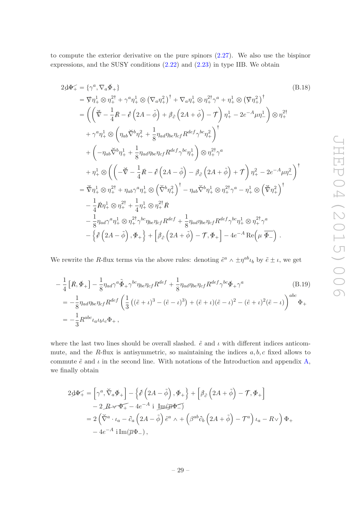to compute the exterior derivative on the pure spinors  $(2.27)$ . We also use the bispinor expressions, and the SUSY conditions [\(2.22\)](#page-11-4) and [\(2.23\)](#page-11-3) in type IIB. We obtain

<span id="page-29-1"></span>
$$
2\Phi_{+} = \{\gamma^{a}, \nabla_{a}\Phi_{+}\}\
$$
\n
$$
= \nabla\eta_{+}^{1} \otimes \eta_{+}^{2\dagger} + \gamma^{a}\eta_{+}^{1} \otimes (\nabla_{a}\eta_{+}^{2})^{\dagger} + \nabla_{a}\eta_{+}^{1} \otimes \eta_{+}^{2\dagger}\gamma^{a} + \eta_{+}^{1} \otimes (\nabla\eta_{+}^{2})^{\dagger}
$$
\n
$$
= \left(\left(\nabla - \frac{1}{4}R - \phi\left(2A - \tilde{\phi}\right) + \beta_{\partial}\left(2A + \tilde{\phi}\right) - \mathcal{T}\right)\eta_{+}^{1} - 2e^{-A}\mu\eta_{-}^{1}\right) \otimes \eta_{+}^{2\dagger}
$$
\n
$$
+ \gamma^{a}\eta_{+}^{1} \otimes \left(\eta_{ab}\nabla^{b}\eta_{+}^{2} + \frac{1}{8}\eta_{ad}\eta_{be}\eta_{cf}R^{def}\gamma^{bc}\eta_{+}^{2}\right)^{\dagger}
$$
\n
$$
+ \left(-\eta_{ab}\nabla^{b}\eta_{+}^{1} + \frac{1}{8}\eta_{ad}\eta_{be}\eta_{cf}R^{def}\gamma^{bc}\eta_{+}^{1}\right) \otimes \eta_{+}^{2\dagger}\gamma^{a}
$$
\n
$$
+ \eta_{+}^{1} \otimes \left(\left(-\nabla - \frac{1}{4}R - \phi\left(2A - \tilde{\phi}\right) - \beta_{\partial}\left(2A + \tilde{\phi}\right) + \mathcal{T}\right)\eta_{+}^{2} - 2e^{-A}\mu\eta_{-}^{2}\right)^{\dagger}
$$
\n
$$
= \nabla\eta_{+}^{1} \otimes \eta_{+}^{2\dagger} + \eta_{ab}\gamma^{a}\eta_{+}^{1} \otimes \left(\nabla^{b}\eta_{+}^{2}\right)^{\dagger} - \eta_{ab}\nabla^{b}\eta_{+}^{1} \otimes \eta_{+}^{2\dagger}\gamma^{a} - \eta_{+}^{1} \otimes \left(\nabla\eta_{+}^{2}\right)^{\dagger}
$$
\n
$$
- \frac{1}{4}R\eta_{+}^{1} \otimes \eta_{+}^{2\dagger} + \frac{1}{4}\eta_{+}^{1} \otimes \eta_{+}^{
$$

We rewrite the R-flux terms via the above rules: denoting  $\tilde{e}^a \wedge \pm \eta^{ab} \iota_b$  by  $\tilde{e} \pm \iota$ , we get

<span id="page-29-0"></span>
$$
-\frac{1}{4}\left[\mathring{R},\mathring{\Phi}_+\right] - \frac{1}{8}\eta_{ad}\gamma^a\tilde{\Phi}_+\gamma^{bc}\eta_{be}\eta_{cf}R^{def} + \frac{1}{8}\eta_{ad}\eta_{be}\eta_{cf}R^{def}\gamma^{bc}\Phi_+\gamma^a\tag{B.19}
$$

$$
= -\frac{1}{8}\eta_{ad}\eta_{be}\eta_{cf}R^{def}\left(\frac{1}{3}\left((\tilde{e}+\iota)^3 - (\tilde{e}-\iota)^3\right) + (\tilde{e}+\iota)(\tilde{e}-\iota)^2 - (\tilde{e}+\iota)^2(\tilde{e}-\iota)\right)^{abc}\Phi_+
$$

$$
= -\frac{1}{3}R^{abc}\iota_a\iota_b\iota_c\Phi_+,
$$

where the last two lines should be overall slashed.  $\tilde{e}$  and  $\iota$  with different indices anticommute, and the R-flux is antisymmetric, so maintaining the indices  $a, b, c$  fixed allows to commute  $\tilde{e}$  and  $\iota$  in the second line. With notations of the Introduction and appendix [A,](#page-26-0) we finally obtain

$$
2\Phi_{+}^{2} = \left[\gamma^{a}, \breve{\nabla}_{a} \Phi_{+}\right] - \left\{\delta\left(2A - \tilde{\phi}\right), \Phi_{+}\right\} + \left[\beta_{\partial}\left(2A + \tilde{\phi}\right) - \mathcal{T}, \Phi_{+}\right] - 2 \mathcal{B} \times \Phi_{+} - 4e^{-A} \text{ i } \underline{\text{Im}(\overline{\mu}\Phi_{-})} = 2\left(\breve{\nabla}^{a} \cdot \iota_{a} - \partial_{a}\left(2A - \tilde{\phi}\right)e^{a} \wedge + \left(\beta^{ab}\partial_{b}\left(2A + \tilde{\phi}\right) - \mathcal{T}^{a}\right)\iota_{a} - R \vee\right)\Phi_{+} - 4e^{-A} \text{ i } \underline{\text{Im}(\overline{\mu}\Phi_{-})},
$$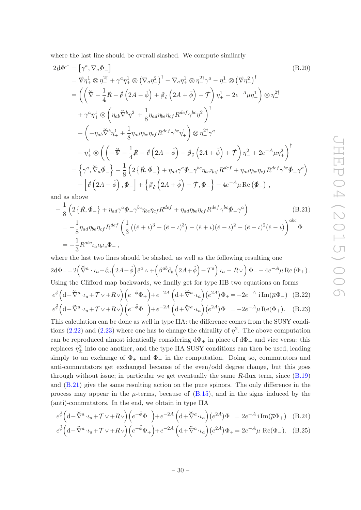where the last line should be overall slashed. We compute similarly

<span id="page-30-5"></span>
$$
2\Phi\mathcal{L} = [\gamma^a, \nabla_a \Phi_-\]
$$
\n
$$
= \nabla \eta_+^1 \otimes \eta_-^{2\dagger} + \gamma^a \eta_+^1 \otimes (\nabla_a \eta_-^2)^\dagger - \nabla_a \eta_+^1 \otimes \eta_-^{2\dagger} \gamma^a - \eta_+^1 \otimes (\nabla \eta_-^2)^\dagger
$$
\n
$$
= \left( \left( \vec{\nabla} - \frac{1}{4} \vec{R} - \vec{\phi} \left( 2\vec{A} - \tilde{\phi} \right) + \beta_\partial \left( 2\vec{A} + \tilde{\phi} \right) - \vec{\tau} \right) \eta_+^1 - 2e^{-\vec{A}} \mu \eta_-^1 \right) \otimes \eta_-^{2\dagger}
$$
\n
$$
+ \gamma^a \eta_+^1 \otimes \left( \eta_{ab} \vec{\nabla}^b \eta_-^2 + \frac{1}{8} \eta_{ad} \eta_{be} \eta_{cf} R^{def} \gamma^{bc} \eta_-^2 \right)^\dagger
$$
\n
$$
- \left( -\eta_{ab} \vec{\nabla}^b \eta_+^1 + \frac{1}{8} \eta_{ad} \eta_{be} \eta_{cf} R^{def} \gamma^{bc} \eta_+^1 \right) \otimes \eta_-^{2\dagger} \gamma^a
$$
\n
$$
- \eta_+^1 \otimes \left( \left( -\vec{\nabla} - \frac{1}{4} \vec{R} - \vec{\phi} \left( 2\vec{A} - \tilde{\phi} \right) - \beta_\partial \left( 2\vec{A} + \tilde{\phi} \right) + \vec{\tau} \right) \eta_-^2 + 2e^{-\vec{A}} \overline{\mu} \eta_+^2 \right)^\dagger
$$
\n
$$
= \left\{ \gamma^a, \vec{\nabla}_a \Phi_-\right\} - \frac{1}{8} \left( 2 \left\{ \vec{R}, \Phi_-\right\} + \eta_{ad} \gamma^a \Phi_-\gamma^{bc} \eta_{be} \eta_{cf} R^{def} + \eta_{ad} \eta_{be} \eta_{cf} R^{def} \gamma^{bc} \Phi_-\gamma^a \right) - \left[ \vec{\phi} \left( 2\vec{A} - \tilde{\phi} \right), \Phi_-\right] + \left\{ \
$$

and as above

<span id="page-30-0"></span>
$$
-\frac{1}{8}\left(2\left\{\mathring{R},\Phi_{-}\right\}+\eta_{ad}\gamma^{a}\Phi_{-}\gamma^{bc}\eta_{be}\eta_{cf}R^{def}+\eta_{ad}\eta_{be}\eta_{cf}R^{def}\gamma^{bc}\Phi_{-}\gamma^{a}\right) \qquad (B.21)
$$

$$
=-\frac{1}{8}\eta_{ad}\eta_{be}\eta_{cf}R^{def}\left(\frac{1}{3}\left((\tilde{e}+\iota)^{3}-(\tilde{e}-\iota)^{3}\right)+(\tilde{e}+\iota)(\tilde{e}-\iota)^{2}-(\tilde{e}+\iota)^{2}(\tilde{e}-\iota)\right)^{abc}\Phi_{-}
$$

$$
=-\frac{1}{3}R^{abc}\iota_{a}\iota_{b}\iota_{c}\Phi_{-},
$$

where the last two lines should be slashed, as well as the following resulting one  $2{\rm d}\Phi_- = 2\Big(\breve\nabla^a\cdot\iota_a - \partial_a\Big(2A-\tilde\phi\Big)\tilde e^a\wedge +\Big(\beta^{ab}\partial_b\Big(2A+\tilde\phi\Big)-{\cal T}^a\Big)\,\iota_a -R\vee\Big)\,\Phi_- -4e^{-A}\mu\,{\rm Re}\,(\Phi_+)\,.$ Using the Clifford map backwards, we finally get for type IIB two equations on forms

<span id="page-30-1"></span>
$$
e^{\tilde{\phi}} \left( d - \tilde{\nabla}^a \cdot \iota_a + \mathcal{T} \vee + R \vee \right) \left( e^{-\tilde{\phi}} \Phi_+ \right) + e^{-2A} \left( d + \tilde{\nabla}^a \cdot \iota_a \right) \left( e^{2A} \right) \Phi_+ = -2e^{-A} i \operatorname{Im}(\overline{\mu} \Phi_-) \tag{B.22}
$$

<span id="page-30-3"></span>
$$
e^{\tilde{\phi}} \left( d - \tilde{\nabla}^a \cdot \iota_a + \mathcal{T} \vee + R \vee \right) \left( e^{-\tilde{\phi}} \Phi_- \right) + e^{-2A} \left( d + \tilde{\nabla}^a \cdot \iota_a \right) \left( e^{2A} \right) \Phi_- = -2e^{-A} \mu \operatorname{Re}(\Phi_+). \tag{B.23}
$$

This calculation can be done as well in type IIA: the difference comes from the SUSY condi-tions [\(2.22\)](#page-11-4) and [\(2.23\)](#page-11-3) where one has to change the chirality of  $\eta^2$ . The above computation can be reproduced almost identically considering  $d\Phi_+$  in place of  $d\Phi_-$  and vice versa: this replaces  $\eta_{\pm}^2$  into one another, and the type IIA SUSY conditions can then be used, leading simply to an exchange of  $\Phi_+$  and  $\Phi_-$  in the computation. Doing so, commutators and anti-commutators get exchanged because of the even/odd degree change, but this goes through without issue; in particular we get eventually the same  $R$ -flux term, since  $(B.19)$ and [\(B.21\)](#page-30-0) give the same resulting action on the pure spinors. The only difference in the process may appear in the  $\mu$ -terms, because of [\(B.15\)](#page-28-1), and in the signs induced by the (anti)-commutators. In the end, we obtain in type IIA

$$
e^{\tilde{\phi}} \left( d - \tilde{\nabla}^a \cdot \iota_a + \mathcal{T} \vee + R \vee \right) \left( e^{-\tilde{\phi}} \Phi_- \right) + e^{-2A} \left( d + \tilde{\nabla}^a \cdot \iota_a \right) \left( e^{2A} \right) \Phi_- = 2e^{-A} i \operatorname{Im}(\overline{\mu} \Phi_+) \quad \text{(B.24)}
$$
  

$$
e^{\tilde{\phi}} \left( d - \tilde{\nabla}^a \cdot \iota_a + \mathcal{T} \vee + R \vee \right) \left( e^{-\tilde{\phi}} \Phi_- \right) + e^{-2A} \left( d + \tilde{\nabla}^a \cdot \iota_a \right) \left( e^{2A} \right) \Phi_- = 2e^{-A} i \operatorname{Im}(\overline{\mu} \Phi_+) \quad \text{(B.24)}
$$

<span id="page-30-4"></span><span id="page-30-2"></span>
$$
e^{\tilde{\phi}}\left(\mathbf{d}-\tilde{\nabla}^{a}\cdot\iota_{a}+\mathcal{T}\vee+R\vee\right)\left(e^{-\tilde{\phi}}\Phi_{+}\right)+e^{-2A}\left(\mathbf{d}+\tilde{\nabla}^{a}\cdot\iota_{a}\right)\left(e^{2A}\right)\Phi_{+}=2e^{-A}\mu\text{ Re}(\Phi_{-}).\tag{B.25}
$$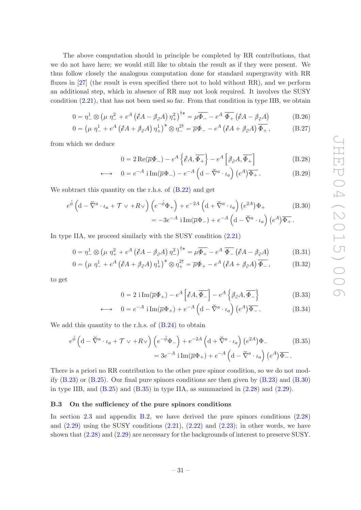The above computation should in principle be completed by RR contributions, that we do not have here; we would still like to obtain the result as if they were present. We thus follow closely the analogous computation done for standard supergravity with RR fluxes in [\[27](#page-37-11)] (the result is even specified there not to hold without RR), and we perform an additional step, which in absence of RR may not look required. It involves the SUSY condition [\(2.21\)](#page-11-2), that has not been used so far. From that condition in type IIB, we obtain

$$
0 = \eta_-^1 \otimes \left(\mu \eta_-^2 + e^A \left(\partial A - \beta_\partial A\right) \eta_+^2\right)^{\dagger *} = \mu \overline{\Phi_-} - e^A \overline{\Phi_+} \left(\partial A - \beta_\partial A\right) \tag{B.26}
$$

$$
0 = \left(\mu \eta_-^1 + e^A \left(\partial A + \beta_\partial A\right) \eta_+^1\right)^* \otimes \eta_-^{2\dagger} = \overline{\mu} \Phi_- - e^A \left(\partial A + \beta_\partial A\right) \overline{\Phi_+}\,,\tag{B.27}
$$

from which we deduce

<span id="page-31-3"></span><span id="page-31-1"></span>
$$
0 = 2 \operatorname{Re}(\overline{\mu}\phi_{-}) - e^{A} \left\{ \partial A, \overline{\phi_{+}} \right\} - e^{A} \left[ \beta_{\partial} A, \overline{\phi_{+}} \right]
$$
(B.28)

$$
\longleftrightarrow 0 = e^{-A} \operatorname{i} \operatorname{Im}(\overline{\mu} \Phi_{-}) - e^{-A} \left( d - \overline{\nabla}^{a} \cdot \iota_{a} \right) \left( e^{A} \right) \overline{\Phi_{+}}.
$$
 (B.29)

We subtract this quantity on the r.h.s. of  $(B.22)$  and get

$$
e^{\tilde{\phi}} \left( \mathrm{d} - \check{\nabla}^a \cdot \iota_a + \mathcal{T} \vee + R \vee \right) \left( e^{-\tilde{\phi}} \Phi_+ \right) + e^{-2A} \left( \mathrm{d} + \check{\nabla}^a \cdot \iota_a \right) \left( e^{2A} \right) \Phi_+ \tag{B.30}
$$

$$
= -3e^{-A} \mathrm{i} \operatorname{Im}(\overline{\mu} \Phi_-) + e^{-A} \left( \mathrm{d} - \check{\nabla}^a \cdot \iota_a \right) \left( e^A \right) \overline{\Phi_+}.
$$

In type IIA, we proceed similarly with the SUSY condition  $(2.21)$ 

$$
0 = \eta_-^1 \otimes \left(\mu \eta_+^2 + e^A \left(\partial A - \beta_\partial A\right) \eta_-^2\right)^{\dagger *} = \mu \overline{\Phi_+} - e^A \overline{\Phi_-} \left(\partial A - \beta_\partial A\right) \tag{B.31}
$$

$$
0 = \left(\mu \eta_-^1 + e^A \left(\hat{\rho} A + \beta_\partial A\right) \eta_+^1\right)^* \otimes \eta_+^{2\dagger} = \overline{\mu} \Phi_+ - e^A \left(\hat{\rho} A + \beta_\partial A\right) \overline{\Phi_-},\tag{B.32}
$$

to get

<span id="page-31-2"></span>
$$
0 = 2 \operatorname{i} \operatorname{Im}(\overline{\mu} \Phi_+) - e^A \left[ \partial A, \overline{\Phi_-} \right] - e^A \left\{ \beta_\partial A, \overline{\Phi_-} \right\} \tag{B.33}
$$

$$
\longleftrightarrow 0 = e^{-A} \operatorname{i} \operatorname{Im}(\overline{\mu} \Phi_{+}) + e^{-A} \left( d - \breve{\nabla}^{a} \cdot \iota_{a} \right) \left( e^{A} \right) \overline{\Phi_{-}}.
$$
 (B.34)

We add this quantity to the r.h.s. of  $(B.24)$  to obtain

$$
e^{\tilde{\phi}} \left( d - \tilde{\nabla}^a \cdot \iota_a + \mathcal{T} \vee + R \vee \right) \left( e^{-\tilde{\phi}} \Phi_- \right) + e^{-2A} \left( d + \tilde{\nabla}^a \cdot \iota_a \right) \left( e^{2A} \right) \Phi_-
$$
\n
$$
= 3e^{-A} i \operatorname{Im}(\overline{\mu} \Phi_+) + e^{-A} \left( d - \tilde{\nabla}^a \cdot \iota_a \right) \left( e^A \right) \overline{\Phi_-}.
$$
\n(B.35)

There is a priori no RR contribution to the other pure spinor condition, so we do not modify [\(B.23\)](#page-30-3) or [\(B.25\)](#page-30-4). Our final pure spinors conditions are then given by [\(B.23\)](#page-30-3) and [\(B.30\)](#page-31-1) in type IIB, and  $(B.25)$  and  $(B.35)$  in type IIA, as summarized in  $(2.28)$  and  $(2.29)$ .

#### <span id="page-31-0"></span>B.3 On the sufficiency of the pure spinors conditions

In section [2.3](#page-11-0) and appendix [B.2,](#page-28-0) we have derived the pure spinors conditions [\(2.28\)](#page-12-1) and  $(2.29)$  using the SUSY conditions  $(2.21)$ ,  $(2.22)$  and  $(2.23)$ ; in other words, we have shown that [\(2.28\)](#page-12-1) and [\(2.29\)](#page-12-2) are necessary for the backgrounds of interest to preserve SUSY.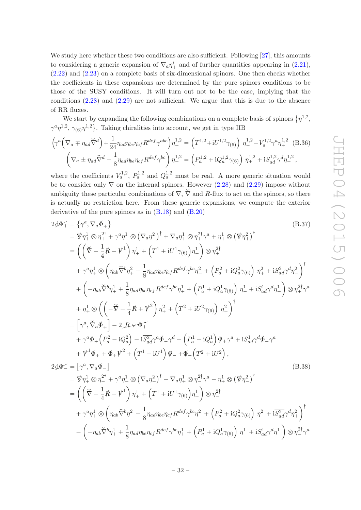We study here whether these two conditions are also sufficient. Following [\[27](#page-37-11)], this amounts to considering a generic expansion of  $\nabla_a \eta_+^i$  and of further quantities appearing in [\(2.21\)](#page-11-2), [\(2.22\)](#page-11-4) and [\(2.23\)](#page-11-3) on a complete basis of six-dimensional spinors. One then checks whether the coefficients in these expansions are determined by the pure spinors conditions to be those of the SUSY conditions. It will turn out not to be the case, implying that the conditions [\(2.28\)](#page-12-1) and [\(2.29\)](#page-12-2) are not sufficient. We argue that this is due to the absence of RR fluxes.

We start by expanding the following combinations on a complete basis of spinors  $\{\eta^{1,2},\eta^{1,2},\eta^{1,2}\}$  $\gamma^a \eta^{1,2}, \gamma_{(6)} \eta^{1,2}$ . Taking chiralities into account, we get in type IIB

$$
\left(\gamma^{a}\left(\nabla_{a} \mp \eta_{ad}\widetilde{\nabla}^{d}\right) + \frac{1}{24}\eta_{ad}\eta_{be}\eta_{cf}R^{def}\gamma^{abc}\right)\eta_{+}^{1,2} = \left(T^{1,2} + iU^{1,2}\gamma_{(6)}\right)\eta_{-}^{1,2} + V_{a}^{1,2}\gamma^{a}\eta_{+}^{1,2} \tag{B.36}
$$
\n
$$
\left(\nabla_{a} \pm \eta_{ad}\widetilde{\nabla}^{d} - \frac{1}{8}\eta_{ad}\eta_{be}\eta_{cf}R^{def}\gamma^{bc}\right)\eta_{+}^{1,2} = \left(P_{a}^{1,2} + iQ_{a}^{1,2}\gamma_{(6)}\right)\eta_{+}^{1,2} + iS_{ad}^{1,2}\gamma^{d}\eta_{-}^{1,2},
$$

where the coefficients  $V_a^{1,2}$ ,  $P_a^{1,2}$  and  $Q_a^{1,2}$  must be real. A more generic situation would be to consider only  $\nabla$  on the internal spinors. However [\(2.28\)](#page-12-1) and [\(2.29\)](#page-12-2) impose without ambiguity these particular combinations of  $\nabla$ ,  $\check{\nabla}$  and R-flux to act on the spinors, so there is actually no restriction here. From these generic expansions, we compute the exterior derivative of the pure spinors as in  $(B.18)$  and  $(B.20)$ 

<span id="page-32-1"></span>
$$
2d\Phi_{+} = \{\gamma^{a}, \nabla_{a}\Phi_{+}\}\
$$
\n(B.37)  
\n
$$
= \nabla \eta_{+}^{1} \otimes \eta_{+}^{2\dagger} + \gamma^{a} \eta_{+}^{1} \otimes (\nabla_{a} \eta_{+}^{2})^{\dagger} + \nabla_{a} \eta_{+}^{1} \otimes \eta_{+}^{2\dagger} \gamma^{a} + \eta_{+}^{1} \otimes (\nabla \eta_{+}^{2})^{\dagger}
$$
\n
$$
= \left( \left( \check{\nabla} - \frac{1}{4} \hat{R} + V^{1} \right) \eta_{+}^{1} + \left( T^{1} + iU^{1} \gamma_{(6)} \right) \eta_{-}^{1} \right) \otimes \eta_{+}^{2\dagger}
$$
\n
$$
+ \gamma^{a} \eta_{+}^{1} \otimes \left( \eta_{ab} \check{\nabla}^{b} \eta_{+}^{2} + \frac{1}{8} \eta_{ad} \eta_{bc} \eta_{cf} R^{def} \gamma^{bc} \eta_{+}^{2} + \left( P_{a}^{2} + i Q_{a}^{2} \gamma_{(6)} \right) \eta_{+}^{2} + i S_{ad}^{2} \gamma^{d} \eta_{-}^{2} \right)^{\dagger}
$$
\n
$$
+ \left( -\eta_{ab} \check{\nabla}^{b} \eta_{+}^{1} + \frac{1}{8} \eta_{ad} \eta_{bc} \eta_{cf} R^{def} \gamma^{bc} \eta_{+}^{1} + \left( P_{a}^{1} + i Q_{a}^{1} \gamma_{(6)} \right) \eta_{+}^{1} + i S_{ad}^{1} \gamma^{d} \eta_{-}^{1} \right) \otimes \eta_{+}^{2\dagger} \gamma^{a}
$$
\n
$$
+ \eta_{+}^{1} \otimes \left( \left( -\check{\nabla} - \frac{1}{4} \hat{R} + V^{2} \right) \eta_{+}^{2} + \left( T^{2} + i U^{2} \gamma_{(6)} \right) \eta_{-}^{2} \right)^{\dagger}
$$
\n
$$
= \left[ \gamma^{a}, \check{\nabla}_{a} \Phi_{+} \right] - 2 R \cdot \nabla_{+}
$$
\n
$$
+ \gamma^{a} \Phi_{+} \left( P_{
$$

<span id="page-32-0"></span>
$$
= \sqrt{\eta_+ \otimes \eta_- + \gamma \eta_+ \otimes (\sqrt{a_1} \eta_-) - \sqrt{a_1} \eta_+ \otimes (\sqrt{a_1} \eta_-)}= \left( \left( \vec{\nabla} - \frac{1}{4} \vec{R} + \vec{V}^1 \right) \eta_+^1 + \left( T^1 + i U^1 \gamma_{(6)} \right) \eta_-^1 \right) \otimes \eta_-^{2\dagger} + \gamma^a \eta_+^1 \otimes \left( \eta_{ab} \vec{\nabla}^b \eta_-^2 + \frac{1}{8} \eta_{ad} \eta_{be} \eta_{cf} R^{def} \gamma^{bc} \eta_-^2 + \left( P_a^2 + i Q_a^2 \gamma_{(6)} \right) \eta_-^2 + i \overline{S_{ad}^2} \gamma^d \eta_+^2 \right)^\dagger - \left( - \eta_{ab} \vec{\nabla}^b \eta_+^1 + \frac{1}{8} \eta_{ad} \eta_{be} \eta_{cf} R^{def} \gamma^{bc} \eta_+^1 + \left( P_a^1 + i Q_a^1 \gamma_{(6)} \right) \eta_+^1 + i S_{ad}^1 \gamma^d \eta_-^1 \right) \otimes \eta_-^{2\dagger} \gamma^a
$$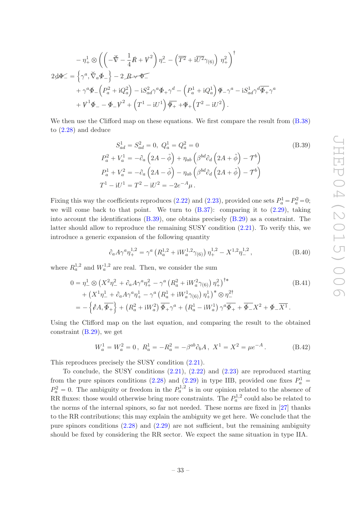$$
-\eta_{+}^{1} \otimes \left( \left( -\vec{\nabla} - \frac{1}{4} \vec{R} + V^{2} \right) \eta_{-}^{2} - \left( \overline{T^{2}} + i \overline{U^{2}} \gamma_{(6)} \right) \eta_{+}^{2} \right)^{\dagger}
$$
  
2 $\oint \mathcal{L} = \left\{ \gamma^{a}, \vec{\nabla}_{a} \vec{\Phi}_{-} \right\} - 2 \mathcal{L} \vec{\nabla} \vec{\Phi}_{-}$   

$$
+ \gamma^{a} \vec{\Phi}_{-} \left( P_{a}^{2} + i Q_{a}^{2} \right) - i S_{ad}^{2} \gamma^{a} \vec{\Phi}_{+} \gamma^{d} - \left( P_{a}^{1} + i Q_{a}^{1} \right) \vec{\Phi}_{-} \gamma^{a} - i S_{ad}^{1} \gamma^{d} \vec{\Phi}_{+} \gamma^{a}
$$
  

$$
+ V^{1} \vec{\Phi}_{-} - \vec{\Phi}_{-} V^{2} + \left( T^{1} - i U^{1} \right) \vec{\Phi}_{+} + \vec{\Phi}_{+} \left( T^{2} - i U^{2} \right).
$$

We then use the Clifford map on these equations. We first compare the result from  $(8.38)$ to [\(2.28\)](#page-12-1) and deduce

<span id="page-33-0"></span>
$$
S_{ad}^1 = S_{ad}^2 = 0, \ Q_a^1 = Q_a^2 = 0
$$
\n
$$
P_a^2 + V_a^1 = -\partial_a \left(2A - \tilde{\phi}\right) + \eta_{ab} \left(\beta^{bd}\partial_d \left(2A + \tilde{\phi}\right) - \mathcal{T}^b\right)
$$
\n
$$
P_a^1 + V_a^2 = -\partial_a \left(2A - \tilde{\phi}\right) - \eta_{ab} \left(\beta^{bd}\partial_d \left(2A + \tilde{\phi}\right) - \mathcal{T}^b\right)
$$
\n
$$
T^1 - iU^1 = T^2 - iU^2 = -2e^{-A}\mu.
$$
\n(B.39)

Fixing this way the coefficients reproduces [\(2.22\)](#page-11-4) and [\(2.23\)](#page-11-3), provided one sets  $P_a^1 = P_a^2 = 0$ ; we will come back to that point. We turn to  $(B.37)$ : comparing it to  $(2.29)$ , taking into account the identifications [\(B.39\)](#page-33-0), one obtains precisely [\(B.29\)](#page-31-3) as a constraint. The latter should allow to reproduce the remaining SUSY condition [\(2.21\)](#page-11-2). To verify this, we introduce a generic expansion of the following quantity

$$
\partial_a A \gamma^a \eta_+^{1,2} = \gamma^a \left( R_a^{1,2} + i W_a^{1,2} \gamma_{(6)} \right) \eta_+^{1,2} - X^{1,2} \eta_-^{1,2}, \tag{B.40}
$$

where  $R_a^{1,2}$  and  $W_a^{1,2}$  are real. Then, we consider the sum

$$
0 = \eta_{-}^{1} \otimes \left(X^{2} \eta_{-}^{2} + \partial_{a} A \gamma^{a} \eta_{+}^{2} - \gamma^{a} \left(R_{a}^{2} + i W_{a}^{2} \gamma_{(6)}\right) \eta_{+}^{2}\right)^{\dagger*} + \left(X^{1} \eta_{-}^{1} + \partial_{a} A \gamma^{a} \eta_{+}^{1} - \gamma^{a} \left(R_{a}^{1} + i W_{a}^{1} \gamma_{(6)}\right) \eta_{+}^{1}\right)^{*} \otimes \eta_{-}^{2\dagger} = -\left\{\partial A, \overline{\Phi_{+}}\right\} + \left(R_{a}^{2} + i W_{a}^{2}\right) \overline{\Phi_{+}} \gamma^{a} + \left(R_{a}^{1} - i W_{a}^{1}\right) \gamma^{a} \overline{\Phi_{+}} + \overline{\Phi_{-}} X^{2} + \Phi_{-} \overline{X^{1}}.
$$
\n(B.41)

Using the Clifford map on the last equation, and comparing the result to the obtained constraint [\(B.29\)](#page-31-3), we get

$$
W_a^1 = W_a^2 = 0, \ R_a^1 = -R_a^2 = -\beta^{ab}\partial_b A, \ X^1 = X^2 = \mu e^{-A}. \tag{B.42}
$$

This reproduces precisely the SUSY condition [\(2.21\)](#page-11-2).

To conclude, the SUSY conditions  $(2.21)$ ,  $(2.22)$  and  $(2.23)$  are reproduced starting from the pure spinors conditions [\(2.28\)](#page-12-1) and [\(2.29\)](#page-12-2) in type IIB, provided one fixes  $P_a^1$  =  $P_a^2 = 0$ . The ambiguity or freedom in the  $P_a^{1,2}$  is in our opinion related to the absence of RR fluxes: those would otherwise bring more constraints. The  $P_a^{1,2}$  could also be related to the norms of the internal spinors, so far not needed. These norms are fixed in [\[27](#page-37-11)] thanks to the RR contributions; this may explain the ambiguity we get here. We conclude that the pure spinors conditions [\(2.28\)](#page-12-1) and [\(2.29\)](#page-12-2) are not sufficient, but the remaining ambiguity should be fixed by considering the RR sector. We expect the same situation in type IIA.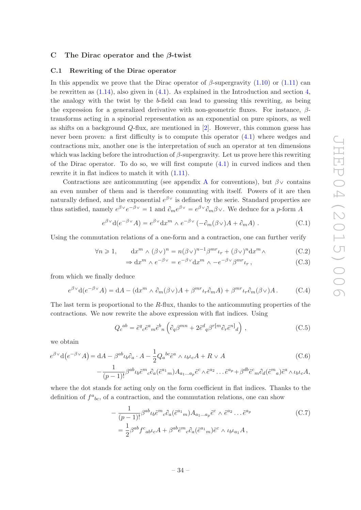#### <span id="page-34-1"></span><span id="page-34-0"></span>C The Dirac operator and the  $\beta$ -twist

#### C.1 Rewriting of the Dirac operator

In this appendix we prove that the Dirac operator of  $\beta$ -supergravity [\(1.10\)](#page-4-0) or [\(1.11\)](#page-4-4) can be rewritten as [\(1.14\)](#page-4-1), also given in [\(4.1\)](#page-18-4). As explained in the Introduction and section [4,](#page-18-0) the analogy with the twist by the b-field can lead to guessing this rewriting, as being the expression for a generalized derivative with non-geometric fluxes. For instance,  $\beta$ transforms acting in a spinorial representation as an exponential on pure spinors, as well as shifts on a background  $Q$ -flux, are mentioned in  $[2]$ . However, this common guess has never been proven: a first difficulty is to compute this operator [\(4.1\)](#page-18-4) where wedges and contractions mix, another one is the interpretation of such an operator at ten dimensions which was lacking before the introduction of  $\beta$ -supergravity. Let us prove here this rewriting of the Dirac operator. To do so, we will first compute  $(4.1)$  in curved indices and then rewrite it in flat indices to match it with [\(1.11\)](#page-4-4).

Contractions are anticommuting (see appendix [A](#page-26-0) for conventions), but  $\beta$  contains an even number of them and is therefore commuting with itself. Powers of it are then naturally defined, and the exponential  $e^{\beta v}$  is defined by the serie. Standard properties are thus satisfied, namely  $e^{\beta \vee} e^{-\beta \vee} = 1$  and  $\partial_m e^{\beta \vee} = e^{\beta \vee} \partial_m \beta \vee$ . We deduce for a p-form A

$$
e^{\beta \vee} d(e^{-\beta \vee} A) = e^{\beta \vee} dx^m \wedge e^{-\beta \vee} (-\partial_m(\beta \vee) A + \partial_m A) . \tag{C.1}
$$

Using the commutation relations of a one-form and a contraction, one can further verify

$$
\forall n \geq 1, \qquad dx^m \wedge (\beta \vee)^n = n(\beta \vee)^{n-1} \beta^{mr} \iota_r + (\beta \vee)^n dx^m \wedge \tag{C.2}
$$

$$
\Rightarrow dx^m \wedge e^{-\beta \vee} = e^{-\beta \vee} dx^m \wedge -e^{-\beta \vee} \beta^{mr} \iota_r, \qquad (C.3)
$$

from which we finally deduce

<span id="page-34-2"></span>
$$
e^{\beta \vee} d(e^{-\beta \vee} A) = dA - (dx^m \wedge \partial_m(\beta \vee)A + \beta^{mr} \iota_r \partial_m A) + \beta^{mr} \iota_r \partial_m(\beta \vee) A. \tag{C.4}
$$

The last term is proportional to the R-flux, thanks to the anticommuting properties of the contractions. We now rewrite the above expression with flat indices. Using

$$
Q_c{}^{ab} = \tilde{e}^q{}_c \tilde{e}^a{}_m \tilde{e}^b{}_n \left( \partial_q \beta^{mn} + 2 \tilde{e}^d{}_q \beta^{r[m} \partial_r \tilde{e}^n]_d \right) , \qquad (C.5)
$$

we obtain

$$
e^{\beta \vee} d(e^{-\beta \vee} A) = dA - \beta^{ab} \iota_b \partial_a \cdot A - \frac{1}{2} Q_a{}^{bc} \tilde{e}^a \wedge \iota_b \iota_c A + R \vee A
$$
\n
$$
- \frac{1}{(p-1)!} \beta^{ab} \iota_b \tilde{e}^m{}_c \partial_a (\tilde{e}^{a_1}{}_m) A_{a_1 \dots a_p} \tilde{e}^c \wedge \tilde{e}^{a_2} \dots \tilde{e}^{a_p} + \beta^{db} \tilde{e}^c{}_m \partial_d (\tilde{e}^m{}_a) \tilde{e}^a \wedge \iota_b \iota_c A,
$$
\n(C.6)

where the dot stands for acting only on the form coefficient in flat indices. Thanks to the definition of  $f^a{}_{bc}$ , of a contraction, and the commutation relations, one can show

$$
-\frac{1}{(p-1)!}\beta^{ab}\iota_b\tilde{e}^m{}_c\partial_a(\tilde{e}^{a_1}{}_m)A_{a_1\ldots a_p}\tilde{e}^c\wedge\tilde{e}^{a_2}\ldots\tilde{e}^{a_p}
$$
\n
$$
=\frac{1}{2}\beta^{ab}f^c{}_{ab}\iota_c A + \beta^{ab}\tilde{e}^m{}_c\partial_a(\tilde{e}^{a_1}{}_m)\tilde{e}^c\wedge\iota_b\iota_{a_1}A\,,
$$
\n(C.7)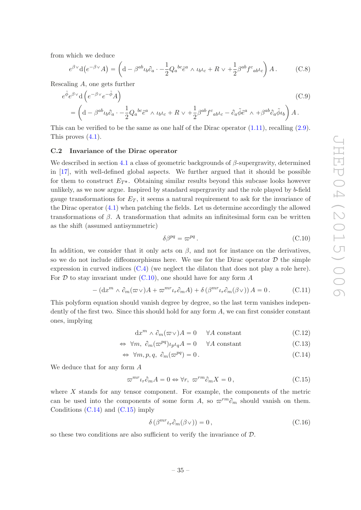from which we deduce

$$
e^{\beta \vee} d(e^{-\beta \vee} A) = \left( d - \beta^{ab} \iota_b \partial_a \cdot -\frac{1}{2} Q_a{}^{bc} \tilde{e}^a \wedge \iota_b \iota_c + R \vee \frac{1}{2} \beta^{ab} f^c{}_{ab} \iota_c \right) A. \tag{C.8}
$$

Rescaling A, one gets further

$$
e^{\tilde{\phi}}e^{\beta \vee}d\left(e^{-\beta \vee}e^{-\tilde{\phi}}A\right)
$$
\n
$$
= \left(d - \beta^{ab}\iota_b\partial_a \cdot -\frac{1}{2}Q_a{}^{bc}\tilde{e}^a \wedge \iota_b\iota_c + R \vee + \frac{1}{2}\beta^{ab}f^c{}_{ab}\iota_c - \partial_a\tilde{\phi}\tilde{e}^a \wedge + \beta^{ab}\partial_a\tilde{\phi}\iota_b\right)A.
$$
\n(C.9)

This can be verified to be the same as one half of the Dirac operator  $(1.11)$ , recalling  $(2.9)$ . This proves [\(4.1\)](#page-18-4).

#### <span id="page-35-0"></span>C.2 Invariance of the Dirac operator

We described in section [4.1](#page-19-0) a class of geometric backgrounds of  $\beta$ -supergravity, determined in [\[17](#page-37-2)], with well-defined global aspects. We further argued that it should be possible for them to construct  $E_{T^*}$ . Obtaining similar results beyond this subcase looks however unlikely, as we now argue. Inspired by standard supergravity and the role played by b-field gauge transformations for  $E_T$ , it seems a natural requirement to ask for the invariance of the Dirac operator [\(4.1\)](#page-18-4) when patching the fields. Let us determine accordingly the allowed transformations of β. A transformation that admits an infinitesimal form can be written as the shift (assumed antisymmetric)

<span id="page-35-1"></span>
$$
\delta\beta^{pq} = \varpi^{pq} \,. \tag{C.10}
$$

In addition, we consider that it only acts on  $\beta$ , and not for instance on the derivatives, so we do not include diffeomorphisms here. We use for the Dirac operator  $D$  the simple expression in curved indices [\(C.4\)](#page-34-2) (we neglect the dilaton that does not play a role here). For  $D$  to stay invariant under  $(C.10)$ , one should have for any form  $A$ 

$$
- (\mathrm{d}x^m \wedge \partial_m(\varpi \vee)A + \varpi^{mr} \iota_r \partial_m A) + \delta \left( \beta^{mr} \iota_r \partial_m(\beta \vee) \right) A = 0. \tag{C.11}
$$

This polyform equation should vanish degree by degree, so the last term vanishes independently of the first two. Since this should hold for any form  $A$ , we can first consider constant ones, implying

<span id="page-35-2"></span>
$$
dx^{m} \wedge \partial_{m}(\varpi \vee)A = 0 \quad \forall A \text{ constant}
$$
\n(C.12)

$$
\Leftrightarrow \forall m, \ \partial_m(\varpi^{pq})\iota_p\iota_q A = 0 \qquad \forall A \text{ constant}
$$
\n(C.13)

$$
\Leftrightarrow \forall m, p, q, \ \partial_m(\varpi^{pq}) = 0. \tag{C.14}
$$

We deduce that for any form A

<span id="page-35-3"></span>
$$
\varpi^{mr}\iota_r \partial_m A = 0 \Leftrightarrow \forall r, \ \varpi^{rm} \partial_m X = 0, \tag{C.15}
$$

where X stands for any tensor component. For example, the components of the metric can be used into the components of some form A, so  $\varpi^{rm}\partial_m$  should vanish on them. Conditions  $(C.14)$  and  $(C.15)$  imply

$$
\delta\left(\beta^{mr}\iota_r\partial_m(\beta\vee)\right) = 0\,,\tag{C.16}
$$

so these two conditions are also sufficient to verify the invariance of D.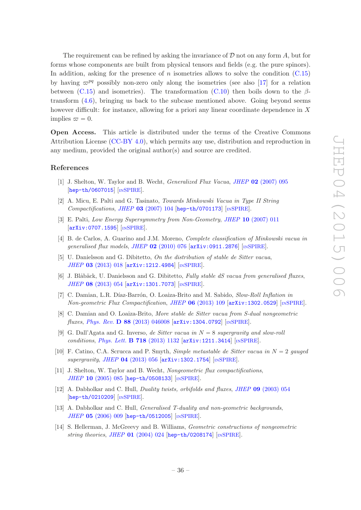The requirement can be refined by asking the invariance of  $D$  not on any form  $A$ , but for forms whose components are built from physical tensors and fields (e.g. the pure spinors). In addition, asking for the presence of n isometries allows to solve the condition  $(C.15)$ by having  $\varpi^{pq}$  possibly non-zero only along the isometries (see also [\[17\]](#page-37-2) for a relation between [\(C.15\)](#page-35-3) and isometries). The transformation [\(C.10\)](#page-35-1) then boils down to the  $\beta$ transform [\(4.6\)](#page-20-0), bringing us back to the subcase mentioned above. Going beyond seems however difficult: for instance, allowing for a priori any linear coordinate dependence in X implies  $\varpi = 0$ .

Open Access. This article is distributed under the terms of the Creative Commons Attribution License [\(CC-BY 4.0\)](http://creativecommons.org/licenses/by/4.0/), which permits any use, distribution and reproduction in any medium, provided the original author(s) and source are credited.

#### References

- <span id="page-36-0"></span>[1] J. Shelton, W. Taylor and B. Wecht, Generalized Flux Vacua, JHEP 02 [\(2007\) 095](http://dx.doi.org/10.1088/1126-6708/2007/02/095) [[hep-th/0607015](http://arxiv.org/abs/hep-th/0607015)] [IN[SPIRE](http://inspirehep.net/search?p=find+EPRINT+hep-th/0607015)].
- <span id="page-36-6"></span>[2] A. Micu, E. Palti and G. Tasinato, Towards Minkowski Vacua in Type II String  $Computations, JHEP$  03 [\(2007\) 104](http://dx.doi.org/10.1088/1126-6708/2007/03/104) [[hep-th/0701173](http://arxiv.org/abs/hep-th/0701173)] [IN[SPIRE](http://inspirehep.net/search?p=find+EPRINT+hep-th/0701173)].
- [3] E. Palti, Low Energy Supersymmetry from Non-Geometry, JHEP 10 [\(2007\) 011](http://dx.doi.org/10.1088/1126-6708/2007/10/011) [[arXiv:0707.1595](http://arxiv.org/abs/0707.1595)] [IN[SPIRE](http://inspirehep.net/search?p=find+EPRINT+arXiv:0707.1595)].
- [4] B. de Carlos, A. Guarino and J.M. Moreno, Complete classification of Minkowski vacua in generalised flux models, JHEP  $02$  [\(2010\) 076](http://dx.doi.org/10.1007/JHEP02(2010)076)  $\text{arXiv:}0911.2876$  [IN[SPIRE](http://inspirehep.net/search?p=find+EPRINT+arXiv:0911.2876)].
- [5] U. Danielsson and G. Dibitetto, On the distribution of stable de Sitter vacua, JHEP 03 [\(2013\) 018](http://dx.doi.org/10.1007/JHEP03(2013)018) [[arXiv:1212.4984](http://arxiv.org/abs/1212.4984)] [IN[SPIRE](http://inspirehep.net/search?p=find+EPRINT+arXiv:1212.4984)].
- [6] J. Blåbäck, U. Danielsson and G. Dibitetto, Fully stable dS vacua from generalised fluxes, JHEP 08 [\(2013\) 054](http://dx.doi.org/10.1007/JHEP08(2013)054) [[arXiv:1301.7073](http://arxiv.org/abs/1301.7073)] [IN[SPIRE](http://inspirehep.net/search?p=find+EPRINT+arXiv:1301.7073)].
- [7] C. Damian, L.R. Díaz-Barrón, O. Loaiza-Brito and M. Sabido, Slow-Roll Inflation in Non-geometric Flux Compactification, JHEP 06 [\(2013\) 109](http://dx.doi.org/10.1007/JHEP06(2013)109) [[arXiv:1302.0529](http://arxiv.org/abs/1302.0529)] [IN[SPIRE](http://inspirehep.net/search?p=find+EPRINT+arXiv:1302.0529)].
- [8] C. Damian and O. Loaiza-Brito, More stable de Sitter vacua from S-dual nongeometric fluxes, Phys. Rev. D 88 [\(2013\) 046008](http://dx.doi.org/10.1103/PhysRevD.88.046008)  $arXiv:1304.0792$  [IN[SPIRE](http://inspirehep.net/search?p=find+EPRINT+arXiv:1304.0792)].
- [9] G. Dall'Agata and G. Inverso, de Sitter vacua in  $N = 8$  supergravity and slow-roll conditions, *Phys. Lett.* **B 718** [\(2013\) 1132](http://dx.doi.org/10.1016/j.physletb.2012.11.062) [[arXiv:1211.3414](http://arxiv.org/abs/1211.3414)] [IN[SPIRE](http://inspirehep.net/search?p=find+EPRINT+arXiv:1211.3414)].
- <span id="page-36-1"></span>[10] F. Catino, C.A. Scrucca and P. Smyth, Simple metastable de Sitter vacua in  $N = 2$  gauged  $supergravity$ , JHEP 04 [\(2013\) 056](http://dx.doi.org/10.1007/JHEP04(2013)056)  $\left[$ [arXiv:1302.1754](http://arxiv.org/abs/1302.1754) $\right]$   $\left[$ IN[SPIRE](http://inspirehep.net/search?p=find+EPRINT+arXiv:1302.1754) $\right]$ .
- <span id="page-36-2"></span>[11] J. Shelton, W. Taylor and B. Wecht, Nongeometric flux compactifications, JHEP 10 [\(2005\) 085](http://dx.doi.org/10.1088/1126-6708/2005/10/085) [[hep-th/0508133](http://arxiv.org/abs/hep-th/0508133)] [IN[SPIRE](http://inspirehep.net/search?p=find+EPRINT+hep-th/0508133)].
- <span id="page-36-4"></span>[12] A. Dabholkar and C. Hull, *Duality twists, orbifolds and fluxes, JHEP* **09** [\(2003\) 054](http://dx.doi.org/10.1088/1126-6708/2003/09/054) [[hep-th/0210209](http://arxiv.org/abs/hep-th/0210209)] [IN[SPIRE](http://inspirehep.net/search?p=find+EPRINT+hep-th/0210209)].
- <span id="page-36-3"></span>[13] A. Dabholkar and C. Hull, *Generalised T-duality and non-geometric backgrounds*, JHEP 05 [\(2006\) 009](http://dx.doi.org/10.1088/1126-6708/2006/05/009) [[hep-th/0512005](http://arxiv.org/abs/hep-th/0512005)] [IN[SPIRE](http://inspirehep.net/search?p=find+EPRINT+hep-th/0512005)].
- <span id="page-36-5"></span>[14] S. Hellerman, J. McGreevy and B. Williams, Geometric constructions of nongeometric string theories, JHEP  $01$  [\(2004\) 024](http://dx.doi.org/10.1088/1126-6708/2004/01/024) [[hep-th/0208174](http://arxiv.org/abs/hep-th/0208174)] [IN[SPIRE](http://inspirehep.net/search?p=find+EPRINT+hep-th/0208174)].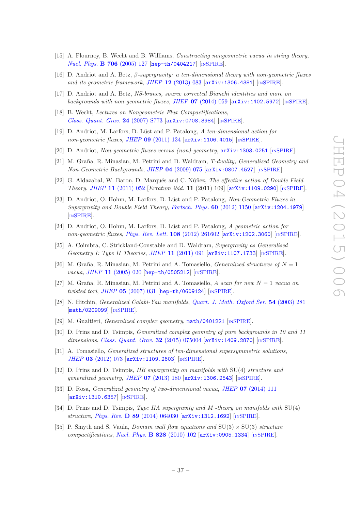- <span id="page-37-0"></span>[15] A. Flournoy, B. Wecht and B. Williams, Constructing nongeometric vacua in string theory, [Nucl. Phys.](http://dx.doi.org/10.1016/j.nuclphysb.2004.11.005) B 706 (2005) 127 [[hep-th/0404217](http://arxiv.org/abs/hep-th/0404217)] [IN[SPIRE](http://inspirehep.net/search?p=find+EPRINT+hep-th/0404217)].
- <span id="page-37-1"></span>[16] D. Andriot and A. Betz,  $\beta$ -supergravity: a ten-dimensional theory with non-geometric fluxes and its geometric framework, JHEP 12 [\(2013\) 083](http://dx.doi.org/10.1007/JHEP12(2013)083) [[arXiv:1306.4381](http://arxiv.org/abs/1306.4381)] [IN[SPIRE](http://inspirehep.net/search?p=find+EPRINT+arXiv:1306.4381)].
- <span id="page-37-2"></span>[17] D. Andriot and A. Betz, NS-branes, source corrected Bianchi identities and more on backgrounds with non-geometric fluxes, JHEP  $07$  [\(2014\) 059](http://dx.doi.org/10.1007/JHEP07(2014)059)  $\left[$ [arXiv:1402.5972](http://arxiv.org/abs/1402.5972) $\right]$  [IN[SPIRE](http://inspirehep.net/search?p=find+EPRINT+arXiv:1402.5972)].
- <span id="page-37-3"></span>[18] B. Wecht, Lectures on Nongeometric Flux Compactifications, [Class. Quant. Grav.](http://dx.doi.org/10.1088/0264-9381/24/21/S03) 24 (2007) S773 [[arXiv:0708.3984](http://arxiv.org/abs/0708.3984)] [IN[SPIRE](http://inspirehep.net/search?p=find+EPRINT+arXiv:0708.3984)].
- <span id="page-37-5"></span>[19] D. Andriot, M. Larfors, D. Lüst and P. Patalong, A ten-dimensional action for non-geometric fluxes, JHEP  $09$  [\(2011\) 134](http://dx.doi.org/10.1007/JHEP09(2011)134)  $\text{arXiv:1106.4015}$  $\text{arXiv:1106.4015}$  $\text{arXiv:1106.4015}$  [IN[SPIRE](http://inspirehep.net/search?p=find+EPRINT+arXiv:1106.4015)].
- <span id="page-37-4"></span>[20] D. Andriot, Non-geometric fluxes versus (non)-geometry, [arXiv:1303.0251](http://arxiv.org/abs/1303.0251) [IN[SPIRE](http://inspirehep.net/search?p=find+EPRINT+arXiv:1303.0251)].
- <span id="page-37-6"></span>[21] M. Graña, R. Minasian, M. Petrini and D. Waldram, T-duality, Generalized Geometry and  $Non-Geometric$  Backgrounds, JHEP 04 [\(2009\) 075](http://dx.doi.org/10.1088/1126-6708/2009/04/075)  $\left[$ [arXiv:0807.4527](http://arxiv.org/abs/0807.4527) $\right]$  [IN[SPIRE](http://inspirehep.net/search?p=find+EPRINT+arXiv:0807.4527)].
- [22] G. Aldazabal, W. Baron, D. Marqués and C. Núñez, The effective action of Double Field Theory, JHEP 11 [\(2011\) 052](http://dx.doi.org/10.1007/JHEP11(2011)052) [Erratum ibid. 11 (2011) 109] [[arXiv:1109.0290](http://arxiv.org/abs/1109.0290)] [IN[SPIRE](http://inspirehep.net/search?p=find+EPRINT+arXiv:1109.0290)].
- <span id="page-37-7"></span>[23] D. Andriot, O. Hohm, M. Larfors, D. Lüst and P. Patalong, Non-Geometric Fluxes in Supergravity and Double Field Theory, [Fortsch. Phys.](http://dx.doi.org/10.1002/prop.201200085) 60 (2012) 1150 [[arXiv:1204.1979](http://arxiv.org/abs/1204.1979)] [IN[SPIRE](http://inspirehep.net/search?p=find+EPRINT+arXiv:1204.1979)].
- <span id="page-37-8"></span>[24] D. Andriot, O. Hohm, M. Larfors, D. Lüst and P. Patalong, A geometric action for non-geometric fluxes, [Phys. Rev. Lett.](http://dx.doi.org/10.1103/PhysRevLett.108.261602) 108 (2012) 261602 [[arXiv:1202.3060](http://arxiv.org/abs/1202.3060)] [IN[SPIRE](http://inspirehep.net/search?p=find+EPRINT+arXiv:1202.3060)].
- <span id="page-37-9"></span>[25] A. Coimbra, C. Strickland-Constable and D. Waldram, Supergravity as Generalised Geometry I: Type II Theories, JHEP  $11$  [\(2011\) 091](http://dx.doi.org/10.1007/JHEP11(2011)091)  $\left[$ [arXiv:1107.1733](http://arxiv.org/abs/1107.1733) $\right]$   $\left[$ IN[SPIRE](http://inspirehep.net/search?p=find+EPRINT+arXiv:1107.1733) $\right]$ .
- <span id="page-37-10"></span>[26] M. Graña, R. Minasian, M. Petrini and A. Tomasiello, *Generalized structures of*  $N = 1$ vacua, JHEP 11 [\(2005\) 020](http://dx.doi.org/10.1088/1126-6708/2005/11/020) [[hep-th/0505212](http://arxiv.org/abs/hep-th/0505212)] [IN[SPIRE](http://inspirehep.net/search?p=find+EPRINT+hep-th/0505212)].
- <span id="page-37-11"></span>[27] M. Graña, R. Minasian, M. Petrini and A. Tomasiello, A scan for new  $N = 1$  vacua on twisted tori, JHEP  $05$  [\(2007\) 031](http://dx.doi.org/10.1088/1126-6708/2007/05/031) [[hep-th/0609124](http://arxiv.org/abs/hep-th/0609124)] [IN[SPIRE](http://inspirehep.net/search?p=find+EPRINT+hep-th/0609124)].
- <span id="page-37-12"></span>[28] N. Hitchin, Generalized Calabi-Yau manifolds, [Quart. J. Math. Oxford Ser.](http://dx.doi.org/10.1093/qjmath/54.3.281) 54 (2003) 281 [[math/0209099](http://arxiv.org/abs/math/0209099)] [IN[SPIRE](http://inspirehep.net/search?p=find+EPRINT+math/0209099)].
- <span id="page-37-13"></span>[29] M. Gualtieri, *Generalized complex geometry*, [math/0401221](http://arxiv.org/abs/math/0401221) [IN[SPIRE](http://inspirehep.net/search?p=find+EPRINT+math/0401221)].
- <span id="page-37-14"></span>[30] D. Prins and D. Tsimpis, Generalized complex geometry of pure backgrounds in 10 and 11 dimensions, [Class. Quant. Grav.](http://dx.doi.org/10.1088/0264-9381/32/7/075004) 32 (2015) 075004 [[arXiv:1409.2870](http://arxiv.org/abs/1409.2870)] [IN[SPIRE](http://inspirehep.net/search?p=find+EPRINT+arXiv:1409.2870)].
- [31] A. Tomasiello, *Generalized structures of ten-dimensional supersymmetric solutions*, JHEP 03 [\(2012\) 073](http://dx.doi.org/10.1007/JHEP03(2012)073) [[arXiv:1109.2603](http://arxiv.org/abs/1109.2603)] [IN[SPIRE](http://inspirehep.net/search?p=find+EPRINT+arXiv:1109.2603)].
- [32] D. Prins and D. Tsimpis,  $IIB$  supergravity on manifolds with  $SU(4)$  structure and generalized geometry, JHEP  $07$  [\(2013\) 180](http://dx.doi.org/10.1007/JHEP07(2013)180)  $\left[$ [arXiv:1306.2543](http://arxiv.org/abs/1306.2543) $\right]$   $\left[$ IN[SPIRE](http://inspirehep.net/search?p=find+EPRINT+arXiv:1306.2543) $\right]$ .
- [33] D. Rosa, *Generalized geometry of two-dimensional vacua, JHEP* **07** [\(2014\) 111](http://dx.doi.org/10.1007/JHEP07(2014)111) [[arXiv:1310.6357](http://arxiv.org/abs/1310.6357)] [IN[SPIRE](http://inspirehep.net/search?p=find+EPRINT+arXiv:1310.6357)].
- [34] D. Prins and D. Tsimpis, Type IIA supergravity and M-theory on manifolds with  $SU(4)$ structure, Phys. Rev. D 89 [\(2014\) 064030](http://dx.doi.org/10.1103/PhysRevD.89.064030) [[arXiv:1312.1692](http://arxiv.org/abs/1312.1692)] [IN[SPIRE](http://inspirehep.net/search?p=find+EPRINT+arXiv:1312.1692)].
- [35] P. Smyth and S. Vaula, *Domain wall flow equations and*  $SU(3) \times SU(3)$  *structure*  $compactifications, Nucl. Phys.$  $compactifications, Nucl. Phys.$  **B** 828 (2010) 102  $\overline{arXiv:0905.1334}$  $\overline{arXiv:0905.1334}$  $\overline{arXiv:0905.1334}$  [IN[SPIRE](http://inspirehep.net/search?p=find+EPRINT+arXiv:0905.1334)].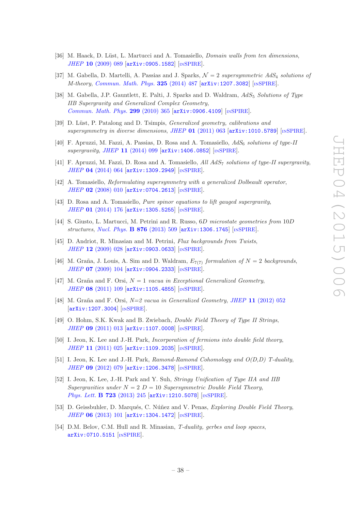- [36] M. Haack, D. Lüst, L. Martucci and A. Tomasiello, *Domain walls from ten dimensions*, JHEP 10 [\(2009\) 089](http://dx.doi.org/10.1088/1126-6708/2009/10/089) [[arXiv:0905.1582](http://arxiv.org/abs/0905.1582)] [IN[SPIRE](http://inspirehep.net/search?p=find+EPRINT+arXiv:0905.1582)].
- [37] M. Gabella, D. Martelli, A. Passias and J. Sparks,  $\mathcal{N}=2$  supersymmetric AdS<sub>4</sub> solutions of M-theory, [Commun. Math. Phys.](http://dx.doi.org/10.1007/s00220-013-1865-0) 325 (2014) 487 [[arXiv:1207.3082](http://arxiv.org/abs/1207.3082)] [IN[SPIRE](http://inspirehep.net/search?p=find+EPRINT+arXiv:1207.3082)].
- [38] M. Gabella, J.P. Gauntlett, E. Palti, J. Sparks and D. Waldram,  $AdS_5$  Solutions of Type IIB Supergravity and Generalized Complex Geometry, [Commun. Math. Phys.](http://dx.doi.org/10.1007/s00220-010-1083-y) 299 (2010) 365 [[arXiv:0906.4109](http://arxiv.org/abs/0906.4109)] [IN[SPIRE](http://inspirehep.net/search?p=find+EPRINT+arXiv:0906.4109)].
- [39] D. Lüst, P. Patalong and D. Tsimpis, *Generalized geometry, calibrations and* supersymmetry in diverse dimensions, JHEP  $01$  [\(2011\) 063](http://dx.doi.org/10.1007/JHEP01(2011)063)  $\ar{xiv:1010.5789}$  [IN[SPIRE](http://inspirehep.net/search?p=find+EPRINT+arXiv:1010.5789)].
- [40] F. Apruzzi, M. Fazzi, A. Passias, D. Rosa and A. Tomasiello,  $AdS_6$  solutions of type-II  $supergravity$ , JHEP 11 [\(2014\) 099](http://dx.doi.org/10.1007/JHEP11(2014)099)  $\left[$ [arXiv:1406.0852](http://arxiv.org/abs/1406.0852) $\right]$   $\left[$ In[SPIRE](http://inspirehep.net/search?p=find+EPRINT+arXiv:1406.0852) $\right]$ .
- <span id="page-38-0"></span>[41] F. Apruzzi, M. Fazzi, D. Rosa and A. Tomasiello, All AdS<sub>7</sub> solutions of type-II supergravity, JHEP 04 [\(2014\) 064](http://dx.doi.org/10.1007/JHEP04(2014)064) [[arXiv:1309.2949](http://arxiv.org/abs/1309.2949)] [IN[SPIRE](http://inspirehep.net/search?p=find+EPRINT+arXiv:1309.2949)].
- <span id="page-38-1"></span>[42] A. Tomasiello, Reformulating supersymmetry with a generalized Dolbeault operator, JHEP 02 [\(2008\) 010](http://dx.doi.org/10.1088/1126-6708/2008/02/010) [[arXiv:0704.2613](http://arxiv.org/abs/0704.2613)] [IN[SPIRE](http://inspirehep.net/search?p=find+EPRINT+arXiv:0704.2613)].
- [43] D. Rosa and A. Tomasiello, Pure spinor equations to lift gauged supergravity, JHEP 01 [\(2014\) 176](http://dx.doi.org/10.1007/JHEP01(2014)176) [[arXiv:1305.5255](http://arxiv.org/abs/1305.5255)] [IN[SPIRE](http://inspirehep.net/search?p=find+EPRINT+arXiv:1305.5255)].
- <span id="page-38-2"></span>[44] S. Giusto, L. Martucci, M. Petrini and R. Russo, 6D microstate geometries from 10D structures, [Nucl. Phys.](http://dx.doi.org/10.1016/j.nuclphysb.2013.08.018) B 876 (2013) 509 [[arXiv:1306.1745](http://arxiv.org/abs/1306.1745)] [IN[SPIRE](http://inspirehep.net/search?p=find+EPRINT+arXiv:1306.1745)].
- <span id="page-38-3"></span>[45] D. Andriot, R. Minasian and M. Petrini, Flux backgrounds from Twists, JHEP 12 [\(2009\) 028](http://dx.doi.org/10.1088/1126-6708/2009/12/028) [[arXiv:0903.0633](http://arxiv.org/abs/0903.0633)] [IN[SPIRE](http://inspirehep.net/search?p=find+EPRINT+arXiv:0903.0633)].
- <span id="page-38-4"></span>[46] M. Graña, J. Louis, A. Sim and D. Waldram,  $E_{7(7)}$  formulation of  $N = 2$  backgrounds, JHEP 07 [\(2009\) 104](http://dx.doi.org/10.1088/1126-6708/2009/07/104) [[arXiv:0904.2333](http://arxiv.org/abs/0904.2333)] [IN[SPIRE](http://inspirehep.net/search?p=find+EPRINT+arXiv:0904.2333)].
- [47] M. Graña and F. Orsi,  $N = 1$  vacua in Exceptional Generalized Geometry, JHEP 08 [\(2011\) 109](http://dx.doi.org/10.1007/JHEP08(2011)109) [[arXiv:1105.4855](http://arxiv.org/abs/1105.4855)] [IN[SPIRE](http://inspirehep.net/search?p=find+EPRINT+arXiv:1105.4855)].
- <span id="page-38-5"></span>[48] M. Graña and F. Orsi,  $N=2$  vacua in Generalized Geometry, JHEP 11 [\(2012\) 052](http://dx.doi.org/10.1007/JHEP11(2012)052) [[arXiv:1207.3004](http://arxiv.org/abs/1207.3004)] [IN[SPIRE](http://inspirehep.net/search?p=find+EPRINT+arXiv:1207.3004)].
- <span id="page-38-6"></span>[49] O. Hohm, S.K. Kwak and B. Zwiebach, Double Field Theory of Type II Strings, JHEP 09 [\(2011\) 013](http://dx.doi.org/10.1007/JHEP09(2011)013) [[arXiv:1107.0008](http://arxiv.org/abs/1107.0008)] [IN[SPIRE](http://inspirehep.net/search?p=find+EPRINT+arXiv:1107.0008)].
- [50] I. Jeon, K. Lee and J.-H. Park, Incorporation of fermions into double field theory, JHEP 11 [\(2011\) 025](http://dx.doi.org/10.1007/JHEP11(2011)025) [[arXiv:1109.2035](http://arxiv.org/abs/1109.2035)] [IN[SPIRE](http://inspirehep.net/search?p=find+EPRINT+arXiv:1109.2035)].
- <span id="page-38-10"></span>[51] I. Jeon, K. Lee and J.-H. Park, Ramond-Ramond Cohomology and O(D,D) T-duality, JHEP 09 [\(2012\) 079](http://dx.doi.org/10.1007/JHEP09(2012)079) [[arXiv:1206.3478](http://arxiv.org/abs/1206.3478)] [IN[SPIRE](http://inspirehep.net/search?p=find+EPRINT+arXiv:1206.3478)].
- <span id="page-38-9"></span>[52] I. Jeon, K. Lee, J.-H. Park and Y. Suh, Stringy Unification of Type IIA and IIB Supergravities under  $N = 2$  D = 10 Supersymmetric Double Field Theory, [Phys. Lett.](http://dx.doi.org/10.1016/j.physletb.2013.05.016) **B 723** (2013) 245 [[arXiv:1210.5078](http://arxiv.org/abs/1210.5078)] [IN[SPIRE](http://inspirehep.net/search?p=find+EPRINT+arXiv:1210.5078)].
- <span id="page-38-7"></span>[53] D. Geissbuhler, D. Marqués, C. Núñez and V. Penas, Exploring Double Field Theory, JHEP 06 [\(2013\) 101](http://dx.doi.org/10.1007/JHEP06(2013)101) [[arXiv:1304.1472](http://arxiv.org/abs/1304.1472)] [IN[SPIRE](http://inspirehep.net/search?p=find+EPRINT+arXiv:1304.1472)].
- <span id="page-38-8"></span>[54] D.M. Belov, C.M. Hull and R. Minasian, T-duality, gerbes and loop spaces, [arXiv:0710.5151](http://arxiv.org/abs/0710.5151) [IN[SPIRE](http://inspirehep.net/search?p=find+EPRINT+arXiv:0710.5151)].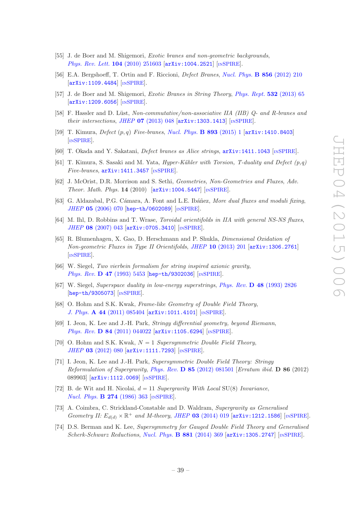- <span id="page-39-0"></span>[55] J. de Boer and M. Shigemori, Exotic branes and non-geometric backgrounds, [Phys. Rev. Lett.](http://dx.doi.org/10.1103/PhysRevLett.104.251603) 104 (2010) 251603 [[arXiv:1004.2521](http://arxiv.org/abs/1004.2521)] [IN[SPIRE](http://inspirehep.net/search?p=find+EPRINT+arXiv:1004.2521)].
- [56] E.A. Bergshoeff, T. Ortin and F. Riccioni, Defect Branes, [Nucl. Phys.](http://dx.doi.org/10.1016/j.nuclphysb.2011.10.037) B 856 (2012) 210 [[arXiv:1109.4484](http://arxiv.org/abs/1109.4484)] [IN[SPIRE](http://inspirehep.net/search?p=find+EPRINT+arXiv:1109.4484)].
- [57] J. de Boer and M. Shigemori, Exotic Branes in String Theory, [Phys. Rept.](http://dx.doi.org/10.1016/j.physrep.2013.07.003) 532 (2013) 65 [[arXiv:1209.6056](http://arxiv.org/abs/1209.6056)] [IN[SPIRE](http://inspirehep.net/search?p=find+EPRINT+arXiv:1209.6056)].
- <span id="page-39-8"></span>[58] F. Hassler and D. Lüst, Non-commutative/non-associative IIA (IIB) Q- and R-branes and their intersections, JHEP  $07$  [\(2013\) 048](http://dx.doi.org/10.1007/JHEP07(2013)048)  $\left[$ [arXiv:1303.1413](http://arxiv.org/abs/1303.1413) $\right]$   $\left[$ IN[SPIRE](http://inspirehep.net/search?p=find+EPRINT+arXiv:1303.1413) $\right]$ .
- [59] T. Kimura, *Defect*  $(p,q)$  Five-branes, [Nucl. Phys.](http://dx.doi.org/10.1016/j.nuclphysb.2015.01.023) **B 893** (2015) 1 [[arXiv:1410.8403](http://arxiv.org/abs/1410.8403)] [IN[SPIRE](http://inspirehep.net/search?p=find+EPRINT+arXiv:1410.8403)].
- [60] T. Okada and Y. Sakatani, Defect branes as Alice strings, [arXiv:1411.1043](http://arxiv.org/abs/1411.1043) [IN[SPIRE](http://inspirehep.net/search?p=find+EPRINT+arXiv:1411.1043)].
- <span id="page-39-1"></span>[61] T. Kimura, S. Sasaki and M. Yata, *Hyper-Kähler with Torsion, T-duality and Defect*  $(p,q)$ Five-branes,  $arXiv:1411.3457$  [IN[SPIRE](http://inspirehep.net/search?p=find+EPRINT+arXiv:1411.3457)].
- <span id="page-39-2"></span>[62] J. McOrist, D.R. Morrison and S. Sethi, Geometries, Non-Geometries and Fluxes, Adv. Theor. Math. Phys. 14 (2010) [[arXiv:1004.5447](http://arxiv.org/abs/1004.5447)] [IN[SPIRE](http://inspirehep.net/search?p=find+EPRINT+arXiv:1004.5447)].
- <span id="page-39-3"></span>[63] G. Aldazabal, P.G. Cámara, A. Font and L.E. Ibáñez, More dual fluxes and moduli fixing, JHEP 05 [\(2006\) 070](http://dx.doi.org/10.1088/1126-6708/2006/05/070) [[hep-th/0602089](http://arxiv.org/abs/hep-th/0602089)] [IN[SPIRE](http://inspirehep.net/search?p=find+EPRINT+hep-th/0602089)].
- <span id="page-39-7"></span>[64] M. Ihl, D. Robbins and T. Wrase, *Toroidal orientifolds in IIA with general NS-NS fluxes*, JHEP 08 [\(2007\) 043](http://dx.doi.org/10.1088/1126-6708/2007/08/043) [[arXiv:0705.3410](http://arxiv.org/abs/0705.3410)] [IN[SPIRE](http://inspirehep.net/search?p=find+EPRINT+arXiv:0705.3410)].
- <span id="page-39-4"></span>[65] R. Blumenhagen, X. Gao, D. Herschmann and P. Shukla, Dimensional Oxidation of Non-geometric Fluxes in Type II Orientifolds, JHEP 10 [\(2013\) 201](http://dx.doi.org/10.1007/JHEP10(2013)201) [[arXiv:1306.2761](http://arxiv.org/abs/1306.2761)] [IN[SPIRE](http://inspirehep.net/search?p=find+EPRINT+arXiv:1306.2761)].
- <span id="page-39-5"></span>[66] W. Siegel, Two vierbein formalism for string inspired axionic gravity, Phys. Rev. D 47 [\(1993\) 5453](http://dx.doi.org/10.1103/PhysRevD.47.5453) [[hep-th/9302036](http://arxiv.org/abs/hep-th/9302036)] [IN[SPIRE](http://inspirehep.net/search?p=find+EPRINT+hep-th/9302036)].
- [67] W. Siegel, Superspace duality in low-energy superstrings, Phys. Rev. D 48 [\(1993\) 2826](http://dx.doi.org/10.1103/PhysRevD.48.2826) [[hep-th/9305073](http://arxiv.org/abs/hep-th/9305073)] [IN[SPIRE](http://inspirehep.net/search?p=find+EPRINT+hep-th/9305073)].
- [68] O. Hohm and S.K. Kwak, Frame-like Geometry of Double Field Theory, J. Phys. A 44 [\(2011\) 085404](http://dx.doi.org/10.1088/1751-8113/44/8/085404) [[arXiv:1011.4101](http://arxiv.org/abs/1011.4101)] [IN[SPIRE](http://inspirehep.net/search?p=find+EPRINT+arXiv:1011.4101)].
- [69] I. Jeon, K. Lee and J.-H. Park, Stringy differential geometry, beyond Riemann, Phys. Rev. D 84 [\(2011\) 044022](http://dx.doi.org/10.1103/PhysRevD.84.044022) [[arXiv:1105.6294](http://arxiv.org/abs/1105.6294)] [IN[SPIRE](http://inspirehep.net/search?p=find+EPRINT+arXiv:1105.6294)].
- <span id="page-39-6"></span>[70] O. Hohm and S.K. Kwak,  $N = 1$  Supersymmetric Double Field Theory, JHEP 03 [\(2012\) 080](http://dx.doi.org/10.1007/JHEP03(2012)080) [[arXiv:1111.7293](http://arxiv.org/abs/1111.7293)] [IN[SPIRE](http://inspirehep.net/search?p=find+EPRINT+arXiv:1111.7293)].
- [71] I. Jeon, K. Lee and J.-H. Park, Supersymmetric Double Field Theory: Stringy Reformulation of Supergravity, Phys. Rev. D 85 [\(2012\) 081501](http://dx.doi.org/10.1103/PhysRevD.86.089903) [Erratum ibid. D 86 (2012) 089903] [[arXiv:1112.0069](http://arxiv.org/abs/1112.0069)] [IN[SPIRE](http://inspirehep.net/search?p=find+EPRINT+arXiv:1112.0069)].
- [72] B. de Wit and H. Nicolai,  $d = 11$  Supergravity With Local SU(8) Invariance, [Nucl. Phys.](http://dx.doi.org/10.1016/0550-3213(86)90290-7) **B 274** (1986) 363 [IN[SPIRE](http://inspirehep.net/search?p=find+J+Nucl.Phys.,B274,363)].
- [73] A. Coimbra, C. Strickland-Constable and D. Waldram, Supergravity as Generalised Geometry II:  $E_{d(d)} \times \mathbb{R}^+$  and M-theory, JHEP 03 [\(2014\) 019](http://dx.doi.org/10.1007/JHEP03(2014)019) [[arXiv:1212.1586](http://arxiv.org/abs/1212.1586)] [IN[SPIRE](http://inspirehep.net/search?p=find+EPRINT+arXiv:1212.1586)].
- [74] D.S. Berman and K. Lee, Supersymmetry for Gauged Double Field Theory and Generalised Scherk-Schwarz Reductions, [Nucl. Phys.](http://dx.doi.org/10.1016/j.nuclphysb.2014.02.015) B 881 (2014) 369 [[arXiv:1305.2747](http://arxiv.org/abs/1305.2747)] [IN[SPIRE](http://inspirehep.net/search?p=find+EPRINT+arXiv:1305.2747)].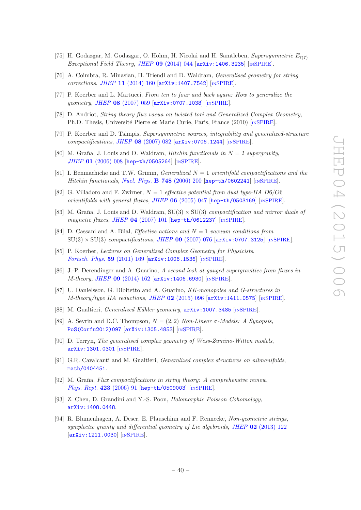- [75] H. Godazgar, M. Godazgar, O. Hohm, H. Nicolai and H. Samtleben, Supersymmetric  $E_{7(7)}$ Exceptional Field Theory, JHEP 09 [\(2014\) 044](http://dx.doi.org/10.1007/JHEP09(2014)044) [[arXiv:1406.3235](http://arxiv.org/abs/1406.3235)] [IN[SPIRE](http://inspirehep.net/search?p=find+EPRINT+arXiv:1406.3235)].
- <span id="page-40-0"></span>[76] A. Coimbra, R. Minasian, H. Triendl and D. Waldram, Generalised geometry for string corrections, JHEP 11 [\(2014\) 160](http://dx.doi.org/10.1007/JHEP11(2014)160) [[arXiv:1407.7542](http://arxiv.org/abs/1407.7542)] [IN[SPIRE](http://inspirehep.net/search?p=find+EPRINT+arXiv:1407.7542)].
- <span id="page-40-1"></span>[77] P. Koerber and L. Martucci, From ten to four and back again: How to generalize the geometry, JHEP 08 [\(2007\) 059](http://dx.doi.org/10.1088/1126-6708/2007/08/059) [[arXiv:0707.1038](http://arxiv.org/abs/0707.1038)] [IN[SPIRE](http://inspirehep.net/search?p=find+EPRINT+arXiv:0707.1038)].
- <span id="page-40-2"></span>[78] D. Andriot, String theory flux vacua on twisted tori and Generalized Complex Geometry, Ph.D. Thesis, Université Pierre et Marie Curie, Paris, France (2010) [IN[SPIRE](http://inspirehep.net/record/1278958)].
- <span id="page-40-3"></span>[79] P. Koerber and D. Tsimpis, Supersymmetric sources, integrability and generalized-structure compactifications, JHEP 08 [\(2007\) 082](http://dx.doi.org/10.1088/1126-6708/2007/08/082) [[arXiv:0706.1244](http://arxiv.org/abs/0706.1244)] [IN[SPIRE](http://inspirehep.net/search?p=find+EPRINT+arXiv:0706.1244)].
- <span id="page-40-4"></span>[80] M. Graña, J. Louis and D. Waldram, *Hitchin functionals in*  $N = 2$  supergravity, JHEP 01 [\(2006\) 008](http://dx.doi.org/10.1088/1126-6708/2006/01/008) [[hep-th/0505264](http://arxiv.org/abs/hep-th/0505264)] [IN[SPIRE](http://inspirehep.net/search?p=find+EPRINT+hep-th/0505264)].
- <span id="page-40-5"></span>[81] I. Benmachiche and T.W. Grimm, *Generalized*  $N = 1$  orientifold compactifications and the Hitchin functionals, [Nucl. Phys.](http://dx.doi.org/10.1016/j.nuclphysb.2006.05.003) **B 748** (2006) 200 [[hep-th/0602241](http://arxiv.org/abs/hep-th/0602241)] [IN[SPIRE](http://inspirehep.net/search?p=find+EPRINT+hep-th/0602241)].
- <span id="page-40-6"></span>[82] G. Villadoro and F. Zwirner,  $N = 1$  effective potential from dual type-IIA D6/O6 orientifolds with general fluxes, JHEP  $06$  [\(2005\) 047](http://dx.doi.org/10.1088/1126-6708/2005/06/047) [[hep-th/0503169](http://arxiv.org/abs/hep-th/0503169)] [IN[SPIRE](http://inspirehep.net/search?p=find+EPRINT+hep-th/0503169)].
- <span id="page-40-7"></span>[83] M. Graña, J. Louis and D. Waldram,  $SU(3) \times SU(3)$  compactification and mirror duals of magnetic fluxes, JHEP 04 [\(2007\) 101](http://dx.doi.org/10.1088/1126-6708/2007/04/101) [[hep-th/0612237](http://arxiv.org/abs/hep-th/0612237)] [IN[SPIRE](http://inspirehep.net/search?p=find+EPRINT+hep-th/0612237)].
- <span id="page-40-8"></span>[84] D. Cassani and A. Bilal, *Effective actions and*  $N = 1$  vacuum conditions from  $SU(3) \times SU(3)$  compactifications, JHEP 09 [\(2007\) 076](http://dx.doi.org/10.1088/1126-6708/2007/09/076) [[arXiv:0707.3125](http://arxiv.org/abs/0707.3125)] [IN[SPIRE](http://inspirehep.net/search?p=find+EPRINT+arXiv:0707.3125)].
- <span id="page-40-9"></span>[85] P. Koerber, Lectures on Generalized Complex Geometry for Physicists, [Fortsch. Phys.](http://dx.doi.org/10.1002/prop.201000083) 59 (2011) 169 [[arXiv:1006.1536](http://arxiv.org/abs/1006.1536)] [IN[SPIRE](http://inspirehep.net/search?p=find+EPRINT+arXiv:1006.1536)].
- <span id="page-40-10"></span>[86] J.-P. Derendinger and A. Guarino, A second look at gauged supergravities from fluxes in M-theory, JHEP 09 [\(2014\) 162](http://dx.doi.org/10.1007/JHEP09(2014)162) [[arXiv:1406.6930](http://arxiv.org/abs/1406.6930)] [IN[SPIRE](http://inspirehep.net/search?p=find+EPRINT+arXiv:1406.6930)].
- <span id="page-40-11"></span>[87] U. Danielsson, G. Dibitetto and A. Guarino, KK-monopoles and G-structures in M-theory/type IIA reductions, JHEP 02 [\(2015\) 096](http://dx.doi.org/10.1007/JHEP02(2015)096)  $\left[$ [arXiv:1411.0575](http://arxiv.org/abs/1411.0575) $\right]$   $\left[$ In[SPIRE](http://inspirehep.net/search?p=find+EPRINT+arXiv:1411.0575) $\right]$ .
- <span id="page-40-12"></span>[88] M. Gualtieri, *Generalized Kähler geometry*,  $arXiv:1007.3485$  [IN[SPIRE](http://inspirehep.net/search?p=find+EPRINT+arXiv:1007.3485)].
- [89] A. Sevrin and D.C. Thompson,  $N = (2, 2)$  Non-Linear σ-Models: A Synopsis, [PoS\(Corfu2012\)097](http://pos.sissa.it/cgi-bin/reader/contribution.cgi?id=PoS(Corfu2012)097) [[arXiv:1305.4853](http://arxiv.org/abs/1305.4853)] [IN[SPIRE](http://inspirehep.net/search?p=find+EPRINT+arXiv:1305.4853)].
- <span id="page-40-13"></span>[90] D. Terryn, The generalised complex geometry of Wess-Zumino-Witten models, [arXiv:1301.0301](http://arxiv.org/abs/1301.0301) [IN[SPIRE](http://inspirehep.net/search?p=find+EPRINT+arXiv:1301.0301)].
- <span id="page-40-14"></span>[91] G.R. Cavalcanti and M. Gualtieri, Generalized complex structures on nilmanifolds, [math/0404451](http://arxiv.org/abs/math/0404451).
- <span id="page-40-15"></span>[92] M. Graña, Flux compactifications in string theory: A comprehensive review, [Phys. Rept.](http://dx.doi.org/10.1016/j.physrep.2005.10.008) 423 (2006) 91 [[hep-th/0509003](http://arxiv.org/abs/hep-th/0509003)] [IN[SPIRE](http://inspirehep.net/search?p=find+EPRINT+hep-th/0509003)].
- <span id="page-40-16"></span>[93] Z. Chen, D. Grandini and Y.-S. Poon, Holomorphic Poisson Cohomology, [arXiv:1408.0448](http://arxiv.org/abs/1408.0448).
- <span id="page-40-17"></span>[94] R. Blumenhagen, A. Deser, E. Plauschinn and F. Rennecke, Non-geometric strings, symplectic gravity and differential geometry of Lie algebroids, JHEP 02 [\(2013\) 122](http://dx.doi.org/10.1007/JHEP02(2013)122) [[arXiv:1211.0030](http://arxiv.org/abs/1211.0030)] [IN[SPIRE](http://inspirehep.net/search?p=find+EPRINT+arXiv:1211.0030)].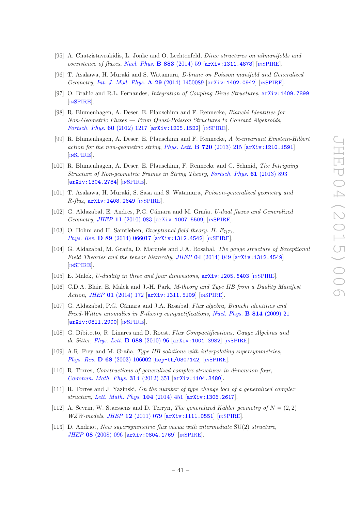- <span id="page-41-0"></span>[95] A. Chatzistavrakidis, L. Jonke and O. Lechtenfeld, Dirac structures on nilmanifolds and coexistence of fluxes, [Nucl. Phys.](http://dx.doi.org/10.1016/j.nuclphysb.2014.03.013) **B 883** (2014) 59  $arXiv:1311.4878$  [IN[SPIRE](http://inspirehep.net/search?p=find+EPRINT+arXiv:1311.4878)].
- <span id="page-41-6"></span>[96] T. Asakawa, H. Muraki and S. Watamura, D-brane on Poisson manifold and Generalized Geometry, [Int. J. Mod. Phys.](http://dx.doi.org/10.1142/S0217751X14500894) A 29 (2014) 1450089 [[arXiv:1402.0942](http://arxiv.org/abs/1402.0942)] [IN[SPIRE](http://inspirehep.net/search?p=find+EPRINT+arXiv:1402.0942)].
- <span id="page-41-1"></span>[97] O. Brahic and R.L. Fernandes, Integration of Coupling Dirac Structures, [arXiv:1409.7899](http://arxiv.org/abs/1409.7899) [IN[SPIRE](http://inspirehep.net/search?p=find+EPRINT+arXiv:1409.7899)].
- <span id="page-41-2"></span>[98] R. Blumenhagen, A. Deser, E. Plauschinn and F. Rennecke, Bianchi Identities for Non-Geometric Fluxes — From Quasi-Poisson Structures to Courant Algebroids, [Fortsch. Phys.](http://dx.doi.org/10.1002/prop.201200099) 60 (2012) 1217 [[arXiv:1205.1522](http://arxiv.org/abs/1205.1522)] [IN[SPIRE](http://inspirehep.net/search?p=find+EPRINT+arXiv:1205.1522)].
- <span id="page-41-5"></span>[99] R. Blumenhagen, A. Deser, E. Plauschinn and F. Rennecke, A bi-invariant Einstein-Hilbert action for the non-geometric string, [Phys. Lett.](http://dx.doi.org/10.1016/j.physletb.2013.02.004) **B 720** (2013) 215  $\left[\text{arXiv:1210.1591}\right]$  $\left[\text{arXiv:1210.1591}\right]$  $\left[\text{arXiv:1210.1591}\right]$ [IN[SPIRE](http://inspirehep.net/search?p=find+EPRINT+arXiv:1210.1591)].
- <span id="page-41-3"></span>[100] R. Blumenhagen, A. Deser, E. Plauschinn, F. Rennecke and C. Schmid, The Intriguing Structure of Non-geometric Frames in String Theory, [Fortsch. Phys.](http://dx.doi.org/10.1002/prop.201300013) 61 (2013) 893 [[arXiv:1304.2784](http://arxiv.org/abs/1304.2784)] [IN[SPIRE](http://inspirehep.net/search?p=find+EPRINT+arXiv:1304.2784)].
- <span id="page-41-4"></span>[101] T. Asakawa, H. Muraki, S. Sasa and S. Watamura, Poisson-generalized geometry and  $R$ -flux,  $arXiv:1408.2649$  [IN[SPIRE](http://inspirehep.net/search?p=find+EPRINT+arXiv:1408.2649)].
- <span id="page-41-7"></span>[102] G. Aldazabal, E. Andres, P.G. Cámara and M. Graña, U-dual fluxes and Generalized Geometry, JHEP 11 [\(2010\) 083](http://dx.doi.org/10.1007/JHEP11(2010)083) [[arXiv:1007.5509](http://arxiv.org/abs/1007.5509)] [IN[SPIRE](http://inspirehep.net/search?p=find+EPRINT+arXiv:1007.5509)].
- <span id="page-41-8"></span>[103] O. Hohm and H. Samtleben, *Exceptional field theory. II.*  $E_{7(7)}$ , Phys. Rev. D 89 [\(2014\) 066017](http://dx.doi.org/10.1103/PhysRevD.89.066017) [[arXiv:1312.4542](http://arxiv.org/abs/1312.4542)] [IN[SPIRE](http://inspirehep.net/search?p=find+EPRINT+arXiv:1312.4542)].
- <span id="page-41-9"></span>[104] G. Aldazabal, M. Graña, D. Marqués and J.A. Rosabal, *The gauge structure of Exceptional* Field Theories and the tensor hierarchy, JHEP 04 [\(2014\) 049](http://dx.doi.org/10.1007/JHEP04(2014)049) [[arXiv:1312.4549](http://arxiv.org/abs/1312.4549)] [IN[SPIRE](http://inspirehep.net/search?p=find+EPRINT+arXiv:1312.4549)].
- <span id="page-41-10"></span>[105] E. Malek, *U-duality in three and four dimensions*,  $arXiv:1205.6403$  [IN[SPIRE](http://inspirehep.net/search?p=find+EPRINT+arXiv:1205.6403)].
- <span id="page-41-11"></span>[106] C.D.A. Blair, E. Malek and J.-H. Park, M-theory and Type IIB from a Duality Manifest Action, JHEP 01 [\(2014\) 172](http://dx.doi.org/10.1007/JHEP01(2014)172) [[arXiv:1311.5109](http://arxiv.org/abs/1311.5109)] [IN[SPIRE](http://inspirehep.net/search?p=find+EPRINT+arXiv:1311.5109)].
- <span id="page-41-12"></span>[107] G. Aldazabal, P.G. Cámara and J.A. Rosabal, *Flux algebra, Bianchi identities and* Freed-Witten anomalies in F-theory compactifications, [Nucl. Phys.](http://dx.doi.org/10.1016/j.nuclphysb.2009.01.006) B 814 (2009) 21 [[arXiv:0811.2900](http://arxiv.org/abs/0811.2900)] [IN[SPIRE](http://inspirehep.net/search?p=find+EPRINT+arXiv:0811.2900)].
- <span id="page-41-13"></span>[108] G. Dibitetto, R. Linares and D. Roest, Flux Compactifications, Gauge Algebras and de Sitter, [Phys. Lett.](http://dx.doi.org/10.1016/j.physletb.2010.03.074) B 688 (2010) 96 [[arXiv:1001.3982](http://arxiv.org/abs/1001.3982)] [IN[SPIRE](http://inspirehep.net/search?p=find+EPRINT+arXiv:1001.3982)].
- <span id="page-41-14"></span>[109] A.R. Frey and M. Graña, Type IIB solutions with interpolating supersymmetries, Phys. Rev. **D 68** [\(2003\) 106002](http://dx.doi.org/10.1103/PhysRevD.68.106002) [[hep-th/0307142](http://arxiv.org/abs/hep-th/0307142)] [IN[SPIRE](http://inspirehep.net/search?p=find+EPRINT+hep-th/0307142)].
- <span id="page-41-16"></span>[110] R. Torres, Constructions of generalized complex structures in dimension four, [Commun. Math. Phys.](http://dx.doi.org/10.1007/s00220-012-1528-6) 314 (2012) 351 [[arXiv:1104.3480](http://arxiv.org/abs/1104.3480)].
- [111] R. Torres and J. Yazinski, On the number of type change loci of a generalized complex structure, [Lett. Math. Phys.](http://dx.doi.org/10.1007/s11005-013-0674-x) 104 (2014) 451 [[arXiv:1306.2617](http://arxiv.org/abs/1306.2617)].
- <span id="page-41-17"></span>[112] A. Sevrin, W. Staessens and D. Terryn, The generalized Kähler geometry of  $N = (2, 2)$ WZW-models, JHEP 12 [\(2011\) 079](http://dx.doi.org/10.1007/JHEP12(2011)079) [[arXiv:1111.0551](http://arxiv.org/abs/1111.0551)] [IN[SPIRE](http://inspirehep.net/search?p=find+EPRINT+arXiv:1111.0551)].
- <span id="page-41-15"></span>[113] D. Andriot, New supersymmetric flux vacua with intermediate  $SU(2)$  structure, JHEP 08 [\(2008\) 096](http://dx.doi.org/10.1088/1126-6708/2008/08/096) [[arXiv:0804.1769](http://arxiv.org/abs/0804.1769)] [IN[SPIRE](http://inspirehep.net/search?p=find+EPRINT+arXiv:0804.1769)].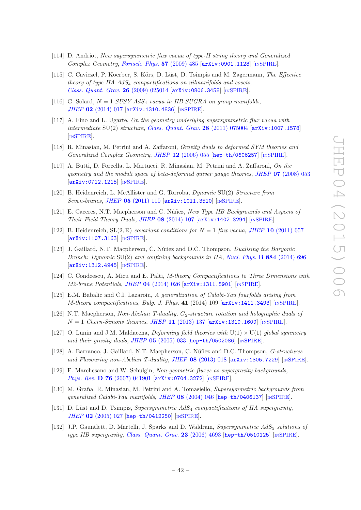- <span id="page-42-0"></span>[114] D. Andriot, New supersymmetric flux vacua of type-II string theory and Generalized Complex Geometry, [Fortsch. Phys.](http://dx.doi.org/10.1002/prop.200900039)  $57$  (2009) 485 [[arXiv:0901.1128](http://arxiv.org/abs/0901.1128)] [IN[SPIRE](http://inspirehep.net/search?p=find+EPRINT+arXiv:0901.1128)].
- <span id="page-42-1"></span>[115] C. Caviezel, P. Koerber, S. Körs, D. Lüst, D. Tsimpis and M. Zagermann, The Effective theory of type IIA  $AdS_4$  compactifications on nilmanifolds and cosets, [Class. Quant. Grav.](http://dx.doi.org/10.1088/0264-9381/26/2/025014) 26 (2009) 025014 [[arXiv:0806.3458](http://arxiv.org/abs/0806.3458)] [IN[SPIRE](http://inspirehep.net/search?p=find+EPRINT+arXiv:0806.3458)].
- <span id="page-42-2"></span>[116] G. Solard,  $N = 1$  SUSY AdS<sub>4</sub> vacua in IIB SUGRA on group manifolds, JHEP 02 [\(2014\) 017](http://dx.doi.org/10.1007/JHEP02(2014)017) [[arXiv:1310.4836](http://arxiv.org/abs/1310.4836)] [IN[SPIRE](http://inspirehep.net/search?p=find+EPRINT+arXiv:1310.4836)].
- <span id="page-42-3"></span>[117] A. Fino and L. Ugarte, On the geometry underlying supersymmetric flux vacua with intermediate  $SU(2)$  structure, [Class. Quant. Grav.](http://dx.doi.org/10.1088/0264-9381/28/7/075004) 28 (2011) 075004 [[arXiv:1007.1578](http://arxiv.org/abs/1007.1578)] [IN[SPIRE](http://inspirehep.net/search?p=find+EPRINT+arXiv:1007.1578)].
- <span id="page-42-4"></span>[118] R. Minasian, M. Petrini and A. Zaffaroni, Gravity duals to deformed SYM theories and Generalized Complex Geometry, JHEP 12 [\(2006\) 055](http://dx.doi.org/10.1088/1126-6708/2006/12/055) [[hep-th/0606257](http://arxiv.org/abs/hep-th/0606257)] [IN[SPIRE](http://inspirehep.net/search?p=find+EPRINT+hep-th/0606257)].
- <span id="page-42-11"></span>[119] A. Butti, D. Forcella, L. Martucci, R. Minasian, M. Petrini and A. Zaffaroni, On the geometry and the moduli space of beta-deformed quiver gauge theories, JHEP 07 [\(2008\) 053](http://dx.doi.org/10.1088/1126-6708/2008/07/053) [[arXiv:0712.1215](http://arxiv.org/abs/0712.1215)] [IN[SPIRE](http://inspirehep.net/search?p=find+EPRINT+arXiv:0712.1215)].
- [120] B. Heidenreich, L. McAllister and G. Torroba, *Dynamic* SU(2) Structure from Seven-branes, JHEP 05 [\(2011\) 110](http://dx.doi.org/10.1007/JHEP05(2011)110) [[arXiv:1011.3510](http://arxiv.org/abs/1011.3510)] [IN[SPIRE](http://inspirehep.net/search?p=find+EPRINT+arXiv:1011.3510)].
- <span id="page-42-5"></span>[121] E. Caceres, N.T. Macpherson and C. Núñez, New Type IIB Backgrounds and Aspects of Their Field Theory Duals, JHEP 08 [\(2014\) 107](http://dx.doi.org/10.1007/JHEP08(2014)107)  $\text{arXiv:1402.3294}$  $\text{arXiv:1402.3294}$  $\text{arXiv:1402.3294}$  [IN[SPIRE](http://inspirehep.net/search?p=find+EPRINT+arXiv:1402.3294)].
- <span id="page-42-6"></span>[122] B. Heidenreich,  $SL(2,\mathbb{R})$  covariant conditions for  $N = 1$  flux vacua, JHEP 10 [\(2011\) 057](http://dx.doi.org/10.1007/JHEP10(2011)057) [[arXiv:1107.3163](http://arxiv.org/abs/1107.3163)] [IN[SPIRE](http://inspirehep.net/search?p=find+EPRINT+arXiv:1107.3163)].
- <span id="page-42-7"></span>[123] J. Gaillard, N.T. Macpherson, C. Núñez and D.C. Thompson, *Dualising the Baryonic* Branch: Dynamic  $SU(2)$  and confining backgrounds in IIA, [Nucl. Phys.](http://dx.doi.org/10.1016/j.nuclphysb.2014.05.004) **B** 884 (2014) 696 [[arXiv:1312.4945](http://arxiv.org/abs/1312.4945)] [IN[SPIRE](http://inspirehep.net/search?p=find+EPRINT+arXiv:1312.4945)].
- <span id="page-42-8"></span>[124] C. Condeescu, A. Micu and E. Palti, M-theory Compactifications to Three Dimensions with M2-brane Potentials, JHEP 04 [\(2014\) 026](http://dx.doi.org/10.1007/JHEP04(2014)026) [[arXiv:1311.5901](http://arxiv.org/abs/1311.5901)] [IN[SPIRE](http://inspirehep.net/search?p=find+EPRINT+arXiv:1311.5901)].
- <span id="page-42-9"></span>[125] E.M. Babalic and C.I. Lazaroiu, A generalization of Calabi-Yau fourfolds arising from M-theory compactifications, Bulg. J. Phys. 41 (2014) 109 [[arXiv:1411.3493](http://arxiv.org/abs/1411.3493)] [IN[SPIRE](http://inspirehep.net/search?p=find+EPRINT+arXiv:1411.3493)].
- <span id="page-42-10"></span>[126] N.T. Macpherson, Non-Abelian T-duality,  $G_2$ -structure rotation and holographic duals of  $N = 1$  Chern-Simons theories, JHEP 11 [\(2013\) 137](http://dx.doi.org/10.1007/JHEP11(2013)137)  $\left[$ [arXiv:1310.1609](http://arxiv.org/abs/1310.1609) $\right]$   $\left[$ In[SPIRE](http://inspirehep.net/search?p=find+EPRINT+arXiv:1310.1609) $\right]$ .
- <span id="page-42-12"></span>[127] O. Lunin and J.M. Maldacena, *Deforming field theories with*  $U(1) \times U(1)$  global symmetry and their gravity duals, JHEP 05 [\(2005\) 033](http://dx.doi.org/10.1088/1126-6708/2005/05/033) [[hep-th/0502086](http://arxiv.org/abs/hep-th/0502086)] [IN[SPIRE](http://inspirehep.net/search?p=find+EPRINT+hep-th/0502086)].
- <span id="page-42-13"></span>[128] A. Barranco, J. Gaillard, N.T. Macpherson, C. Núñez and D.C. Thompson, *G-structures* and Flavouring non-Abelian T-duality, JHEP 08 [\(2013\) 018](http://dx.doi.org/10.1007/JHEP08(2013)018) [[arXiv:1305.7229](http://arxiv.org/abs/1305.7229)] [IN[SPIRE](http://inspirehep.net/search?p=find+EPRINT+arXiv:1305.7229)].
- <span id="page-42-14"></span>[129] F. Marchesano and W. Schulgin, Non-geometric fluxes as supergravity backgrounds, Phys. Rev. D 76 [\(2007\) 041901](http://dx.doi.org/10.1103/PhysRevD.76.041901) [[arXiv:0704.3272](http://arxiv.org/abs/0704.3272)] [IN[SPIRE](http://inspirehep.net/search?p=find+EPRINT+arXiv:0704.3272)].
- <span id="page-42-15"></span>[130] M. Graña, R. Minasian, M. Petrini and A. Tomasiello, Supersymmetric backgrounds from generalized Calabi-Yau manifolds, JHEP 08 [\(2004\) 046](http://dx.doi.org/10.1088/1126-6708/2004/08/046) [[hep-th/0406137](http://arxiv.org/abs/hep-th/0406137)] [IN[SPIRE](http://inspirehep.net/search?p=find+EPRINT+hep-th/0406137)].
- <span id="page-42-16"></span>[131] D. Lüst and D. Tsimpis, Supersymmetric  $AdS<sub>4</sub>$  compactifications of IIA supergravity, JHEP 02 [\(2005\) 027](http://dx.doi.org/10.1088/1126-6708/2005/02/027) [[hep-th/0412250](http://arxiv.org/abs/hep-th/0412250)] [IN[SPIRE](http://inspirehep.net/search?p=find+EPRINT+hep-th/0412250)].
- <span id="page-42-17"></span>[132] J.P. Gauntlett, D. Martelli, J. Sparks and D. Waldram, Supersymmetric AdS<sub>5</sub> solutions of type IIB supergravity, [Class. Quant. Grav.](http://dx.doi.org/10.1088/0264-9381/23/14/009) 23 (2006) 4693 [[hep-th/0510125](http://arxiv.org/abs/hep-th/0510125)] [IN[SPIRE](http://inspirehep.net/search?p=find+EPRINT+hep-th/0510125)].